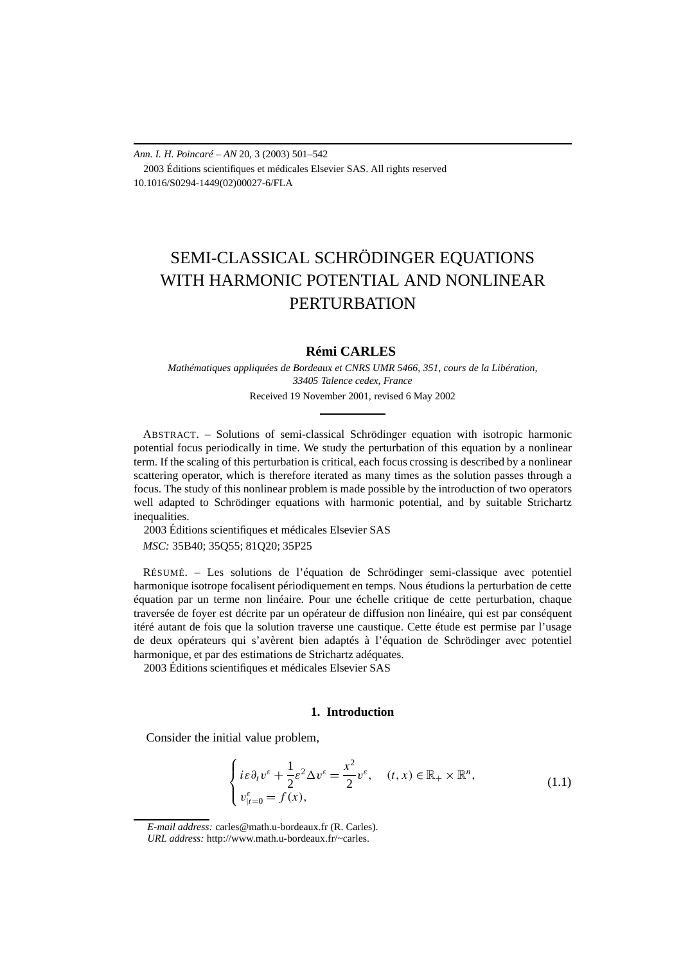*Ann. I. H. Poincaré – AN* 20, 3 (2003) 501–542 2003 Éditions scientifiques et médicales Elsevier SAS. All rights reserved 10.1016/S0294-1449(02)00027-6/FLA

# SEMI-CLASSICAL SCHRÖDINGER EQUATIONS WITH HARMONIC POTENTIAL AND NONLINEAR **PERTURBATION**

# **Rémi CARLES**

*Mathématiques appliquées de Bordeaux et CNRS UMR 5466, 351, cours de la Libération, 33405 Talence cedex, France* Received 19 November 2001, revised 6 May 2002

ABSTRACT. – Solutions of semi-classical Schrödinger equation with isotropic harmonic potential focus periodically in time. We study the perturbation of this equation by a nonlinear term. If the scaling of this perturbation is critical, each focus crossing is described by a nonlinear scattering operator, which is therefore iterated as many times as the solution passes through a focus. The study of this nonlinear problem is made possible by the introduction of two operators well adapted to Schrödinger equations with harmonic potential, and by suitable Strichartz inequalities.

2003 Éditions scientifiques et médicales Elsevier SAS

*MSC:* 35B40; 35Q55; 81Q20; 35P25

RÉSUMÉ. – Les solutions de l'équation de Schrödinger semi-classique avec potentiel harmonique isotrope focalisent périodiquement en temps. Nous étudions la perturbation de cette équation par un terme non linéaire. Pour une échelle critique de cette perturbation, chaque traversée de foyer est décrite par un opérateur de diffusion non linéaire, qui est par conséquent itéré autant de fois que la solution traverse une caustique. Cette étude est permise par l'usage de deux opérateurs qui s'avèrent bien adaptés à l'équation de Schrödinger avec potentiel harmonique, et par des estimations de Strichartz adéquates.

2003 Éditions scientifiques et médicales Elsevier SAS

## **1. Introduction**

Consider the initial value problem,

$$
\begin{cases}\ni\varepsilon\partial_t v^\varepsilon + \frac{1}{2}\varepsilon^2 \Delta v^\varepsilon = \frac{x^2}{2}v^\varepsilon, & (t, x) \in \mathbb{R}_+ \times \mathbb{R}^n, \\
v_{|t=0}^\varepsilon = f(x), & (1.1)\n\end{cases}
$$

*E-mail address:* carles@math.u-bordeaux.fr (R. Carles). *URL address:* http://www.math.u-bordeaux.fr/~carles.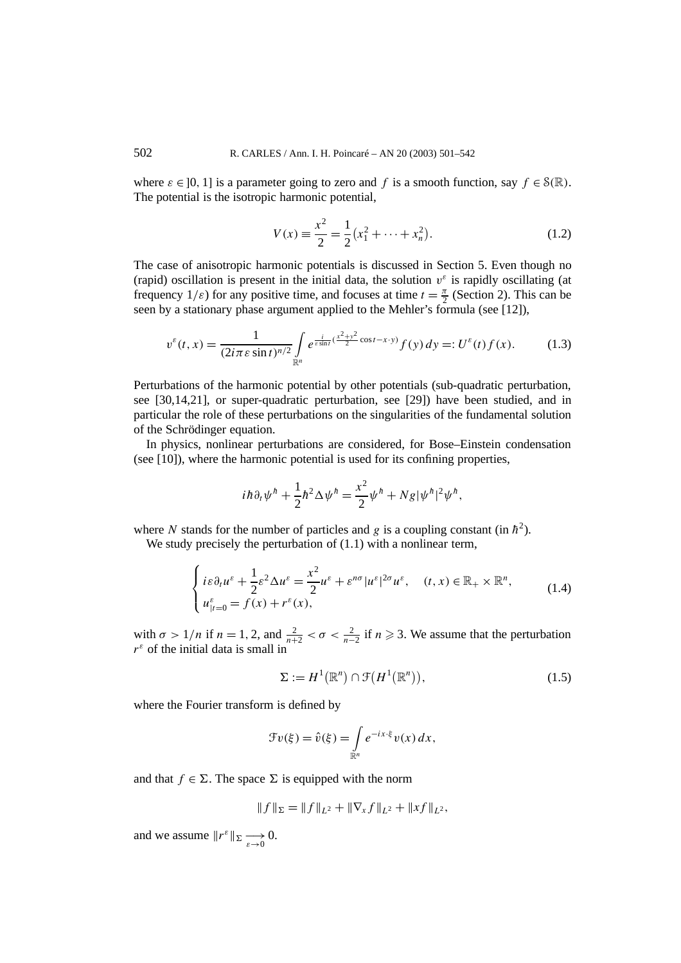where  $\varepsilon \in [0, 1]$  is a parameter going to zero and f is a smooth function, say  $f \in \mathcal{S}(\mathbb{R})$ . The potential is the isotropic harmonic potential,

$$
V(x) = \frac{x^2}{2} = \frac{1}{2} (x_1^2 + \dots + x_n^2).
$$
 (1.2)

The case of anisotropic harmonic potentials is discussed in Section 5. Even though no (rapid) oscillation is present in the initial data, the solution  $v^{\varepsilon}$  is rapidly oscillating (at frequency  $1/\varepsilon$ ) for any positive time, and focuses at time  $t = \frac{\pi}{2}$  (Section 2). This can be seen by a stationary phase argument applied to the Mehler's formula (see [12]),

$$
v^{\varepsilon}(t,x) = \frac{1}{(2i\pi\varepsilon\sin t)^{n/2}} \int_{\mathbb{R}^n} e^{\frac{i}{\varepsilon\sin t}(\frac{x^2 + y^2}{2}\cos t - x \cdot y)} f(y) \, dy =: U^{\varepsilon}(t) f(x). \tag{1.3}
$$

Perturbations of the harmonic potential by other potentials (sub-quadratic perturbation, see [30,14,21], or super-quadratic perturbation, see [29]) have been studied, and in particular the role of these perturbations on the singularities of the fundamental solution of the Schrödinger equation.

In physics, nonlinear perturbations are considered, for Bose–Einstein condensation (see [10]), where the harmonic potential is used for its confining properties,

$$
i\hbar\partial_t\psi^h+\frac{1}{2}\hbar^2\Delta\psi^h=\frac{x^2}{2}\psi^h+Ng|\psi^h|^2\psi^h,
$$

where N stands for the number of particles and g is a coupling constant (in  $\hbar^2$ ).

We study precisely the perturbation of  $(1.1)$  with a nonlinear term,

$$
\begin{cases}\ni\varepsilon\partial_t u^\varepsilon + \frac{1}{2}\varepsilon^2 \Delta u^\varepsilon = \frac{x^2}{2}u^\varepsilon + \varepsilon^{n\sigma}|u^\varepsilon|^{2\sigma}u^\varepsilon, & (t,x) \in \mathbb{R}_+ \times \mathbb{R}^n, \\
u_{|t=0}^\varepsilon = f(x) + r^\varepsilon(x),\n\end{cases}
$$
\n(1.4)

with  $\sigma > 1/n$  if  $n = 1, 2$ , and  $\frac{2}{n+2} < \sigma < \frac{2}{n-2}$  if  $n \ge 3$ . We assume that the perturbation  $r^{\varepsilon}$  of the initial data is small in

$$
\Sigma := H^1(\mathbb{R}^n) \cap \mathcal{F}(H^1(\mathbb{R}^n)),\tag{1.5}
$$

where the Fourier transform is defined by

$$
\mathcal{F}v(\xi) = \hat{v}(\xi) = \int_{\mathbb{R}^n} e^{-ix\cdot\xi} v(x) dx,
$$

and that  $f \in \Sigma$ . The space  $\Sigma$  is equipped with the norm

$$
||f||_{\Sigma} = ||f||_{L^2} + ||\nabla_x f||_{L^2} + ||xf||_{L^2},
$$

and we assume  $||r^{\varepsilon}||_{\Sigma} \longrightarrow 0$ .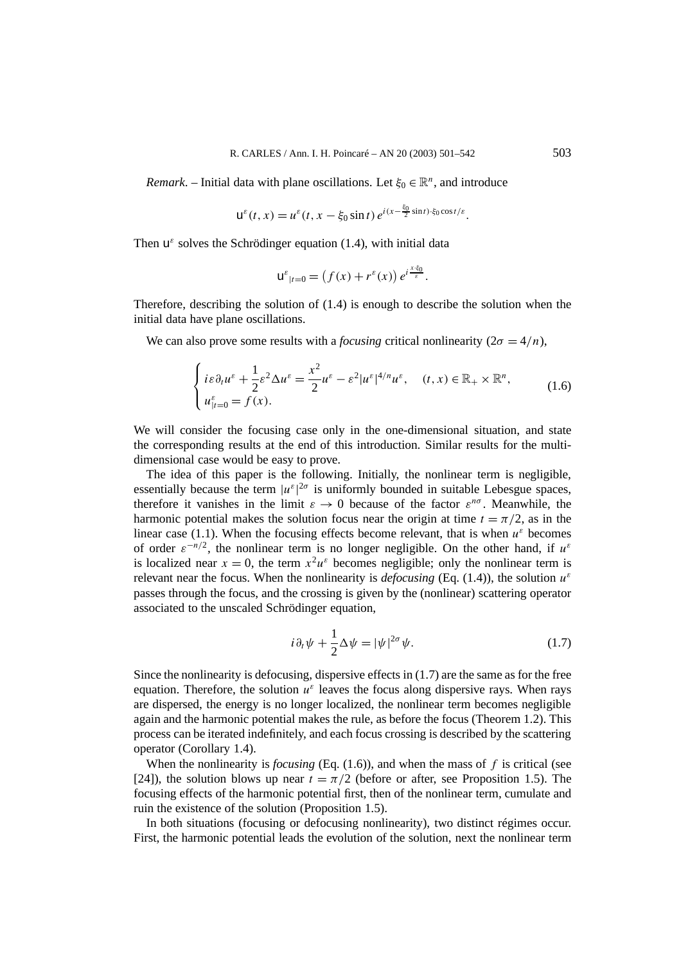*Remark*. – Initial data with plane oscillations. Let  $\xi_0 \in \mathbb{R}^n$ , and introduce

$$
u^{\varepsilon}(t,x) = u^{\varepsilon}(t,x-\xi_0\sin t) e^{i(x-\frac{\xi_0}{2}\sin t)\cdot\xi_0\cos t/\varepsilon}.
$$

Then  $u^{\varepsilon}$  solves the Schrödinger equation (1.4), with initial data

$$
u^{\varepsilon}_{|t=0} = (f(x) + r^{\varepsilon}(x)) e^{i \frac{x \cdot \xi_0}{\varepsilon}}.
$$

Therefore, describing the solution of (1.4) is enough to describe the solution when the initial data have plane oscillations.

We can also prove some results with a *focusing* critical nonlinearity  $(2\sigma = 4/n)$ ,

$$
\begin{cases}\ni\varepsilon\partial_t u^\varepsilon + \frac{1}{2}\varepsilon^2 \Delta u^\varepsilon = \frac{x^2}{2}u^\varepsilon - \varepsilon^2 |u^\varepsilon|^{4/n}u^\varepsilon, & (t,x) \in \mathbb{R}_+ \times \mathbb{R}^n, \\
u_{|t=0}^\varepsilon = f(x).\n\end{cases}
$$
\n(1.6)

We will consider the focusing case only in the one-dimensional situation, and state the corresponding results at the end of this introduction. Similar results for the multidimensional case would be easy to prove.

The idea of this paper is the following. Initially, the nonlinear term is negligible, essentially because the term  $|u^{\varepsilon}|^{2\sigma}$  is uniformly bounded in suitable Lebesgue spaces, therefore it vanishes in the limit  $\varepsilon \to 0$  because of the factor  $\varepsilon^{n\sigma}$ . Meanwhile, the harmonic potential makes the solution focus near the origin at time  $t = \pi/2$ , as in the linear case (1.1). When the focusing effects become relevant, that is when  $u^{\varepsilon}$  becomes of order  $\varepsilon^{-n/2}$ , the nonlinear term is no longer negligible. On the other hand, if  $u^{\varepsilon}$ is localized near  $x = 0$ , the term  $x^2 u^{\varepsilon}$  becomes negligible; only the nonlinear term is relevant near the focus. When the nonlinearity is *defocusing* (Eq. (1.4)), the solution  $u^{\varepsilon}$ passes through the focus, and the crossing is given by the (nonlinear) scattering operator associated to the unscaled Schrödinger equation,

$$
i\partial_t \psi + \frac{1}{2} \Delta \psi = |\psi|^{2\sigma} \psi.
$$
 (1.7)

Since the nonlinearity is defocusing, dispersive effects in (1.7) are the same as for the free equation. Therefore, the solution  $u^{\varepsilon}$  leaves the focus along dispersive rays. When rays are dispersed, the energy is no longer localized, the nonlinear term becomes negligible again and the harmonic potential makes the rule, as before the focus (Theorem 1.2). This process can be iterated indefinitely, and each focus crossing is described by the scattering operator (Corollary 1.4).

When the nonlinearity is *focusing* (Eq.  $(1.6)$ ), and when the mass of  $f$  is critical (see [24]), the solution blows up near  $t = \pi/2$  (before or after, see Proposition 1.5). The focusing effects of the harmonic potential first, then of the nonlinear term, cumulate and ruin the existence of the solution (Proposition 1.5).

In both situations (focusing or defocusing nonlinearity), two distinct régimes occur. First, the harmonic potential leads the evolution of the solution, next the nonlinear term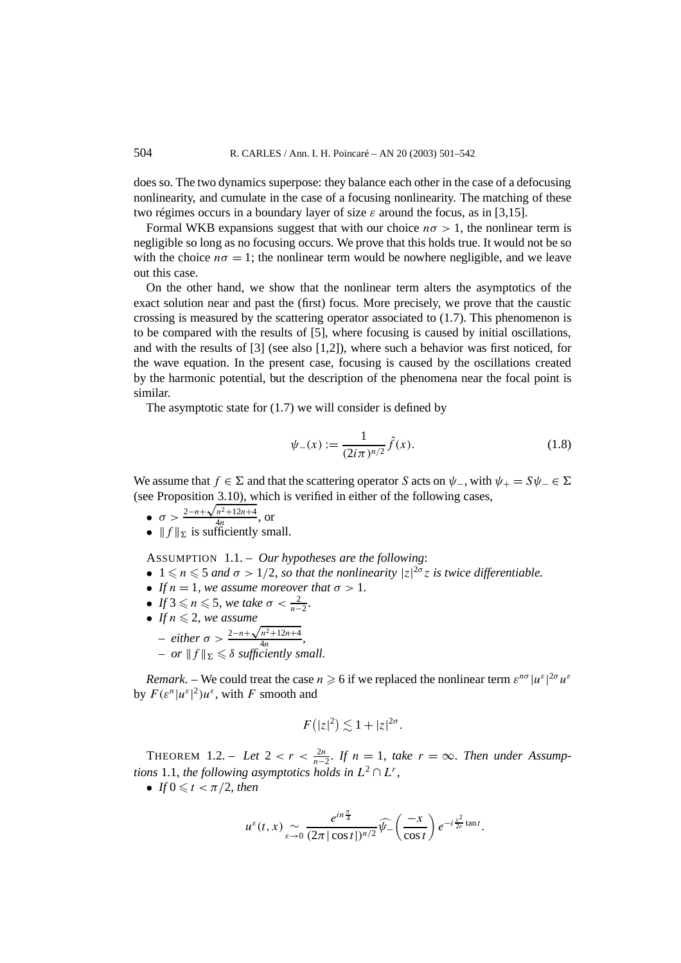does so. The two dynamics superpose: they balance each other in the case of a defocusing nonlinearity, and cumulate in the case of a focusing nonlinearity. The matching of these two régimes occurs in a boundary layer of size  $\varepsilon$  around the focus, as in [3,15].

Formal WKB expansions suggest that with our choice  $n\sigma > 1$ , the nonlinear term is negligible so long as no focusing occurs. We prove that this holds true. It would not be so with the choice  $n\sigma = 1$ ; the nonlinear term would be nowhere negligible, and we leave out this case.

On the other hand, we show that the nonlinear term alters the asymptotics of the exact solution near and past the (first) focus. More precisely, we prove that the caustic crossing is measured by the scattering operator associated to  $(1.7)$ . This phenomenon is to be compared with the results of [5], where focusing is caused by initial oscillations, and with the results of [3] (see also [1,2]), where such a behavior was first noticed, for the wave equation. In the present case, focusing is caused by the oscillations created by the harmonic potential, but the description of the phenomena near the focal point is similar.

The asymptotic state for  $(1.7)$  we will consider is defined by

$$
\psi_{-}(x) := \frac{1}{(2i\pi)^{n/2}} \hat{f}(x).
$$
\n(1.8)

We assume that  $f \in \Sigma$  and that the scattering operator *S* acts on  $\psi$ <sub>−</sub>, with  $\psi$ <sub>+</sub> =  $S\psi$ <sub>−</sub>  $\in \Sigma$ (see Proposition  $3.10$ ), which is verified in either of the following cases,

- $\sigma > \frac{2-n+\sqrt{n^2+12n+4}}{4n}$ , or
- $|| f ||_{\Sigma}$  is sufficiently small.

ASSUMPTION 1.1. – *Our hypotheses are the following*:

- $1 \leq n \leq 5$  *and*  $\sigma > 1/2$ *, so that the nonlinearity*  $|z|^{2\sigma}z$  *is twice differentiable.*
- *If*  $n = 1$ *, we assume moreover that*  $\sigma > 1$ *.*
- *If*  $3 \le n \le 5$ , we take  $\sigma < \frac{2}{n-2}$ .
- If  $n \leq 2$ , we assume

- either 
$$
\sigma > \frac{2-n+\sqrt{n^2+12n+4}}{4n}
$$
,  
- or  $||f||_{\Sigma} \le \delta$  sufficiently small.

*Remark.* – We could treat the case  $n \ge 6$  if we replaced the nonlinear term  $\varepsilon^{n\sigma} |u^{\varepsilon}|^{2\sigma} u^{\varepsilon}$ by  $F(\varepsilon^n |u^{\varepsilon}|^2)u^{\varepsilon}$ , with *F* smooth and

$$
F(|z|^2) \lesssim 1 + |z|^{2\sigma}.
$$

THEOREM 1.2. – Let  $2 < r < \frac{2n}{n-2}$ . If  $n = 1$ , take  $r = \infty$ . Then under Assump*tions* 1.1*, the following asymptotics holds in*  $L^2 \cap L^r$ *,* 

• If  $0 \leq t < \pi/2$ , then

$$
u^{\varepsilon}(t,x) \sim e^{i n \frac{\pi}{4}} \frac{e^{i n \frac{\pi}{4}}}{(2\pi |\cos t|)^{n/2}} \widehat{\psi}_{-}\left(\frac{-x}{\cos t}\right) e^{-i \frac{x^2}{2\varepsilon} \tan t}.
$$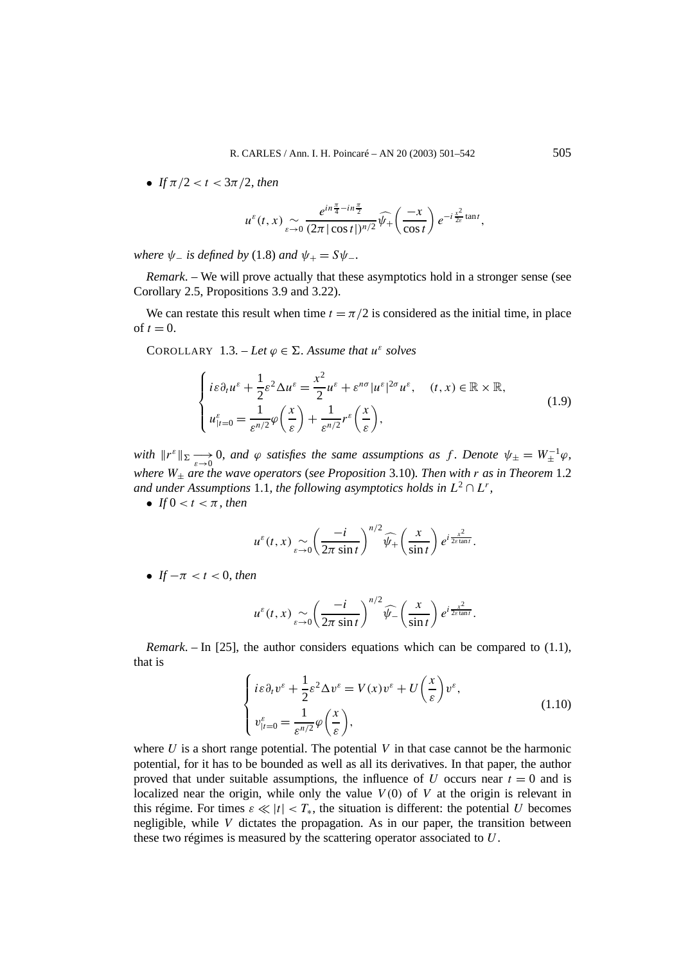• *If*  $\pi/2 < t < 3\pi/2$ *, then* 

$$
u^{\varepsilon}(t,x) \underset{\varepsilon \to 0}{\sim} \frac{e^{in\frac{\pi}{4}-in\frac{\pi}{2}}}{(2\pi|\cos t|)^{n/2}}\widehat{\psi}_{+}\left(\frac{-x}{\cos t}\right)e^{-i\frac{x^2}{2\varepsilon}\tan t},
$$

*where*  $\psi$ <sup>*-*</sup> *is defined by* (1.8) *and*  $\psi$ <sup>*+*</sup> =  $S\psi$ <sup>*-*</sup>*.* 

*Remark*. – We will prove actually that these asymptotics hold in a stronger sense (see Corollary 2.5, Propositions 3.9 and 3.22).

We can restate this result when time  $t = \pi/2$  is considered as the initial time, in place of  $t = 0$ .

COROLLARY 1.3. – Let  $\varphi \in \Sigma$ . Assume that  $u^{\varepsilon}$  solves

$$
\begin{cases}\ni\varepsilon\partial_t u^{\varepsilon} + \frac{1}{2}\varepsilon^2 \Delta u^{\varepsilon} = \frac{x^2}{2}u^{\varepsilon} + \varepsilon^{n\sigma}|u^{\varepsilon}|^{2\sigma}u^{\varepsilon}, & (t, x) \in \mathbb{R} \times \mathbb{R}, \\
u^{\varepsilon}_{|t=0} = \frac{1}{\varepsilon^{n/2}}\varphi\left(\frac{x}{\varepsilon}\right) + \frac{1}{\varepsilon^{n/2}}r^{\varepsilon}\left(\frac{x}{\varepsilon}\right),\n\end{cases} \tag{1.9}
$$

*with*  $||r^{\varepsilon}||_{\Sigma} \longrightarrow 0$ , and  $\varphi$  satisfies the same assumptions as f. Denote  $\psi_{\pm} = W_{\pm}^{-1} \varphi$ , *where W*<sup>±</sup> *are the wave operators* (*see Proposition* 3.10)*. Then with r as in Theorem* 1.2 *and under Assumptions* 1.1*, the following asymptotics holds in*  $L^2 \cap L^r$ *,* 

• *If*  $0 < t < \pi$ *, then* 

$$
u^{\varepsilon}(t,x) \sim_{\varepsilon \to 0} \left(\frac{-i}{2\pi \sin t}\right)^{n/2} \widehat{\psi_+}\left(\frac{x}{\sin t}\right) e^{i\frac{x^2}{2\varepsilon \tan t}}.
$$

• *If*  $-\pi < t < 0$ *, then* 

$$
u^{\varepsilon}(t,x) \sim_{\varepsilon \to 0} \left(\frac{-i}{2\pi \sin t}\right)^{n/2} \widehat{\psi}_{-}\left(\frac{x}{\sin t}\right) e^{i\frac{x^2}{2\varepsilon \tan t}}.
$$

*Remark*. – In [25], the author considers equations which can be compared to (1.1), that is

$$
\begin{cases}\ni\varepsilon\partial_t v^\varepsilon + \frac{1}{2}\varepsilon^2 \Delta v^\varepsilon = V(x)v^\varepsilon + U\left(\frac{x}{\varepsilon}\right)v^\varepsilon, \\
v_{|t=0}^\varepsilon = \frac{1}{\varepsilon^{n/2}}\varphi\left(\frac{x}{\varepsilon}\right),\n\end{cases} \tag{1.10}
$$

where  $U$  is a short range potential. The potential  $V$  in that case cannot be the harmonic potential, for it has to be bounded as well as all its derivatives. In that paper, the author proved that under suitable assumptions, the influence of  $U$  occurs near  $t = 0$  and is localized near the origin, while only the value  $V(0)$  of  $V$  at the origin is relevant in this régime. For times  $\varepsilon \ll |t| < T_*$ , the situation is different: the potential *U* becomes negligible, while *V* dictates the propagation. As in our paper, the transition between these two régimes is measured by the scattering operator associated to *U*.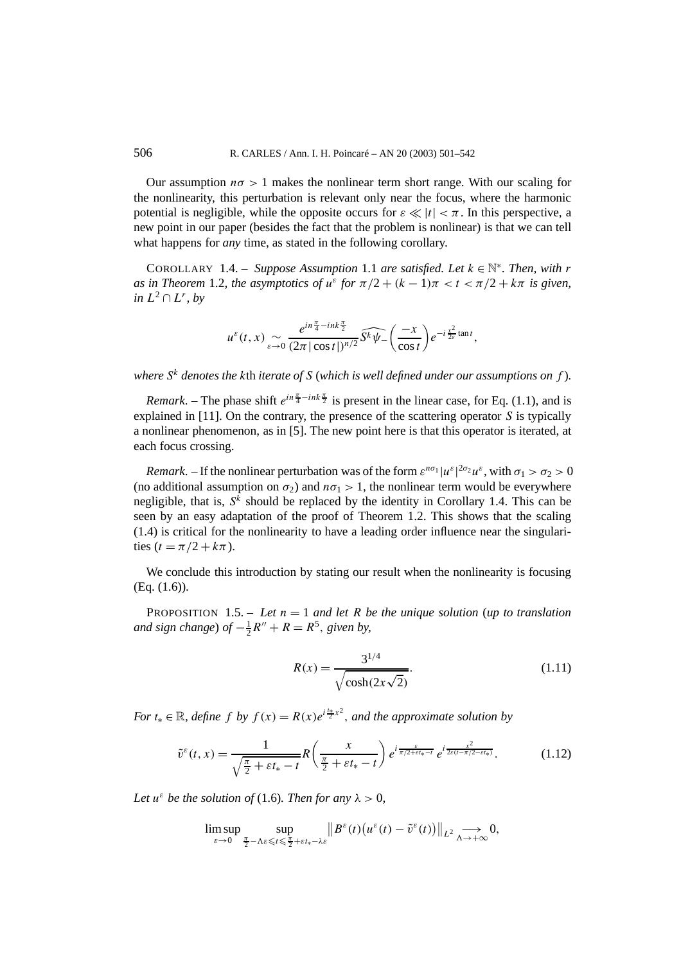Our assumption  $n\sigma > 1$  makes the nonlinear term short range. With our scaling for the nonlinearity, this perturbation is relevant only near the focus, where the harmonic potential is negligible, while the opposite occurs for  $\varepsilon \ll |t| < \pi$ . In this perspective, a new point in our paper (besides the fact that the problem is nonlinear) is that we can tell what happens for *any* time, as stated in the following corollary.

COROLLARY 1.4. – *Suppose Assumption* 1.1 *are satisfied. Let*  $k \in \mathbb{N}^*$ *. Then, with*  $r$ *as in Theorem* 1.2*, the asymptotics of*  $u^{\varepsilon}$  *for*  $\pi/2 + (k-1)\pi < t < \pi/2 + k\pi$  *is given, in L*<sup>2</sup> ∩ *L<sup>r</sup>, by*

$$
u^{\varepsilon}(t,x) \sum_{\varepsilon \to 0} \frac{e^{in\frac{\pi}{4}-ink\frac{\pi}{2}}}{(2\pi|\cos t|)^{n/2}} \widehat{S^k \psi_{-}} \left(\frac{-x}{\cos t}\right) e^{-i\frac{x^2}{2\varepsilon}\tan t},
$$

*where S<sup>k</sup> denotes the k*th *iterate of S* (*which is well defined under our assumptions on f* )*.*

*Remark*. – The phase shift  $e^{in\frac{\pi}{4} - ink\frac{\pi}{2}}$  is present in the linear case, for Eq. (1.1), and is explained in [11]. On the contrary, the presence of the scattering operator *S* is typically a nonlinear phenomenon, as in [5]. The new point here is that this operator is iterated, at each focus crossing.

*Remark*. – If the nonlinear perturbation was of the form  $\varepsilon^{n\sigma_1} |u^{\varepsilon}|^{2\sigma_2} u^{\varepsilon}$ , with  $\sigma_1 > \sigma_2 > 0$ (no additional assumption on  $\sigma_2$ ) and  $n\sigma_1 > 1$ , the nonlinear term would be everywhere negligible, that is,  $S^{\hat{k}}$  should be replaced by the identity in Corollary 1.4. This can be seen by an easy adaptation of the proof of Theorem 1.2. This shows that the scaling (1.4) is critical for the nonlinearity to have a leading order influence near the singularities  $(t = \pi/2 + k\pi)$ .

We conclude this introduction by stating our result when the nonlinearity is focusing (Eq. (1.6)).

PROPOSITION 1.5. – Let  $n = 1$  and let R be the unique solution (up to translation *and sign change*) *of*  $-\frac{1}{2}R'' + R = R^5$ , *given by,* 

$$
R(x) = \frac{3^{1/4}}{\sqrt{\cosh(2x\sqrt{2})}}.
$$
\n(1.11)

*For*  $t_* \in \mathbb{R}$ *, define*  $f$  *by*  $f(x) = R(x)e^{i\frac{t_*}{2}x^2}$ *, and the approximate solution by* 

$$
\tilde{v}^{\varepsilon}(t,x) = \frac{1}{\sqrt{\frac{\pi}{2} + \varepsilon t_{*} - t}} R\left(\frac{x}{\frac{\pi}{2} + \varepsilon t_{*} - t}\right) e^{i \frac{\varepsilon}{\pi/2 + \varepsilon t_{*} - t}} e^{i \frac{x^{2}}{2\varepsilon(t - \pi/2 - \varepsilon t_{*})}}.
$$
(1.12)

*Let*  $u^{\varepsilon}$  *be the solution of* (1.6)*. Then for any*  $\lambda > 0$ *,* 

$$
\limsup_{\varepsilon\to 0}\sup_{\frac{\pi}{2}-\Lambda\varepsilon\leqslant t\leqslant\frac{\pi}{2}+\varepsilon t_*-\lambda\varepsilon}\big\|B^\varepsilon(t)\big(u^\varepsilon(t)-\tilde v^\varepsilon(t)\big)\big\|_{L^2}\xrightarrow[\Lambda\to+\infty]{}0,
$$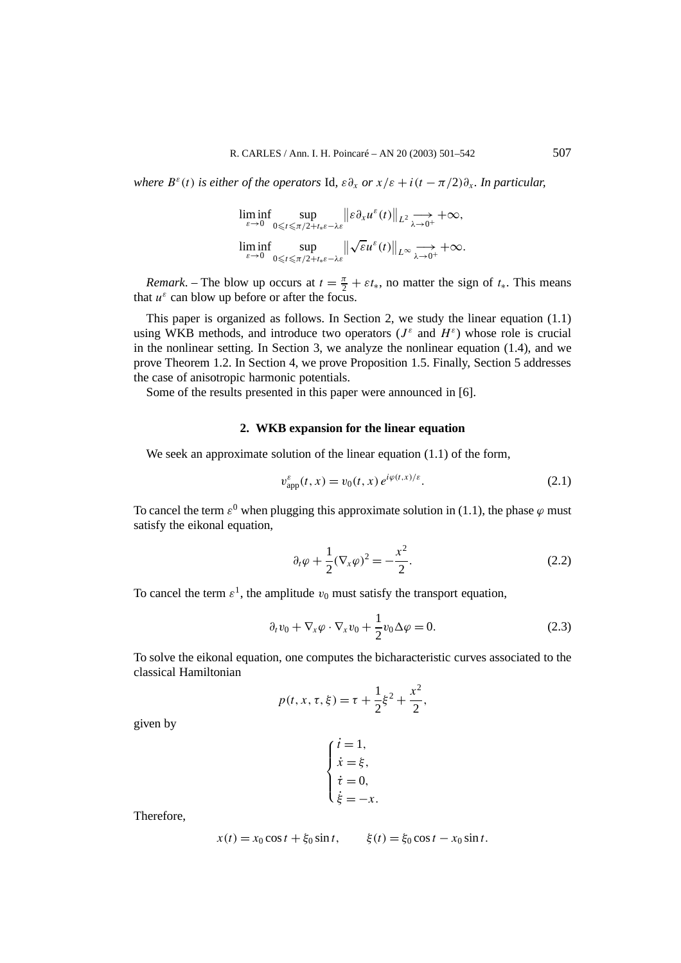*where*  $B^{\varepsilon}(t)$  *is either of the operators* Id,  $\varepsilon \partial_x$  *or*  $x/\varepsilon + i(t - \pi/2)\partial_x$ *. In particular,* 

$$
\liminf_{\varepsilon \to 0} \sup_{0 \leq t \leq \pi/2 + t_* \varepsilon - \lambda \varepsilon} \|\varepsilon \partial_x u^{\varepsilon}(t)\|_{L^2} \xrightarrow[\varepsilon \to 0]{} + \infty,
$$
  

$$
\liminf_{\varepsilon \to 0} \sup_{0 \leq t \leq \pi/2 + t_* \varepsilon - \lambda \varepsilon} \|\sqrt{\varepsilon} u^{\varepsilon}(t)\|_{L^{\infty}} \xrightarrow[\lambda \to 0]{} + \infty.
$$

*Remark*. – The blow up occurs at  $t = \frac{\pi}{2} + \varepsilon t_*$ , no matter the sign of  $t_*$ . This means that  $u^{\varepsilon}$  can blow up before or after the focus.

This paper is organized as follows. In Section 2, we study the linear equation (1.1) using WKB methods, and introduce two operators ( $J^{\varepsilon}$  and  $H^{\varepsilon}$ ) whose role is crucial in the nonlinear setting. In Section 3, we analyze the nonlinear equation (1.4), and we prove Theorem 1.2. In Section 4, we prove Proposition 1.5. Finally, Section 5 addresses the case of anisotropic harmonic potentials.

Some of the results presented in this paper were announced in [6].

### **2. WKB expansion for the linear equation**

We seek an approximate solution of the linear equation  $(1.1)$  of the form,

$$
v_{\rm app}^{\varepsilon}(t, x) = v_0(t, x) e^{i\varphi(t, x)/\varepsilon}.
$$
 (2.1)

To cancel the term  $\varepsilon^0$  when plugging this approximate solution in (1.1), the phase  $\varphi$  must satisfy the eikonal equation,

$$
\partial_t \varphi + \frac{1}{2} (\nabla_x \varphi)^2 = -\frac{x^2}{2}.
$$
 (2.2)

To cancel the term  $\varepsilon^1$ , the amplitude  $v_0$  must satisfy the transport equation,

$$
\partial_t v_0 + \nabla_x \varphi \cdot \nabla_x v_0 + \frac{1}{2} v_0 \Delta \varphi = 0.
$$
 (2.3)

To solve the eikonal equation, one computes the bicharacteristic curves associated to the classical Hamiltonian

$$
p(t, x, \tau, \xi) = \tau + \frac{1}{2}\xi^2 + \frac{x^2}{2},
$$

given by

$$
\begin{cases}\n\dot{t} = 1, \\
\dot{x} = \xi, \\
\dot{t} = 0, \\
\dot{\xi} = -x.\n\end{cases}
$$

Therefore,

$$
x(t) = x_0 \cos t + \xi_0 \sin t, \qquad \xi(t) = \xi_0 \cos t - x_0 \sin t.
$$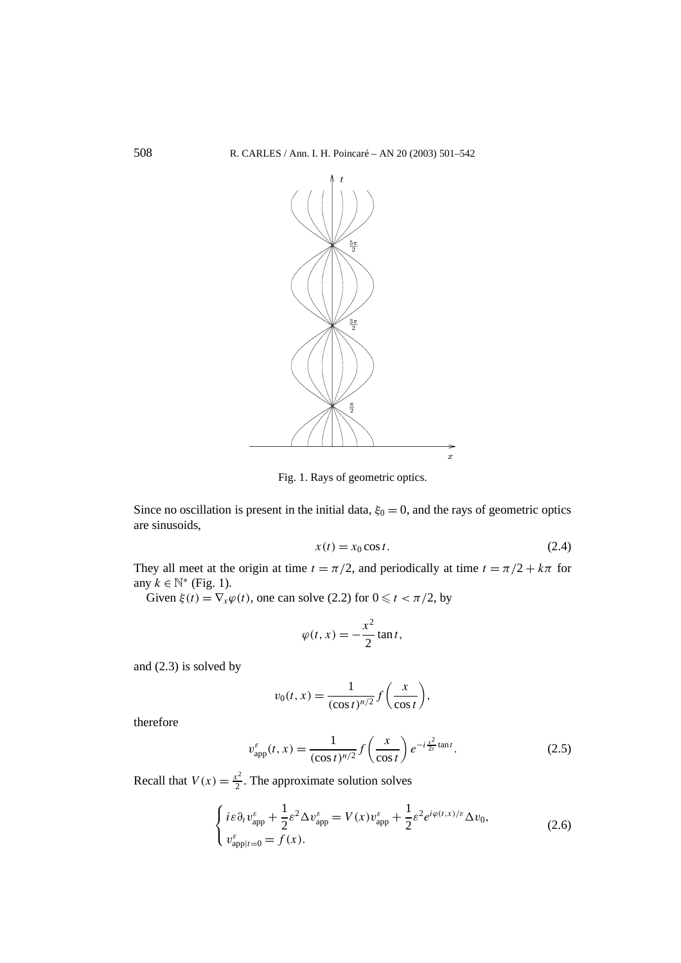

Fig. 1. Rays of geometric optics.

Since no oscillation is present in the initial data,  $\xi_0 = 0$ , and the rays of geometric optics are sinusoids,

$$
x(t) = x_0 \cos t. \tag{2.4}
$$

They all meet at the origin at time  $t = \pi/2$ , and periodically at time  $t = \pi/2 + k\pi$  for any  $k \in \mathbb{N}^*$  (Fig. 1).

Given  $\xi(t) = \nabla_x \varphi(t)$ , one can solve (2.2) for  $0 \le t < \pi/2$ , by

$$
\varphi(t,x) = -\frac{x^2}{2}\tan t,
$$

and (2.3) is solved by

$$
v_0(t,x) = \frac{1}{(\cos t)^{n/2}} f\left(\frac{x}{\cos t}\right),\,
$$

therefore

$$
v_{\rm app}^{\varepsilon}(t,x) = \frac{1}{(\cos t)^{n/2}} f\left(\frac{x}{\cos t}\right) e^{-i\frac{x^2}{2\varepsilon}\tan t}.
$$
 (2.5)

Recall that  $V(x) = \frac{x^2}{2}$ . The approximate solution solves

$$
\begin{cases}\ni\varepsilon\partial_t v_{\rm app}^{\varepsilon} + \frac{1}{2}\varepsilon^2 \Delta v_{\rm app}^{\varepsilon} = V(x)v_{\rm app}^{\varepsilon} + \frac{1}{2}\varepsilon^2 e^{i\varphi(t,x)/\varepsilon} \Delta v_0, \\
v_{\rm app|t=0}^{\varepsilon} = f(x).\n\end{cases} \tag{2.6}
$$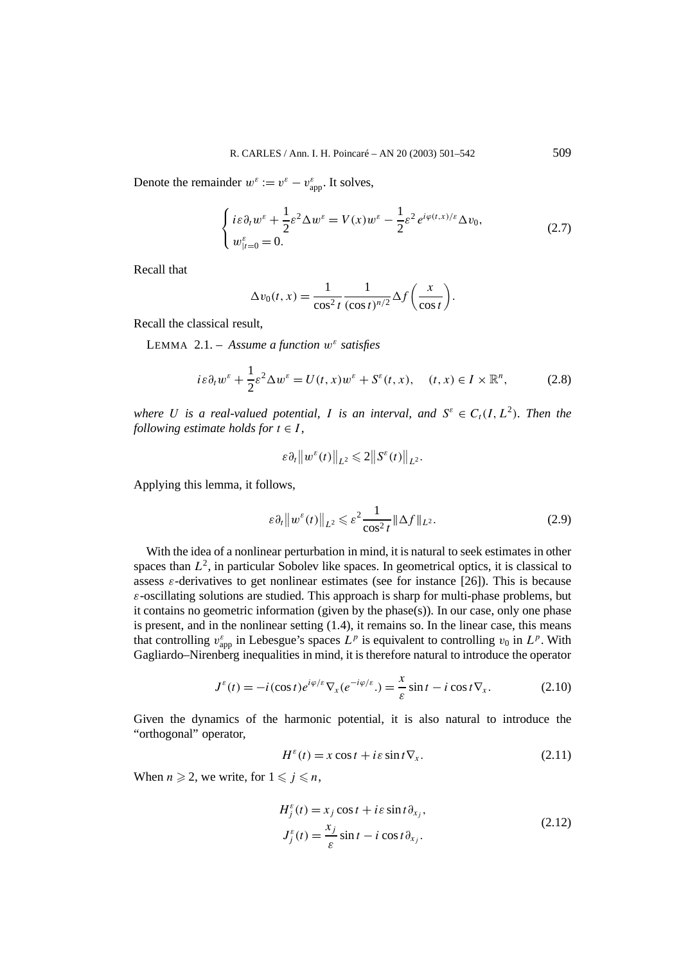Denote the remainder  $w^{\varepsilon} := v^{\varepsilon} - v_{app}^{\varepsilon}$ . It solves,

$$
\begin{cases} i\varepsilon\partial_t w^\varepsilon + \frac{1}{2}\varepsilon^2 \Delta w^\varepsilon = V(x)w^\varepsilon - \frac{1}{2}\varepsilon^2 e^{i\varphi(t,x)/\varepsilon} \Delta v_0, \\ w_{|t=0}^\varepsilon = 0. \end{cases} \tag{2.7}
$$

Recall that

$$
\Delta v_0(t, x) = \frac{1}{\cos^2 t} \frac{1}{(\cos t)^{n/2}} \Delta f\left(\frac{x}{\cos t}\right).
$$

Recall the classical result,

LEMMA 2.1. – *Assume a function w<sup>ε</sup> satisfies*

$$
i\varepsilon \partial_t w^\varepsilon + \frac{1}{2}\varepsilon^2 \Delta w^\varepsilon = U(t, x)w^\varepsilon + S^\varepsilon(t, x), \quad (t, x) \in I \times \mathbb{R}^n, \tag{2.8}
$$

*where U is a real-valued potential, I is an interval, and*  $S^{\varepsilon} \in C_t(I, L^2)$ *. Then the following estimate holds for*  $t \in I$ ,

$$
\varepsilon \partial_t \|w^{\varepsilon}(t)\|_{L^2} \leq 2 \|S^{\varepsilon}(t)\|_{L^2}.
$$

Applying this lemma, it follows,

$$
\varepsilon \partial_t \|w^\varepsilon(t)\|_{L^2} \leqslant \varepsilon^2 \frac{1}{\cos^2 t} \|\Delta f\|_{L^2}.
$$

With the idea of a nonlinear perturbation in mind, it is natural to seek estimates in other spaces than  $L^2$ , in particular Sobolev like spaces. In geometrical optics, it is classical to assess  $\varepsilon$ -derivatives to get nonlinear estimates (see for instance [26]). This is because *ε*-oscillating solutions are studied. This approach is sharp for multi-phase problems, but it contains no geometric information (given by the phase(s)). In our case, only one phase is present, and in the nonlinear setting (1.4), it remains so. In the linear case, this means that controlling  $v_{app}^{\varepsilon}$  in Lebesgue's spaces  $L^p$  is equivalent to controlling  $v_0$  in  $L^p$ . With Gagliardo–Nirenberg inequalities in mind, it is therefore natural to introduce the operator

$$
J^{\varepsilon}(t) = -i(\cos t)e^{i\varphi/\varepsilon}\nabla_x(e^{-i\varphi/\varepsilon}) = \frac{x}{\varepsilon}\sin t - i\cos t\nabla_x.
$$
 (2.10)

Given the dynamics of the harmonic potential, it is also natural to introduce the "orthogonal" operator,

$$
H^{\varepsilon}(t) = x \cos t + i \varepsilon \sin t \nabla_x.
$$
 (2.11)

When  $n \ge 2$ , we write, for  $1 \le j \le n$ ,

$$
H_j^{\varepsilon}(t) = x_j \cos t + i\varepsilon \sin t \partial_{x_j},
$$
  
\n
$$
J_j^{\varepsilon}(t) = \frac{x_j}{\varepsilon} \sin t - i \cos t \partial_{x_j}.
$$
\n(2.12)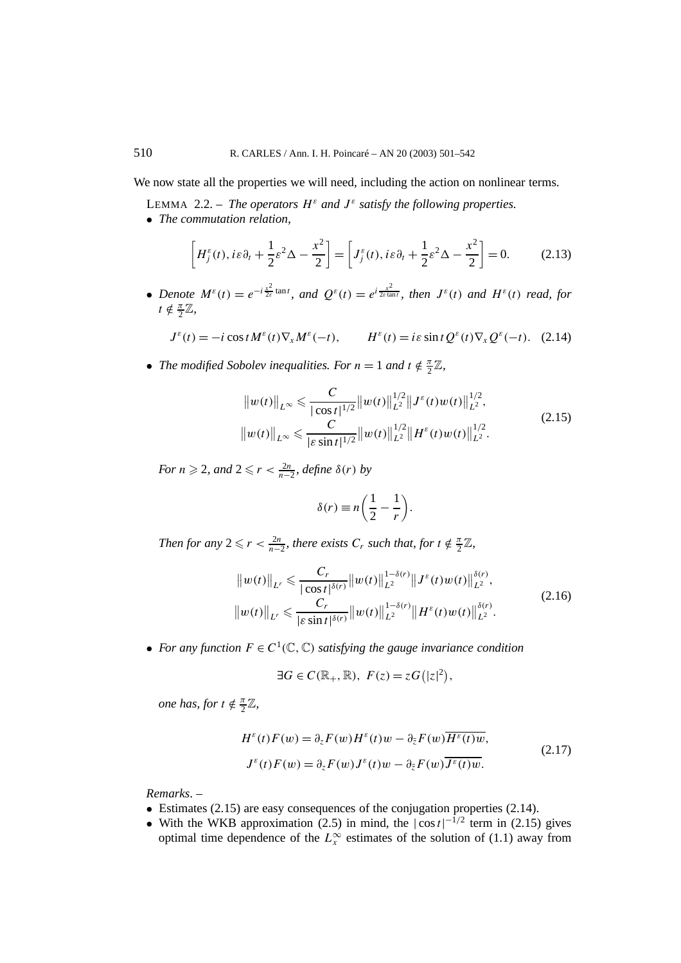We now state all the properties we will need, including the action on nonlinear terms.

- LEMMA 2.2. *The operators*  $H^{\varepsilon}$  *and*  $J^{\varepsilon}$  *satisfy the following properties.*
- *The commutation relation,*

$$
\[H_j^{\varepsilon}(t), i\varepsilon\partial_t + \frac{1}{2}\varepsilon^2\Delta - \frac{x^2}{2}\] = \left[J_j^{\varepsilon}(t), i\varepsilon\partial_t + \frac{1}{2}\varepsilon^2\Delta - \frac{x^2}{2}\right] = 0.\tag{2.13}
$$

• Denote  $M^{\varepsilon}(t) = e^{-i\frac{x^2}{2\varepsilon}\tan t}$ , and  $Q^{\varepsilon}(t) = e^{i\frac{x^2}{2\varepsilon\tan t}}$ , then  $J^{\varepsilon}(t)$  and  $H^{\varepsilon}(t)$  read, for  $t \notin \frac{\pi}{2}\mathbb{Z},$ 

$$
J^{\varepsilon}(t) = -i\cos t M^{\varepsilon}(t) \nabla_x M^{\varepsilon}(-t), \qquad H^{\varepsilon}(t) = i\varepsilon \sin t Q^{\varepsilon}(t) \nabla_x Q^{\varepsilon}(-t). \tag{2.14}
$$

• *The modified Sobolev inequalities. For*  $n = 1$  *and*  $t \notin \frac{\pi}{2}\mathbb{Z}$ *,* 

$$
||w(t)||_{L^{\infty}} \leq C \frac{C}{|\cos t|^{1/2}} ||w(t)||_{L^{2}}^{1/2} ||J^{\varepsilon}(t)w(t)||_{L^{2}}^{1/2},
$$
  
\n
$$
||w(t)||_{L^{\infty}} \leq C \frac{C}{|\varepsilon \sin t|^{1/2}} ||w(t)||_{L^{2}}^{1/2} ||H^{\varepsilon}(t)w(t)||_{L^{2}}^{1/2}.
$$
\n(2.15)

*For*  $n \ge 2$ *, and*  $2 \le r < \frac{2n}{n-2}$ *, define*  $\delta(r)$  *by* 

$$
\delta(r) \equiv n \left( \frac{1}{2} - \frac{1}{r} \right).
$$

*Then for any*  $2 \leq r < \frac{2n}{n-2}$ , there exists  $C_r$  such that, for  $t \notin \frac{\pi}{2}\mathbb{Z}$ ,

$$
\|w(t)\|_{L^r} \leq \frac{C_r}{|\cos t|^{\delta(r)}} \|w(t)\|_{L^2}^{1-\delta(r)} \|J^{\varepsilon}(t)w(t)\|_{L^2}^{\delta(r)},
$$
  

$$
\|w(t)\|_{L^r} \leq \frac{C_r}{|\varepsilon \sin t|^{\delta(r)}} \|w(t)\|_{L^2}^{1-\delta(r)} \|H^{\varepsilon}(t)w(t)\|_{L^2}^{\delta(r)}.
$$
 (2.16)

• *For any function*  $F \in C^1(\mathbb{C}, \mathbb{C})$  *satisfying the gauge invariance condition* 

$$
\exists G \in C(\mathbb{R}_+, \mathbb{R}), \ F(z) = zG(|z|^2),
$$

*one has, for*  $t \notin \frac{\pi}{2}\mathbb{Z}$ *,* 

$$
H^{\varepsilon}(t)F(w) = \partial_{z}F(w)H^{\varepsilon}(t)w - \partial_{\bar{z}}F(w)\overline{H^{\varepsilon}(t)w},
$$
  
\n
$$
J^{\varepsilon}(t)F(w) = \partial_{z}F(w)J^{\varepsilon}(t)w - \partial_{\bar{z}}F(w)\overline{J^{\varepsilon}(t)w}.
$$
\n(2.17)

*Remarks*. –

- Estimates (2.15) are easy consequences of the conjugation properties (2.14).
- With the WKB approximation (2.5) in mind, the  $|\cos t|^{-1/2}$  term in (2.15) gives optimal time dependence of the  $L_x^{\infty}$  estimates of the solution of (1.1) away from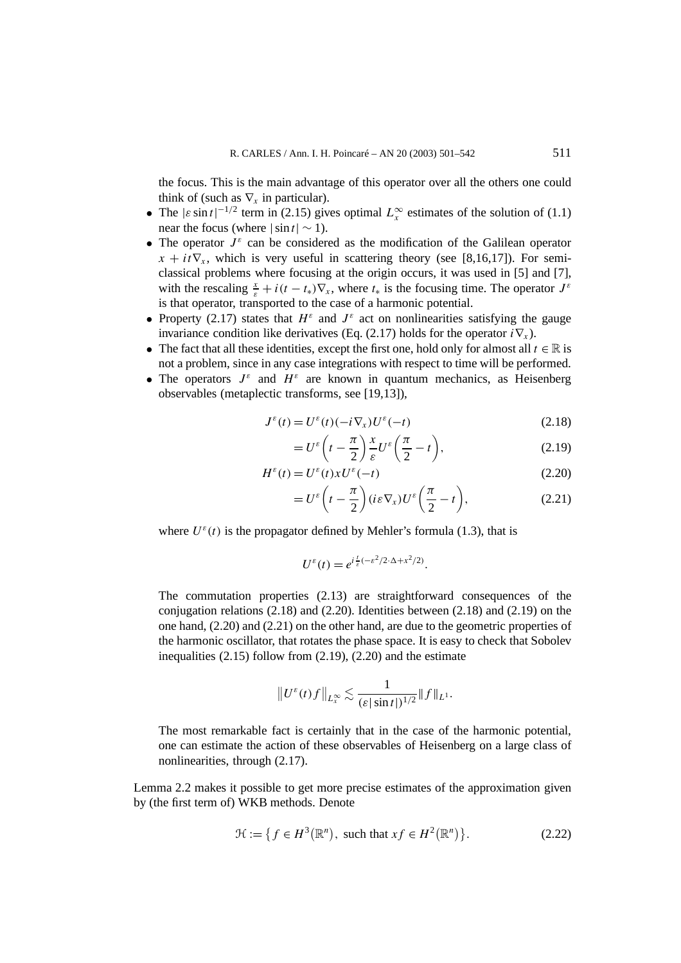the focus. This is the main advantage of this operator over all the others one could think of (such as  $\nabla_x$  in particular).

- The  $|\varepsilon \sin t|^{-1/2}$  term in (2.15) gives optimal  $L_x^{\infty}$  estimates of the solution of (1.1) near the focus (where  $|\sin t| \sim 1$ ).
- The operator  $J^{\varepsilon}$  can be considered as the modification of the Galilean operator  $x + it\nabla_x$ , which is very useful in scattering theory (see [8,16,17]). For semiclassical problems where focusing at the origin occurs, it was used in [5] and [7], with the rescaling  $\frac{x}{\varepsilon} + i(t - t_*)\nabla_x$ , where  $t_*$  is the focusing time. The operator  $J^{\varepsilon}$ is that operator, transported to the case of a harmonic potential.
- Property (2.17) states that  $H^{\varepsilon}$  and  $J^{\varepsilon}$  act on nonlinearities satisfying the gauge invariance condition like derivatives (Eq. (2.17) holds for the operator  $i\nabla$ <sup>x</sup>).
- The fact that all these identities, except the first one, hold only for almost all  $t \in \mathbb{R}$  is not a problem, since in any case integrations with respect to time will be performed.
- The operators  $J^{\varepsilon}$  and  $H^{\varepsilon}$  are known in quantum mechanics, as Heisenberg observables (metaplectic transforms, see [19,13]),

$$
J^{\varepsilon}(t) = U^{\varepsilon}(t)(-i\nabla_x)U^{\varepsilon}(-t)
$$
\n(2.18)

$$
=U^{\varepsilon}\left(t-\frac{\pi}{2}\right)\frac{x}{\varepsilon}U^{\varepsilon}\left(\frac{\pi}{2}-t\right),\tag{2.19}
$$

$$
H^{\varepsilon}(t) = U^{\varepsilon}(t)xU^{\varepsilon}(-t)
$$
\n(2.20)

$$
=U^{\varepsilon}\bigg(t-\frac{\pi}{2}\bigg)(i\varepsilon\nabla_{x})U^{\varepsilon}\bigg(\frac{\pi}{2}-t\bigg), \qquad (2.21)
$$

where  $U^{\varepsilon}(t)$  is the propagator defined by Mehler's formula (1.3), that is

$$
U^{\varepsilon}(t) = e^{i\frac{t}{\varepsilon}(-\varepsilon^2/2\cdot\Delta + x^2/2)}.
$$

The commutation properties (2.13) are straightforward consequences of the conjugation relations (2.18) and (2.20). Identities between (2.18) and (2.19) on the one hand, (2.20) and (2.21) on the other hand, are due to the geometric properties of the harmonic oscillator, that rotates the phase space. It is easy to check that Sobolev inequalities (2.15) follow from (2.19), (2.20) and the estimate

$$
||U^{\varepsilon}(t)f||_{L^{\infty}_{x}} \lesssim \frac{1}{(\varepsilon |\sin t|)^{1/2}} ||f||_{L^{1}}.
$$

The most remarkable fact is certainly that in the case of the harmonic potential, one can estimate the action of these observables of Heisenberg on a large class of nonlinearities, through (2.17).

Lemma 2.2 makes it possible to get more precise estimates of the approximation given by (the first term of) WKB methods. Denote

$$
\mathcal{H} := \{ f \in H^3(\mathbb{R}^n), \text{ such that } xf \in H^2(\mathbb{R}^n) \}. \tag{2.22}
$$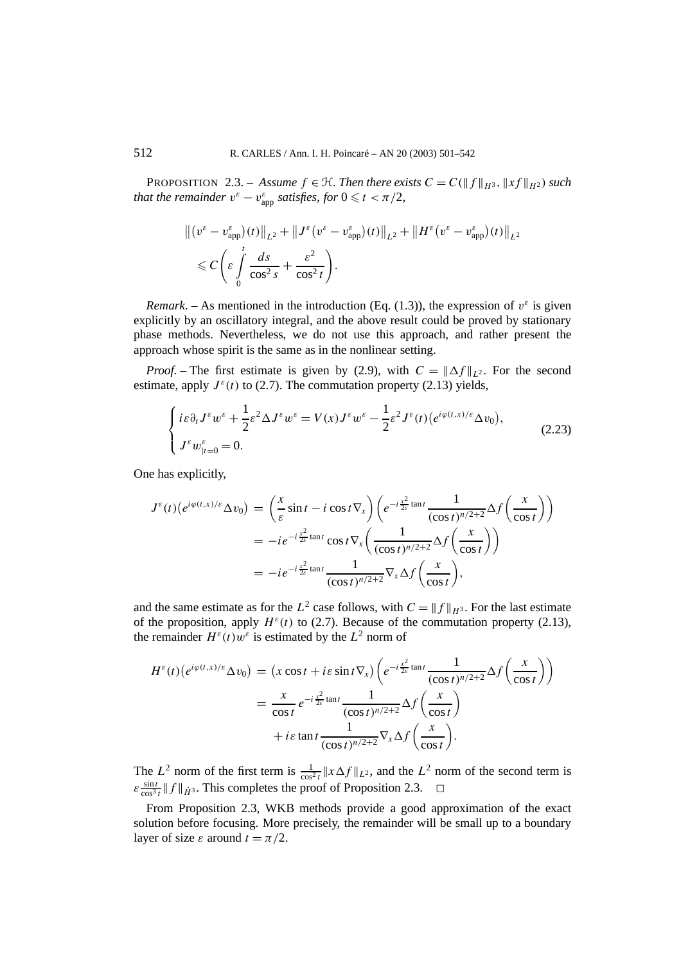**PROPOSITION** 2.3. – *Assume*  $f \in H$ *. Then there exists*  $C = C(\|f\|_{H^3}, \|xf\|_{H^2})$  *such that the remainder*  $v^{\varepsilon} - v_{app}^{\varepsilon}$  *satisfies, for*  $0 \leq t < \pi/2$ *,* 

$$
\begin{split} & \left\| \left(v^{\varepsilon} - v_{\mathrm{app}}^{\varepsilon}\right)(t) \right\|_{L^{2}} + \left\| J^{\varepsilon} \left(v^{\varepsilon} - v_{\mathrm{app}}^{\varepsilon}\right)(t) \right\|_{L^{2}} + \left\| H^{\varepsilon} \left(v^{\varepsilon} - v_{\mathrm{app}}^{\varepsilon}\right)(t) \right\|_{L^{2}} \\ & \leqslant C \left( \varepsilon \int\limits_{0}^{t} \frac{ds}{\cos^{2} s} + \frac{\varepsilon^{2}}{\cos^{2} t} \right). \end{split}
$$

*Remark*. – As mentioned in the introduction (Eq. (1.3)), the expression of  $v^{\varepsilon}$  is given explicitly by an oscillatory integral, and the above result could be proved by stationary phase methods. Nevertheless, we do not use this approach, and rather present the approach whose spirit is the same as in the nonlinear setting.

*Proof.* – The first estimate is given by (2.9), with  $C = ||\Delta f||_{L^2}$ . For the second estimate, apply  $J^{\varepsilon}(t)$  to (2.7). The commutation property (2.13) yields,

$$
\begin{cases} i\varepsilon \partial_t J^\varepsilon w^\varepsilon + \frac{1}{2}\varepsilon^2 \Delta J^\varepsilon w^\varepsilon = V(x)J^\varepsilon w^\varepsilon - \frac{1}{2}\varepsilon^2 J^\varepsilon(t) \big( e^{i\varphi(t,x)/\varepsilon} \Delta v_0 \big), \\ J^\varepsilon w_{|t=0}^\varepsilon = 0. \end{cases} \tag{2.23}
$$

One has explicitly,

$$
J^{\varepsilon}(t)\left(e^{i\varphi(t,x)/\varepsilon}\Delta v_{0}\right) = \left(\frac{x}{\varepsilon}\sin t - i\cos t\nabla_{x}\right)\left(e^{-i\frac{x^{2}}{2\varepsilon}\tan t}\frac{1}{(\cos t)^{n/2+2}}\Delta f\left(\frac{x}{\cos t}\right)\right)
$$
  
=  $-ie^{-i\frac{x^{2}}{2\varepsilon}\tan t}\cos t\nabla_{x}\left(\frac{1}{(\cos t)^{n/2+2}}\Delta f\left(\frac{x}{\cos t}\right)\right)$   
=  $-ie^{-i\frac{x^{2}}{2\varepsilon}\tan t}\frac{1}{(\cos t)^{n/2+2}}\nabla_{x}\Delta f\left(\frac{x}{\cos t}\right),$ 

and the same estimate as for the  $L^2$  case follows, with  $C = ||f||_{H^3}$ . For the last estimate of the proposition, apply  $H^{\varepsilon}(t)$  to (2.7). Because of the commutation property (2.13), the remainder  $H^{\varepsilon}(t)$ w<sup> $\varepsilon$ </sup> is estimated by the  $L^2$  norm of

$$
H^{\varepsilon}(t)(e^{i\varphi(t,x)/\varepsilon}\Delta v_0) = (x\cos t + i\varepsilon\sin t \nabla_x)\left(e^{-i\frac{x^2}{2\varepsilon}\tan t}\frac{1}{(\cos t)^{n/2+2}}\Delta f\left(\frac{x}{\cos t}\right)\right)
$$
  

$$
= \frac{x}{\cos t}e^{-i\frac{x^2}{2\varepsilon}\tan t}\frac{1}{(\cos t)^{n/2+2}}\Delta f\left(\frac{x}{\cos t}\right)
$$
  

$$
+ i\varepsilon\tan t\frac{1}{(\cos t)^{n/2+2}}\nabla_x\Delta f\left(\frac{x}{\cos t}\right).
$$

The  $L^2$  norm of the first term is  $\frac{1}{\cos^2 t} ||x \Delta f||_{L^2}$ , and the  $L^2$  norm of the second term is  $\varepsilon \frac{\sin t}{\cos^3 t}$   $|| f ||_{\dot{H}^3}$ . This completes the proof of Proposition 2.3.  $\Box$ 

From Proposition 2.3, WKB methods provide a good approximation of the exact solution before focusing. More precisely, the remainder will be small up to a boundary layer of size  $\varepsilon$  around  $t = \pi/2$ .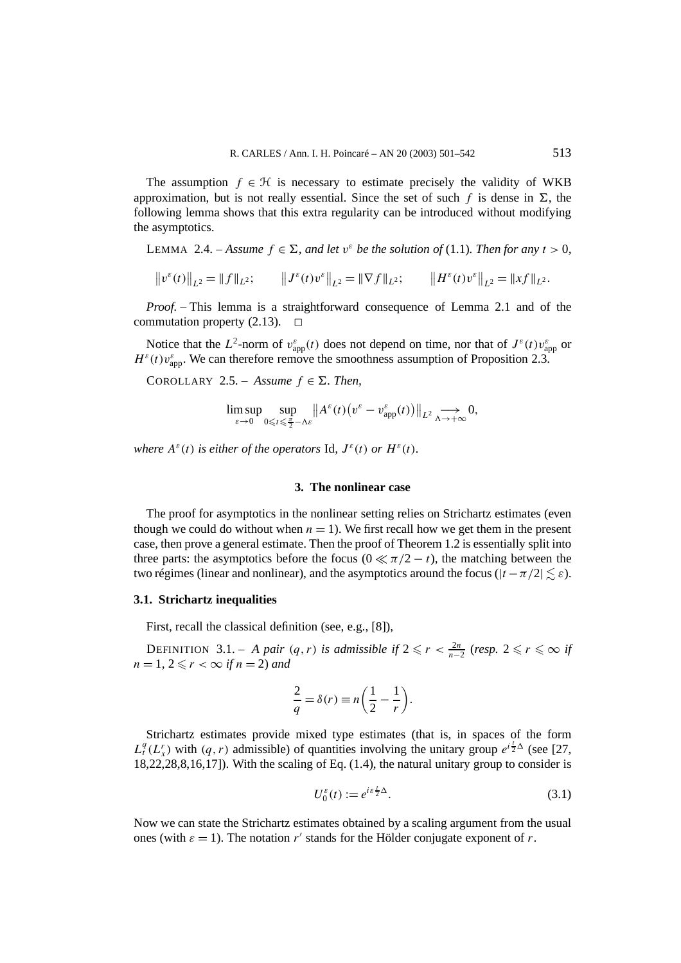The assumption  $f \in \mathcal{H}$  is necessary to estimate precisely the validity of WKB approximation, but is not really essential. Since the set of such f is dense in  $\Sigma$ , the following lemma shows that this extra regularity can be introduced without modifying the asymptotics.

LEMMA 2.4. – *Assume*  $f \in \Sigma$ , and let  $v^{\varepsilon}$  be the solution of (1.1). Then for any  $t > 0$ ,

 $||v^{\varepsilon}(t)||_{L^{2}} = ||f||_{L^{2}}; \qquad ||J^{\varepsilon}(t)v^{\varepsilon}||_{L^{2}} = ||\nabla f||_{L^{2}}; \qquad ||H^{\varepsilon}(t)v^{\varepsilon}||_{L^{2}} = ||xf||_{L^{2}}.$ 

*Proof. –* This lemma is a straightforward consequence of Lemma 2.1 and of the commutation property  $(2.13)$ .  $\Box$ 

Notice that the  $L^2$ -norm of  $v_{app}^{\varepsilon}(t)$  does not depend on time, nor that of  $J^{\varepsilon}(t)v_{app}^{\varepsilon}$  or  $H^{\varepsilon}(t)v_{\text{app}}^{\varepsilon}$ . We can therefore remove the smoothness assumption of Proposition 2.3.

COROLLARY 2.5. – Assume  $f \in \Sigma$ . Then,

$$
\limsup_{\varepsilon\to 0}\sup_{0\leqslant t\leqslant \frac{\pi}{2}-\Lambda\varepsilon}\big\|A^\varepsilon(t)\big(v^\varepsilon-v_{\rm app}^\varepsilon(t)\big)\big\|_{L^2}\underset{\Lambda\to+\infty}{\longrightarrow}0,
$$

*where*  $A^{\varepsilon}(t)$  *is either of the operators* Id,  $J^{\varepsilon}(t)$  *or*  $H^{\varepsilon}(t)$ *.* 

## **3. The nonlinear case**

The proof for asymptotics in the nonlinear setting relies on Strichartz estimates (even though we could do without when  $n = 1$ ). We first recall how we get them in the present case, then prove a general estimate. Then the proof of Theorem 1.2 is essentially split into three parts: the asymptotics before the focus ( $0 \ll \pi/2 - t$ ), the matching between the two régimes (linear and nonlinear), and the asymptotics around the focus ( $|t - \pi/2| \leq \varepsilon$ ).

#### **3.1. Strichartz inequalities**

First, recall the classical definition (see, e.g., [8]),

DEFINITION 3.1. – *A pair*  $(q, r)$  *is admissible if*  $2 \leqslant r < \frac{2n}{n-2}$  (*resp.*  $2 \leqslant r \leqslant \infty$  *if*  $n = 1, 2 \leq r < \infty$  *if*  $n = 2$ *)* and

$$
\frac{2}{q} = \delta(r) \equiv n \left( \frac{1}{2} - \frac{1}{r} \right).
$$

Strichartz estimates provide mixed type estimates (that is, in spaces of the form  $L_t^q(L_x^r)$  with  $(q, r)$  admissible) of quantities involving the unitary group  $e^{i\frac{t}{2}\Delta}$  (see [27, 18,22,28,8,16,17]). With the scaling of Eq. (1.4), the natural unitary group to consider is

$$
U_0^{\varepsilon}(t) := e^{i\varepsilon \frac{t}{2}\Delta}.
$$
\n(3.1)

Now we can state the Strichartz estimates obtained by a scaling argument from the usual ones (with  $\varepsilon = 1$ ). The notation *r'* stands for the Hölder conjugate exponent of *r*.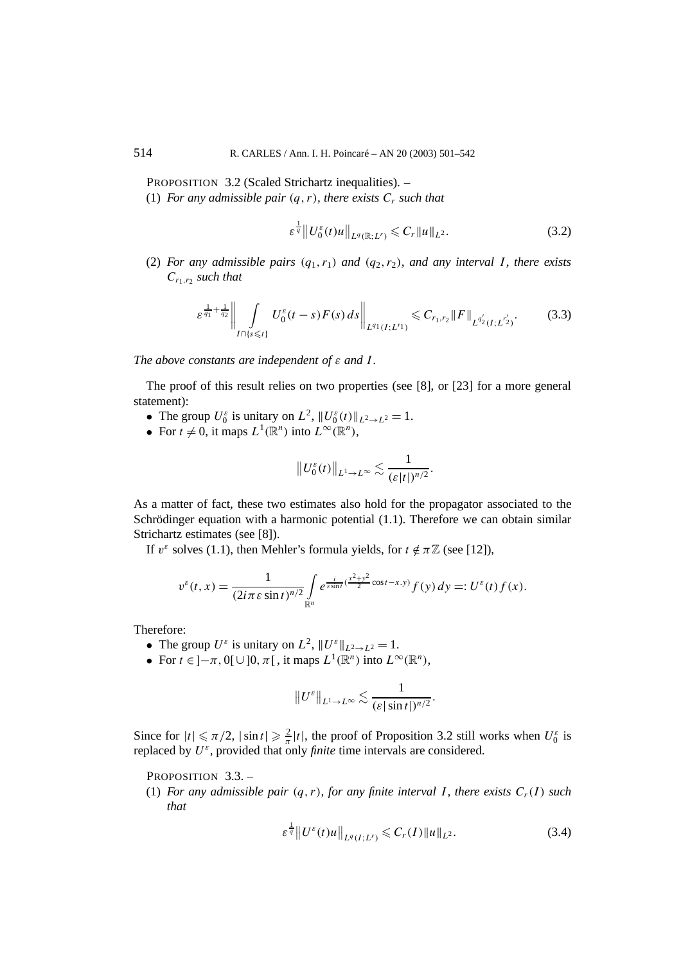PROPOSITION 3.2 (Scaled Strichartz inequalities). –

(1) *For any admissible pair*  $(q, r)$ *, there exists*  $C_r$  *such that* 

$$
\varepsilon^{\frac{1}{q}} \| U_0^{\varepsilon}(t)u \|_{L^q(\mathbb{R};L^r)} \leqslant C_r \| u \|_{L^2}.
$$
 (3.2)

(2) *For any admissible pairs*  $(q_1, r_1)$  *and*  $(q_2, r_2)$ *, and any interval I, there exists Cr*1*,r*<sup>2</sup> *such that*

$$
\varepsilon^{\frac{1}{q_1} + \frac{1}{q_2}} \bigg\| \int_{I \cap \{s \leq t\}} U_0^{\varepsilon}(t-s) F(s) \, ds \bigg\|_{L^{q_1}(I;L^{r_1})} \leq C_{r_1,r_2} \|F\|_{L^{q_2'}(I;L^{r_2'})}. \tag{3.3}
$$

*The above constants are independent of ε and I .*

The proof of this result relies on two properties (see [8], or [23] for a more general statement):

- The group  $U_0^{\varepsilon}$  is unitary on  $L^2$ ,  $||U_0^{\varepsilon}(t)||_{L^2 \to L^2} = 1$ .
- For  $t \neq 0$ , it maps  $L^1(\mathbb{R}^n)$  into  $L^\infty(\mathbb{R}^n)$ ,

$$
||U_0^{\varepsilon}(t)||_{L^1\to L^{\infty}}\lesssim \frac{1}{(\varepsilon|t|)^{n/2}}.
$$

As a matter of fact, these two estimates also hold for the propagator associated to the Schrödinger equation with a harmonic potential (1.1). Therefore we can obtain similar Strichartz estimates (see [8]).

If  $v^{\varepsilon}$  solves (1.1), then Mehler's formula yields, for  $t \notin \pi \mathbb{Z}$  (see [12]),

$$
v^{\varepsilon}(t,x)=\frac{1}{(2i\pi\varepsilon\sin t)^{n/2}}\int\limits_{\mathbb{R}^n}e^{\frac{i}{\varepsilon\sin t}(\frac{x^2+y^2}{2}\cos t-x.y)}f(y)\,dy=:U^{\varepsilon}(t)f(x).
$$

Therefore:

- The group  $U^{\varepsilon}$  is unitary on  $L^2$ ,  $||U^{\varepsilon}||_{L^2 \to L^2} = 1$ .
- For  $t \in ]-\pi, 0[ \cup ]0, \pi[$ , it maps  $L^1(\mathbb{R}^n)$  into  $L^\infty(\mathbb{R}^n)$ ,

$$
||U^{\varepsilon}||_{L^1\to L^\infty}\lesssim \frac{1}{(\varepsilon|\sin t|)^{n/2}}.
$$

Since for  $|t| \le \pi/2$ ,  $|\sin t| \ge \frac{2}{\pi} |t|$ , the proof of Proposition 3.2 still works when  $U_0^{\varepsilon}$  is replaced by  $U^{\varepsilon}$ , provided that only *finite* time intervals are considered.

PROPOSITION 3.3. -

(1) *For any admissible pair*  $(q, r)$ *, for any finite interval I, there exists*  $C_r(I)$  *such that*

$$
\varepsilon^{\frac{1}{q}} \| U^{\varepsilon}(t)u \|_{L^{q}(I;L^{r})} \leqslant C_{r}(I) \| u \|_{L^{2}}.
$$
\n(3.4)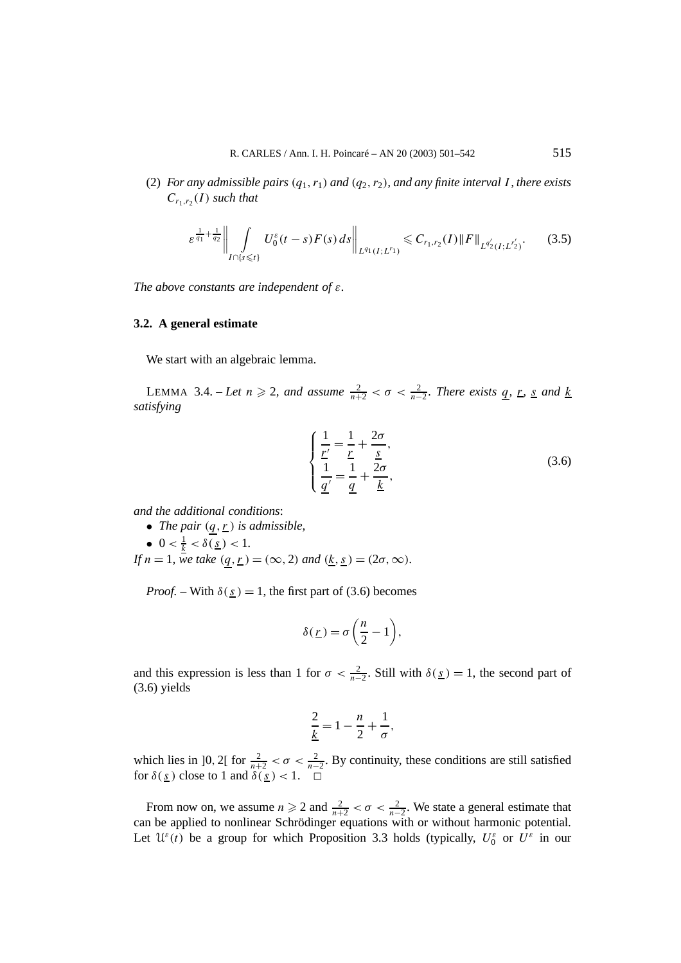(2) *For any admissible pairs*  $(q_1, r_1)$  *and*  $(q_2, r_2)$ *, and any finite interval I, there exists*  $C_{r_1,r_2}(I)$  *such that* 

$$
\varepsilon^{\frac{1}{q_1} + \frac{1}{q_2}} \bigg\| \int\limits_{I \cap \{s \leq t\}} U_0^{\varepsilon}(t-s) F(s) \, ds \bigg\|_{L^{q_1}(I;L^{r_1})} \leq C_{r_1,r_2}(I) \|F\|_{L^{q_2'}(I;L^{r_2'})}. \tag{3.5}
$$

*The above constants are independent of ε.*

#### **3.2. A general estimate**

We start with an algebraic lemma.

LEMMA 3.4. – *Let*  $n \ge 2$ , and assume  $\frac{2}{n+2} < \sigma < \frac{2}{n-2}$ . There exists  $q$ ,  $r$ ,  $s$  and  $k$ *satisfying*

$$
\begin{cases}\n\frac{1}{\underline{r}'} = \frac{1}{\underline{r}} + \frac{2\sigma}{\underline{s}},\\ \n\frac{1}{\underline{q}'} = \frac{1}{\underline{q}} + \frac{2\sigma}{\underline{k}},\n\end{cases} (3.6)
$$

*and the additional conditions*:

- *The pair*  $(q, r)$  *is admissible,*
- $0 < \frac{1}{k} < \delta(\underline{s}) < 1$ . *If*  $n = 1$ *, we take*  $(q, r) = (\infty, 2)$  *and*  $(k, s) = (2\sigma, \infty)$ *.*

*Proof.* – With  $\delta(\underline{s}) = 1$ , the first part of (3.6) becomes

$$
\delta(\underline{r}) = \sigma\left(\frac{n}{2} - 1\right),
$$

and this expression is less than 1 for  $\sigma < \frac{2}{n-2}$ . Still with  $\delta(\underline{s}) = 1$ , the second part of (3.6) yields

$$
\frac{2}{k} = 1 - \frac{n}{2} + \frac{1}{\sigma},
$$

which lies in [0, 2] for  $\frac{2}{n+2} < \sigma < \frac{2}{n-2}$ . By continuity, these conditions are still satisfied for  $\delta(s)$  close to 1 and  $\delta(s) < 1$ .  $\Box$ 

From now on, we assume  $n \geq 2$  and  $\frac{2}{n+2} < \sigma < \frac{2}{n-2}$ . We state a general estimate that can be applied to nonlinear Schrödinger equations with or without harmonic potential. Let  $\mathcal{U}^{\varepsilon}(t)$  be a group for which Proposition 3.3 holds (typically,  $U^{\varepsilon}_0$  or  $U^{\varepsilon}$  in our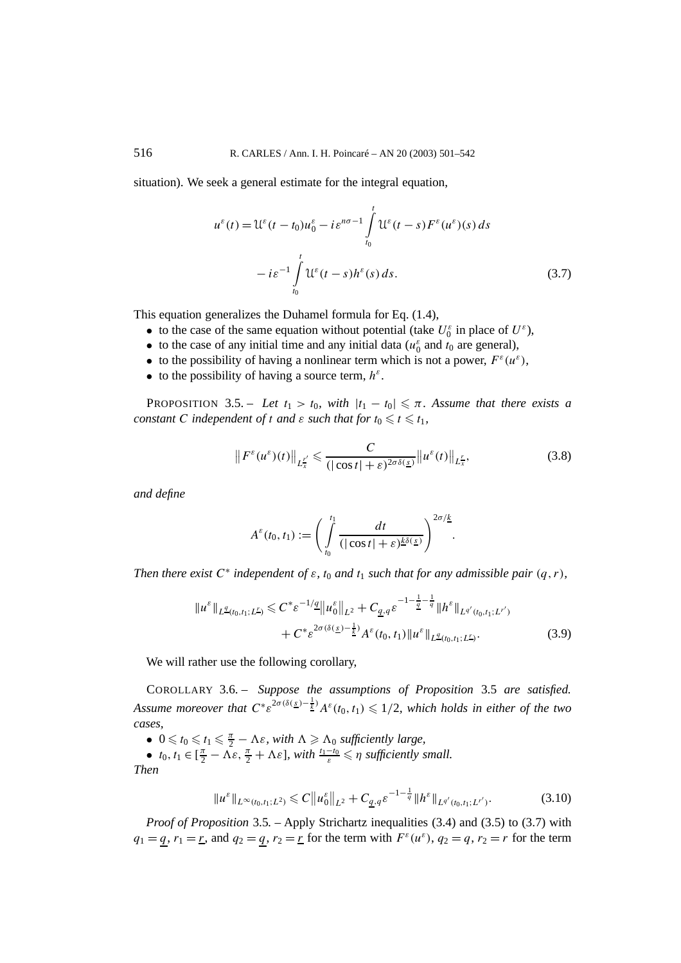situation). We seek a general estimate for the integral equation,

$$
u^{\varepsilon}(t) = \mathcal{U}^{\varepsilon}(t - t_0)u_0^{\varepsilon} - i\varepsilon^{n\sigma - 1} \int_{t_0}^t \mathcal{U}^{\varepsilon}(t - s) F^{\varepsilon}(u^{\varepsilon})(s) ds
$$

$$
- i\varepsilon^{-1} \int_{t_0}^t \mathcal{U}^{\varepsilon}(t - s) h^{\varepsilon}(s) ds.
$$
(3.7)

This equation generalizes the Duhamel formula for Eq. (1.4),

- to the case of the same equation without potential (take  $U_0^{\varepsilon}$  in place of  $U^{\varepsilon}$ ),
- to the case of any initial time and any initial data  $(u_0^{\varepsilon})$  and  $t_0$  are general),
- to the possibility of having a nonlinear term which is not a power,  $F^{\varepsilon}(u^{\varepsilon})$ ,
- to the possibility of having a source term,  $h^{\varepsilon}$ .

PROPOSITION 3.5. – Let  $t_1 > t_0$ , with  $|t_1 - t_0| \leq \pi$ . Assume that there exists a *constant C independent of t and*  $\varepsilon$  *such that for*  $t_0 \leq t \leq t_1$ *,* 

$$
\left\|F^{\varepsilon}(u^{\varepsilon})(t)\right\|_{L_{x}^{L'}} \leq \frac{C}{\left(|\cos t| + \varepsilon\right)^{2\sigma\delta(\underline{s})}}\left\|u^{\varepsilon}(t)\right\|_{L_{x}^{L}},\tag{3.8}
$$

*and define*

$$
A^{\varepsilon}(t_0,t_1):=\bigg(\int\limits_{t_0}^{t_1}\frac{dt}{(|\cos t|+\varepsilon)^{\underline{k}\delta(\underline{s})}}\bigg)^{2\sigma/\underline{k}}.
$$

*Then there exist*  $C^*$  *independent of*  $\varepsilon$ *,*  $t_0$  *and*  $t_1$  *such that for any admissible pair*  $(q, r)$ *,* 

$$
||u^{\varepsilon}||_{L^{\underline{q}}(t_0,t_1;L^{\underline{r}})} \leq C^{*}\varepsilon^{-1/\underline{q}}||u^{\varepsilon}_{0}||_{L^{2}} + C_{\underline{q},q}\varepsilon^{-1-\frac{1}{\underline{q}}-\frac{1}{q}}||h^{\varepsilon}||_{L^{q'}(t_0,t_1;L^{r'})} + C^{*}\varepsilon^{2\sigma(\delta(\underline{s})-\frac{1}{\underline{k}})}A^{\varepsilon}(t_0,t_1)||u^{\varepsilon}||_{L^{\underline{q}}(t_0,t_1;L^{r})}.
$$
\n(3.9)

We will rather use the following corollary,

COROLLARY 3.6. – *Suppose the assumptions of Proposition* 3.5 *are satisfied. Assume moreover that*  $C^* \varepsilon^{2\sigma(\delta(\underline{s})-\frac{1}{k})} A^{\varepsilon}(t_0,t_1) \leqslant 1/2$ , which holds in either of the two *cases,*

•  $0 \leq t_0 \leq t_1 \leq \frac{\pi}{2} - \Lambda \varepsilon$ , with  $\Lambda \geq \Lambda_0$  sufficiently large,

•  $t_0, t_1 \in [\frac{\pi}{2} - \Lambda \varepsilon, \frac{\pi}{2} + \Lambda \varepsilon]$ , with  $\frac{t_1 - t_0}{\varepsilon} \leq \eta$  sufficiently small.

*Then*

$$
\|u^{\varepsilon}\|_{L^{\infty}(t_0,t_1;L^2)} \leq C \|u_0^{\varepsilon}\|_{L^2} + C_{\underline{q},q} \varepsilon^{-1-\frac{1}{q}} \|h^{\varepsilon}\|_{L^{q'}(t_0,t_1;L^{r'})}.
$$
 (3.10)

*Proof of Proposition* 3.5*. –* Apply Strichartz inequalities (3.4) and (3.5) to (3.7) with  $q_1 = q, r_1 = r$ , and  $q_2 = q, r_2 = r$  for the term with  $F^{\varepsilon}(u^{\varepsilon}), q_2 = q, r_2 = r$  for the term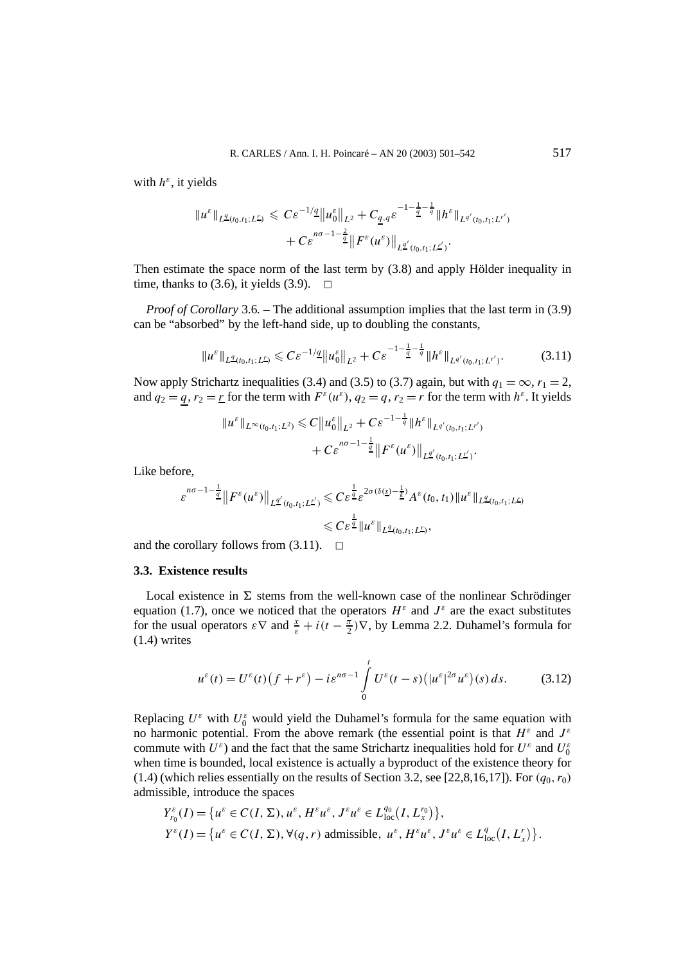with *h<sup>ε</sup>*, it yields

$$
\|u^{\varepsilon}\|_{L^{\underline{q}}(t_0,t_1;L^{\underline{r}})} \leq C\varepsilon^{-1/\underline{q}} \|u^{\varepsilon}_{0}\|_{L^{2}} + C_{\underline{q},q} \varepsilon^{-1-\frac{1}{\underline{q}}-\frac{1}{q}} \|h^{\varepsilon}\|_{L^{q'}(t_0,t_1;L^{r'})} + C\varepsilon^{n\sigma-1-\frac{2}{\underline{q}}} \|F^{\varepsilon}(u^{\varepsilon})\|_{L^{\underline{q}'}(t_0,t_1;L^{r'})}.
$$

Then estimate the space norm of the last term by (3.8) and apply Hölder inequality in time, thanks to (3.6), it yields (3.9).  $\Box$ 

*Proof of Corollary* 3.6. – The additional assumption implies that the last term in (3.9) can be "absorbed" by the left-hand side, up to doubling the constants,

$$
\|u^{\varepsilon}\|_{L^{q}(t_0,t_1;L^{r})} \leqslant C\varepsilon^{-1/q}\|u^{\varepsilon}_{0}\|_{L^{2}} + C\varepsilon^{-1-\frac{1}{q}-\frac{1}{q}}\|h^{\varepsilon}\|_{L^{q'}(t_0,t_1;L^{r'})}.
$$
 (3.11)

Now apply Strichartz inequalities (3.4) and (3.5) to (3.7) again, but with  $q_1 = \infty$ ,  $r_1 = 2$ , and  $q_2 = q$ ,  $r_2 = r$  for the term with  $F^{\varepsilon}(u^{\varepsilon})$ ,  $q_2 = q$ ,  $r_2 = r$  for the term with  $h^{\varepsilon}$ . It yields

$$
\|u^{\varepsilon}\|_{L^{\infty}(t_0,t_1;L^2)} \leq C \|u_0^{\varepsilon}\|_{L^2} + C \varepsilon^{-1-\frac{1}{q}} \|h^{\varepsilon}\|_{L^{q'}(t_0,t_1;L^{r'})} + C \varepsilon^{n\sigma-1-\frac{1}{q}} \|F^{\varepsilon}(u^{\varepsilon})\|_{L^{\underline{q}'}(t_0,t_1;L^{r'})}.
$$

Like before,

$$
\varepsilon^{n\sigma-1-\frac{1}{2}}\|F^{\varepsilon}(u^{\varepsilon})\|_{L^{\underline{q}'}(t_0,t_1;L^{L'})}\leqslant C\varepsilon^{\frac{1}{\underline{q}}} \varepsilon^{2\sigma(\delta(\underline{s})-\frac{1}{\underline{k}})}A^{\varepsilon}(t_0,t_1)\|u^{\varepsilon}\|_{L^{\underline{q}}(t_0,t_1;L^{L})}\leqslant C\varepsilon^{\frac{1}{\underline{q}}} \|u^{\varepsilon}\|_{L^{\underline{q}}(t_0,t_1;L^{L})},
$$

and the corollary follows from  $(3.11)$ .  $\Box$ 

# **3.3. Existence results**

Local existence in  $\Sigma$  stems from the well-known case of the nonlinear Schrödinger equation (1.7), once we noticed that the operators  $H^{\varepsilon}$  and  $J^{\varepsilon}$  are the exact substitutes for the usual operators  $\varepsilon \nabla$  and  $\frac{x}{\varepsilon} + i(t - \frac{\overline{\pi}}{2})\nabla$ , by Lemma 2.2. Duhamel's formula for (1.4) writes

$$
u^{\varepsilon}(t) = U^{\varepsilon}(t)\left(f + r^{\varepsilon}\right) - i\varepsilon^{n\sigma - 1} \int_{0}^{t} U^{\varepsilon}(t - s)\left(|u^{\varepsilon}|^{2\sigma} u^{\varepsilon}\right)(s) ds. \tag{3.12}
$$

Replacing  $U^{\varepsilon}$  with  $U^{\varepsilon}_0$  would yield the Duhamel's formula for the same equation with no harmonic potential. From the above remark (the essential point is that  $H^{\varepsilon}$  and  $J^{\varepsilon}$ commute with  $U^{\varepsilon}$ ) and the fact that the same Strichartz inequalities hold for  $U^{\varepsilon}$  and  $U^{\varepsilon}_0$ when time is bounded, local existence is actually a byproduct of the existence theory for  $(1.4)$  (which relies essentially on the results of Section 3.2, see [22,8,16,17]). For  $(q_0, r_0)$ admissible, introduce the spaces

$$
Y_{r_0}^{\varepsilon}(I) = \{u^{\varepsilon} \in C(I, \Sigma), u^{\varepsilon}, H^{\varepsilon}u^{\varepsilon}, J^{\varepsilon}u^{\varepsilon} \in L_{\text{loc}}^{q_0}(I, L_x^{r_0})\},\
$$
  

$$
Y^{\varepsilon}(I) = \{u^{\varepsilon} \in C(I, \Sigma), \forall (q, r) \text{ admissible}, u^{\varepsilon}, H^{\varepsilon}u^{\varepsilon}, J^{\varepsilon}u^{\varepsilon} \in L_{\text{loc}}^{q}(I, L_x^{r})\}.
$$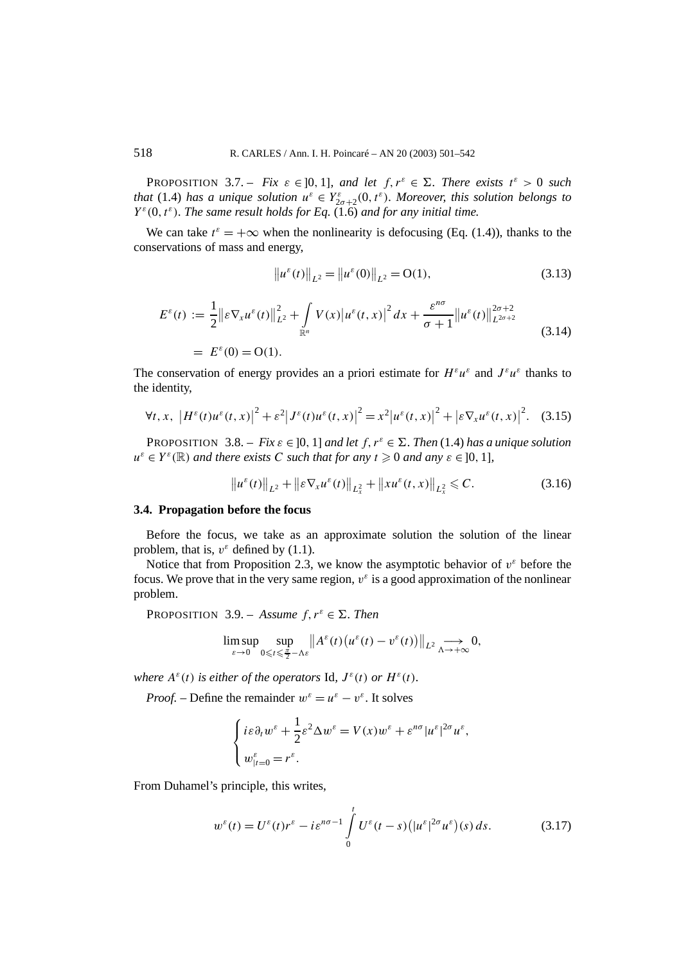PROPOSITION 3.7. – *Fix*  $\varepsilon \in ]0,1]$ *, and let*  $f, r^{\varepsilon} \in \Sigma$ *. There exists*  $t^{\varepsilon} > 0$  *such that* (1.4) *has a unique solution*  $u^{\varepsilon} \in Y^{\varepsilon}_{2\sigma+2}(0, t^{\varepsilon})$ *. Moreover, this solution belongs to*  $Y^{\varepsilon}(0, t^{\varepsilon})$ *. The same result holds for Eq.* (1.6) *and for any initial time.* 

We can take  $t^{\varepsilon} = +\infty$  when the nonlinearity is defocusing (Eq. (1.4)), thanks to the conservations of mass and energy,

$$
\|u^{\varepsilon}(t)\|_{L^{2}} = \|u^{\varepsilon}(0)\|_{L^{2}} = O(1),
$$
\n(3.13)

$$
E^{\varepsilon}(t) := \frac{1}{2} ||\varepsilon \nabla_{x} u^{\varepsilon}(t)||_{L^{2}}^{2} + \int_{\mathbb{R}^{n}} V(x) |u^{\varepsilon}(t, x)|^{2} dx + \frac{\varepsilon^{n\sigma}}{\sigma + 1} ||u^{\varepsilon}(t)||_{L^{2\sigma+2}}^{2\sigma+2}
$$
  
=  $E^{\varepsilon}(0) = O(1).$  (3.14)

The conservation of energy provides an a priori estimate for  $H^{\varepsilon}u^{\varepsilon}$  and  $J^{\varepsilon}u^{\varepsilon}$  thanks to the identity,

$$
\forall t, x, \ \left| H^{\varepsilon}(t) u^{\varepsilon}(t, x) \right|^2 + \varepsilon^2 \left| J^{\varepsilon}(t) u^{\varepsilon}(t, x) \right|^2 = x^2 \left| u^{\varepsilon}(t, x) \right|^2 + \left| \varepsilon \nabla_x u^{\varepsilon}(t, x) \right|^2. \tag{3.15}
$$

PROPOSITION 3.8. – *Fix*  $\varepsilon \in [0, 1]$  *and let*  $f, r^{\varepsilon} \in \Sigma$ . *Then* (1.4) *has a unique solution*  $u^{\varepsilon} \in Y^{\varepsilon}(\mathbb{R})$  *and there exists C such that for any*  $t \ge 0$  *and any*  $\varepsilon \in [0, 1]$ *,* 

$$
\|u^{\varepsilon}(t)\|_{L^{2}} + \|\varepsilon \nabla_{x} u^{\varepsilon}(t)\|_{L^{2}_{x}} + \|x u^{\varepsilon}(t,x)\|_{L^{2}_{x}} \leq C.
$$
 (3.16)

# **3.4. Propagation before the focus**

Before the focus, we take as an approximate solution the solution of the linear problem, that is,  $v^{\varepsilon}$  defined by (1.1).

Notice that from Proposition 2.3, we know the asymptotic behavior of  $v^{\varepsilon}$  before the focus. We prove that in the very same region,  $v^{\varepsilon}$  is a good approximation of the nonlinear problem.

PROPOSITION 3.9. – *Assume*  $f, r^{\varepsilon} \in \Sigma$ . *Then* 

$$
\limsup_{\varepsilon \to 0} \sup_{0 \leqslant t \leqslant \frac{\pi}{2} - \Lambda \varepsilon} \left\| A^{\varepsilon}(t) \left( u^{\varepsilon}(t) - v^{\varepsilon}(t) \right) \right\|_{L^{2}} \underset{\Lambda \to +\infty}{\longrightarrow} 0,
$$

*where*  $A^{\varepsilon}(t)$  *is either of the operators* Id,  $J^{\varepsilon}(t)$  *or*  $H^{\varepsilon}(t)$ *.* 

*Proof.* – Define the remainder  $w^{\varepsilon} = u^{\varepsilon} - v^{\varepsilon}$ . It solves

$$
\begin{cases} i\varepsilon \partial_t w^\varepsilon + \frac{1}{2}\varepsilon^2 \Delta w^\varepsilon = V(x)w^\varepsilon + \varepsilon^{n\sigma} |u^\varepsilon|^{2\sigma} u^\varepsilon, \\ w_{|t=0}^\varepsilon = r^\varepsilon. \end{cases}
$$

From Duhamel's principle, this writes,

$$
w^{\varepsilon}(t) = U^{\varepsilon}(t)r^{\varepsilon} - i\varepsilon^{n\sigma-1} \int_{0}^{t} U^{\varepsilon}(t-s) (|u^{\varepsilon}|^{2\sigma} u^{\varepsilon})(s) ds.
$$
 (3.17)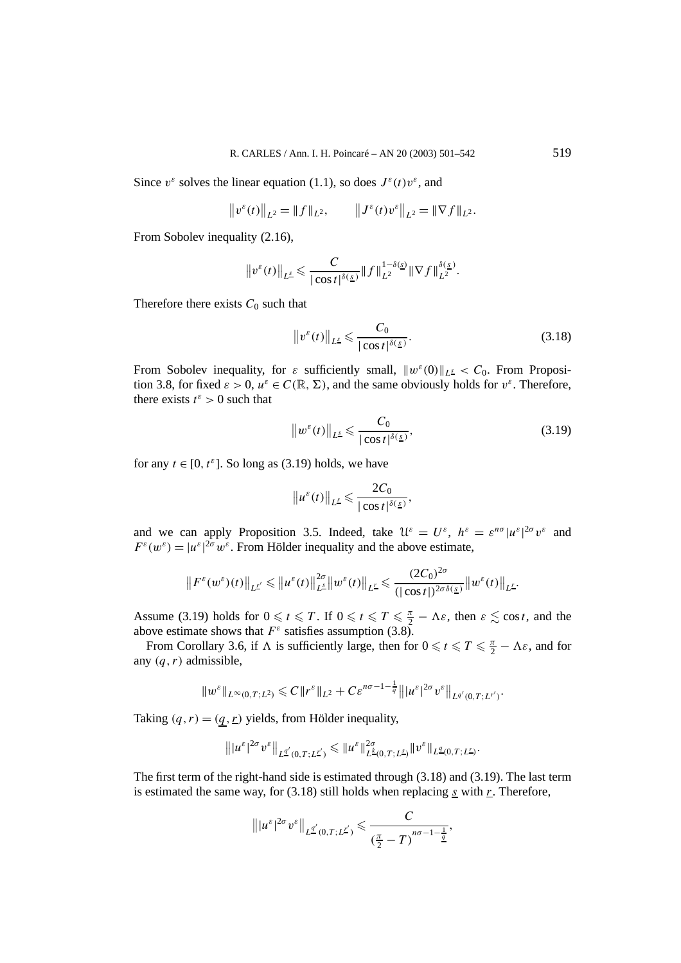Since  $v^{\varepsilon}$  solves the linear equation (1.1), so does  $J^{\varepsilon}(t)v^{\varepsilon}$ , and

$$
\|v^{\varepsilon}(t)\|_{L^{2}} = \|f\|_{L^{2}}, \qquad \|J^{\varepsilon}(t)v^{\varepsilon}\|_{L^{2}} = \|\nabla f\|_{L^{2}}.
$$

From Sobolev inequality (2.16),

$$
\|v^{\varepsilon}(t)\|_{L^{\underline{s}}}\leqslant \frac{C}{|\cos t|^{\delta(\underline{s})}}\|f\|_{L^2}^{1-\delta(\underline{s})}\|\nabla f\|_{L^2}^{\delta(\underline{s})}.
$$

Therefore there exists  $C_0$  such that

$$
\|v^{\varepsilon}(t)\|_{L^{\underline{s}}} \leqslant \frac{C_0}{|\cos t|^{\delta(\underline{s})}}.
$$
\n(3.18)

From Sobolev inequality, for  $\varepsilon$  sufficiently small,  $||w^{\varepsilon}(0)||_{L^{\underline{s}}} < C_0$ . From Proposition 3.8, for fixed  $\varepsilon > 0$ ,  $u^{\varepsilon} \in C(\mathbb{R}, \Sigma)$ , and the same obviously holds for  $v^{\varepsilon}$ . Therefore, there exists  $t^{\varepsilon} > 0$  such that

$$
\left\|w^{\varepsilon}(t)\right\|_{L^{\underline{s}}}\leqslant \frac{C_{0}}{|\cos t|^{\delta(\underline{s})}},\tag{3.19}
$$

for any  $t \in [0, t^{\varepsilon}]$ . So long as (3.19) holds, we have

$$
\left\|u^{\varepsilon}(t)\right\|_{L^{\underline{s}}}\leqslant \frac{2C_0}{|\cos t|^{\delta(\underline{s})}},
$$

and we can apply Proposition 3.5. Indeed, take  $\mathcal{U}^{\varepsilon} = U^{\varepsilon}$ ,  $h^{\varepsilon} = \varepsilon^{n\sigma} |u^{\varepsilon}|^{2\sigma} v^{\varepsilon}$  and  $F^{\varepsilon}(w^{\varepsilon}) = |u^{\varepsilon}|^{2\sigma} w^{\varepsilon}$ . From Hölder inequality and the above estimate,

$$
\left\|F^{\varepsilon}(w^{\varepsilon})(t)\right\|_{L^{\underline{r}'}} \leqslant \left\|u^{\varepsilon}(t)\right\|_{L^{\underline{s}}}^{2\sigma}\left\|w^{\varepsilon}(t)\right\|_{L^{\underline{r}}} \leqslant \frac{(2C_0)^{2\sigma}}{(|\cos t|)^{2\sigma\delta(\underline{s})}}\left\|w^{\varepsilon}(t)\right\|_{L^{\underline{r}}}.
$$

Assume (3.19) holds for  $0 \le t \le T$ . If  $0 \le t \le T \le \frac{\pi}{2} - \Lambda \varepsilon$ , then  $\varepsilon \le \cos t$ , and the above estimate shows that  $F^{\varepsilon}$  satisfies assumption (3.8).

From Corollary 3.6, if  $\Lambda$  is sufficiently large, then for  $0 \le t \le T \le \frac{\pi}{2} - \Lambda \varepsilon$ , and for any *(q, r)* admissible,

$$
||w^{\varepsilon}||_{L^{\infty}(0,T;L^{2})} \leq C||r^{\varepsilon}||_{L^{2}} + C\varepsilon^{n\sigma-1-\frac{1}{q}}|||u^{\varepsilon}|^{2\sigma}v^{\varepsilon}||_{L^{q'}(0,T;L^{r'})}.
$$

Taking  $(q, r) = (q, r)$  yields, from Hölder inequality,

$$
\left\||u^{\varepsilon}|^{2\sigma}v^{\varepsilon}\right\|_{L^{\underline{q}'}(0,T;L^{L'})}\leqslant\|u^{\varepsilon}\|_{L^{\underline{k}}(0,T;L^{\underline{s}})}^{2\sigma}\|v^{\varepsilon}\|_{L^{\underline{q}}(0,T;L^{L})}.
$$

The first term of the right-hand side is estimated through (3.18) and (3.19). The last term is estimated the same way, for (3.18) still holds when replacing *s* with *r*. Therefore,

$$
\left\||u^{\varepsilon}|^{2\sigma}v^{\varepsilon}\right\|_{L^{\underline{q}'}(0,T;L^{L'})}\leqslant\frac{C}{(\frac{\pi}{2}-T)^{n\sigma-1-\frac{1}{\underline{q}}}},
$$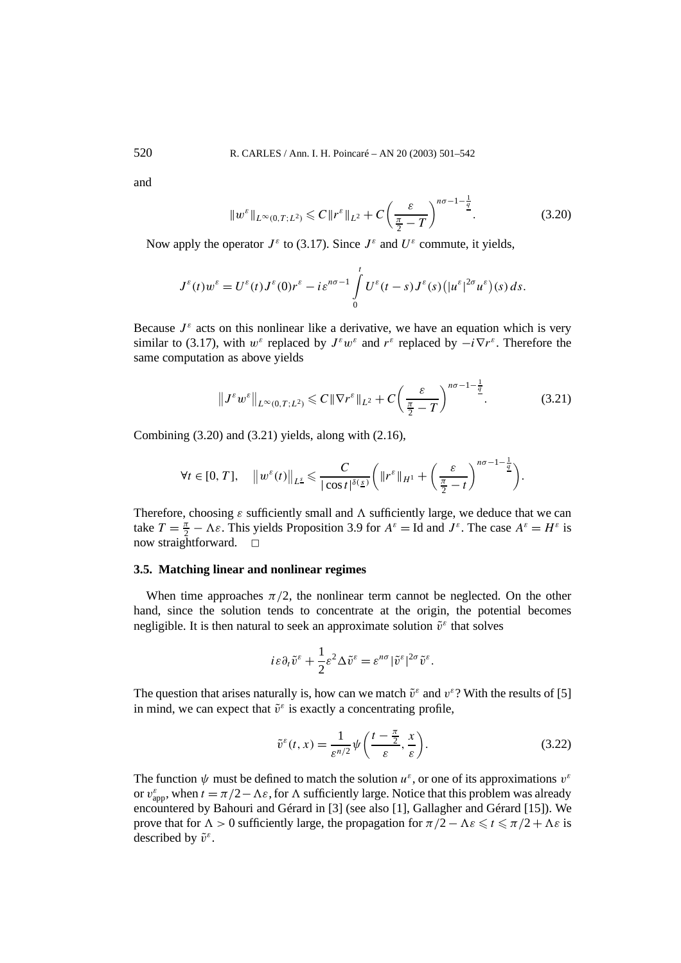and

$$
||w^{\varepsilon}||_{L^{\infty}(0,T;L^{2})} \leq C||r^{\varepsilon}||_{L^{2}} + C\left(\frac{\varepsilon}{\frac{\pi}{2}-T}\right)^{n\sigma-1-\frac{1}{\frac{q}{2}}}.
$$
\n(3.20)

Now apply the operator  $J^{\varepsilon}$  to (3.17). Since  $J^{\varepsilon}$  and  $U^{\varepsilon}$  commute, it yields,

$$
J^{\varepsilon}(t)w^{\varepsilon}=U^{\varepsilon}(t)J^{\varepsilon}(0)r^{\varepsilon}-i\varepsilon^{n\sigma-1}\int_{0}^{t}U^{\varepsilon}(t-s)J^{\varepsilon}(s)(|u^{\varepsilon}|^{2\sigma}u^{\varepsilon})(s) ds.
$$

Because  $J^{\varepsilon}$  acts on this nonlinear like a derivative, we have an equation which is very similar to (3.17), with  $w^{\varepsilon}$  replaced by  $J^{\varepsilon}w^{\varepsilon}$  and  $r^{\varepsilon}$  replaced by  $-i\nabla r^{\varepsilon}$ . Therefore the same computation as above yields

$$
\|J^{\varepsilon}w^{\varepsilon}\|_{L^{\infty}(0,T;L^{2})} \leqslant C\|\nabla r^{\varepsilon}\|_{L^{2}} + C\left(\frac{\varepsilon}{\frac{\pi}{2}-T}\right)^{n\sigma-1-\frac{1}{2}}.\tag{3.21}
$$

Combining  $(3.20)$  and  $(3.21)$  yields, along with  $(2.16)$ ,

$$
\forall t \in [0, T], \quad \left\|w^{\varepsilon}(t)\right\|_{L^{\underline{s}}}\leqslant \frac{C}{|\cos t|^{\delta(\underline{s})}}\bigg(\|r^{\varepsilon}\|_{H^1}+\bigg(\frac{\varepsilon}{\frac{\pi}{2}-t}\bigg)^{n\sigma-1-\frac{1}{\underline{q}}}\bigg).
$$

Therefore, choosing  $\varepsilon$  sufficiently small and  $\Lambda$  sufficiently large, we deduce that we can take  $T = \frac{\pi}{2} - \Lambda \varepsilon$ . This yields Proposition 3.9 for  $A^{\varepsilon} = \text{Id}$  and  $J^{\varepsilon}$ . The case  $A^{\varepsilon} = H^{\varepsilon}$  is now straightforward.  $\Box$ 

# **3.5. Matching linear and nonlinear regimes**

When time approaches  $\pi/2$ , the nonlinear term cannot be neglected. On the other hand, since the solution tends to concentrate at the origin, the potential becomes negligible. It is then natural to seek an approximate solution  $\tilde{v}^{\varepsilon}$  that solves

$$
i\varepsilon \partial_t \tilde{v}^\varepsilon + \frac{1}{2}\varepsilon^2 \Delta \tilde{v}^\varepsilon = \varepsilon^{n\sigma} |\tilde{v}^\varepsilon|^{2\sigma} \tilde{v}^\varepsilon.
$$

The question that arises naturally is, how can we match  $\tilde{v}^{\varepsilon}$  and  $v^{\varepsilon}$ ? With the results of [5] in mind, we can expect that  $\tilde{v}^{\varepsilon}$  is exactly a concentrating profile,

$$
\tilde{v}^{\varepsilon}(t,x) = \frac{1}{\varepsilon^{n/2}} \psi\left(\frac{t - \frac{\pi}{2}}{\varepsilon}, \frac{x}{\varepsilon}\right).
$$
\n(3.22)

The function  $\psi$  must be defined to match the solution  $u^{\varepsilon}$ , or one of its approximations  $v^{\varepsilon}$ or  $v_{app}^{\varepsilon}$ , when  $t = \pi/2 - \Lambda \varepsilon$ , for  $\Lambda$  sufficiently large. Notice that this problem was already encountered by Bahouri and Gérard in [3] (see also [1], Gallagher and Gérard [15]). We prove that for  $\Lambda > 0$  sufficiently large, the propagation for  $\pi/2 - \Lambda \varepsilon \leq \pi/2 + \Lambda \varepsilon$  is described by  $\tilde{v}^ε$ .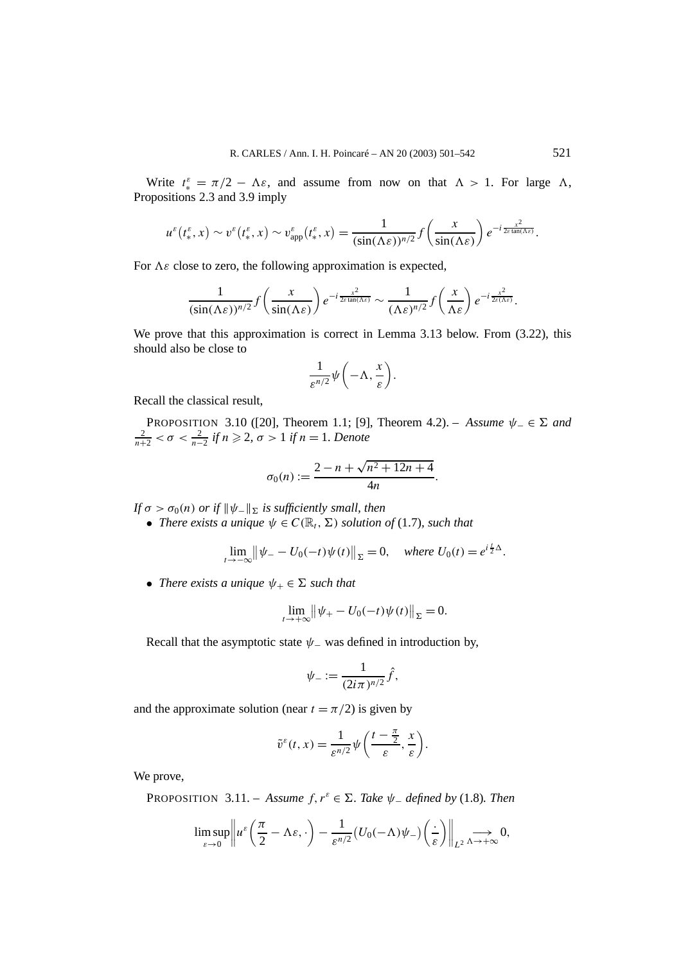Write  $t_*^{\varepsilon} = \pi/2 - \Lambda \varepsilon$ , and assume from now on that  $\Lambda > 1$ . For large  $\Lambda$ , Propositions 2.3 and 3.9 imply

$$
u^{\varepsilon}(t_{*}^{\varepsilon},x) \sim v^{\varepsilon}(t_{*}^{\varepsilon},x) \sim v_{\text{app}}^{\varepsilon}(t_{*}^{\varepsilon},x) = \frac{1}{(\sin(\Lambda \varepsilon))^{n/2}} f\left(\frac{x}{\sin(\Lambda \varepsilon)}\right) e^{-i\frac{x^{2}}{2\varepsilon \tan(\Lambda \varepsilon)}}.
$$

For  $\Lambda \varepsilon$  close to zero, the following approximation is expected,

$$
\frac{1}{(\sin(\Lambda \varepsilon))^{n/2}} f\left(\frac{x}{\sin(\Lambda \varepsilon)}\right) e^{-i\frac{x^2}{2\varepsilon \tan(\Lambda \varepsilon)}} \sim \frac{1}{(\Lambda \varepsilon)^{n/2}} f\left(\frac{x}{\Lambda \varepsilon}\right) e^{-i\frac{x^2}{2\varepsilon(\Lambda \varepsilon)}}.
$$

We prove that this approximation is correct in Lemma 3.13 below. From  $(3.22)$ , this should also be close to

$$
\frac{1}{\varepsilon^{n/2}}\psi\bigg(-\Lambda,\frac{x}{\varepsilon}\bigg).
$$

Recall the classical result,

PROPOSITION 3.10 ([20], Theorem 1.1; [9], Theorem 4.2). – *Assume*  $ψ_$  ∈ Σ and  $\frac{2}{n+2}$  < σ <  $\frac{2}{n-2}$  *if n* ≥ 2, σ > 1 *if n* = 1*. Denote* 

$$
\sigma_0(n) := \frac{2 - n + \sqrt{n^2 + 12n + 4}}{4n}.
$$

*If*  $\sigma > \sigma_0(n)$  *or if*  $\|\psi_-\|_{\Sigma}$  *is sufficiently small, then* 

• *There exists a unique*  $\psi \in C(\mathbb{R}_t, \Sigma)$  *solution of* (1.7)*, such that* 

$$
\lim_{t \to -\infty} \left\| \psi - U_0(-t) \psi(t) \right\|_{\Sigma} = 0, \quad \text{where } U_0(t) = e^{i \frac{t}{2} \Delta}.
$$

• *There exists a unique*  $\psi_+ \in \Sigma$  *such that* 

$$
\lim_{t \to +\infty} \left\| \psi_+ - U_0(-t) \psi(t) \right\|_{\Sigma} = 0.
$$

Recall that the asymptotic state  $\psi$ <sub>−</sub> was defined in introduction by,

$$
\psi_{-} := \frac{1}{(2i\pi)^{n/2}} \hat{f},
$$

and the approximate solution (near  $t = \pi/2$ ) is given by

$$
\tilde{v}^{\varepsilon}(t,x) = \frac{1}{\varepsilon^{n/2}} \psi\left(\frac{t-\frac{\pi}{2}}{\varepsilon},\frac{x}{\varepsilon}\right).
$$

We prove,

PROPOSITION 3.11. – *Assume*  $f, r^{\varepsilon} \in \Sigma$ *. Take*  $\psi$ <sub>-</sub> *defined by* (1.8)*. Then* 

$$
\limsup_{\varepsilon\to 0}\left\|u^{\varepsilon}\left(\frac{\pi}{2}-\Lambda\varepsilon,\cdot\right)-\frac{1}{\varepsilon^{n/2}}\big(U_{0}(-\Lambda)\psi_{-}\big)\left(\frac{\cdot}{\varepsilon}\right)\right\|_{L^{2}}\underset{\Lambda\to+\infty}{\longrightarrow}0,
$$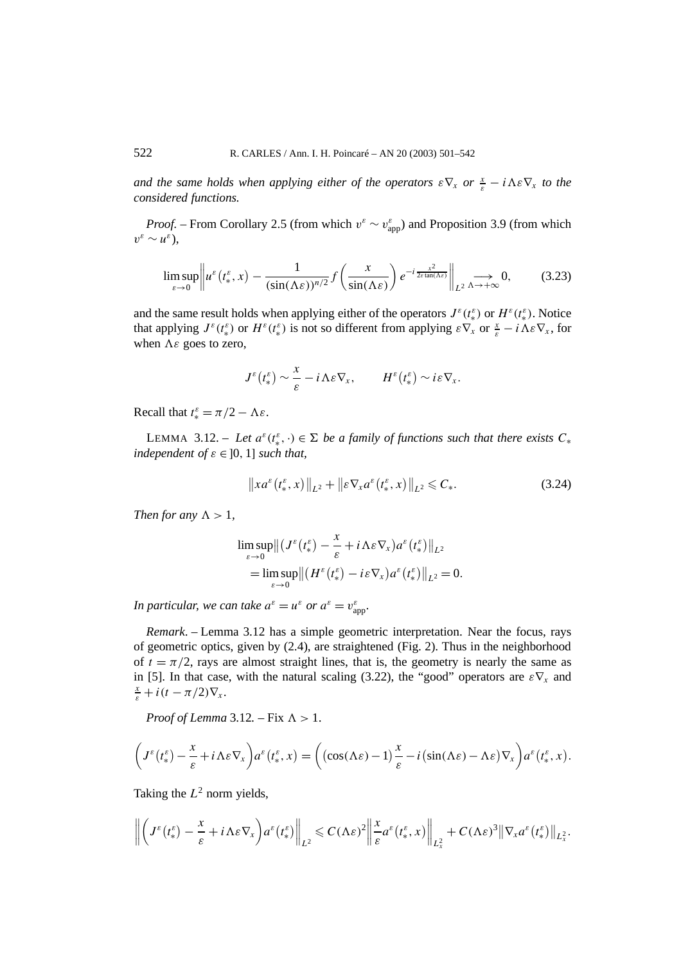*and the same holds when applying either of the operators*  $\epsilon \nabla_x$  *or*  $\frac{x}{\epsilon} - i \Lambda \epsilon \nabla_x$  *to the considered functions.*

*Proof.* – From Corollary 2.5 (from which  $v^{\varepsilon} \sim v_{app}^{\varepsilon}$ ) and Proposition 3.9 (from which  $v^{\varepsilon} \sim u^{\varepsilon}$ ).

$$
\limsup_{\varepsilon \to 0} \left\| u^{\varepsilon}\left(t_{*}^{\varepsilon}, x\right) - \frac{1}{(\sin(\Lambda \varepsilon))^{n/2}} f\left(\frac{x}{\sin(\Lambda \varepsilon)}\right) e^{-i\frac{x^{2}}{2\varepsilon \tan(\Lambda \varepsilon)}} \right\|_{L^{2}} \underset{\Lambda \to +\infty}{\longrightarrow} 0, \tag{3.23}
$$

and the same result holds when applying either of the operators  $J^{\varepsilon}(t^{\varepsilon}_{*})$  or  $H^{\varepsilon}(t^{\varepsilon}_{*})$ . Notice that applying  $J^{\varepsilon}(t^{\varepsilon}_{*})$  or  $H^{\varepsilon}(t^{\varepsilon}_{*})$  is not so different from applying  $\varepsilon \nabla_{x}$  or  $\frac{x}{\varepsilon} - i \Lambda \varepsilon \nabla_{x}$ , for when  $\Lambda \varepsilon$  goes to zero,

$$
J^{\varepsilon}\left(t_{*}^{\varepsilon}\right) \sim \frac{x}{\varepsilon} - i\,\Lambda\varepsilon\nabla_{x}, \qquad H^{\varepsilon}\left(t_{*}^{\varepsilon}\right) \sim i\varepsilon\nabla_{x}.
$$

Recall that  $t_*^{\varepsilon} = \pi/2 - \Lambda \varepsilon$ .

LEMMA 3.12. – Let  $a^{\varepsilon}(t^{\varepsilon}_{*},\cdot) \in \Sigma$  be a family of functions such that there exists  $C_{*}$ *independent of*  $\varepsilon \in [0, 1]$  *such that,* 

$$
\left\|xa^{\varepsilon}\left(t_*^{\varepsilon},x\right)\right\|_{L^2} + \left\|\varepsilon\nabla_x a^{\varepsilon}\left(t_*^{\varepsilon},x\right)\right\|_{L^2} \leqslant C_*.\tag{3.24}
$$

*Then for any*  $\Lambda > 1$ ,

$$
\limsup_{\varepsilon \to 0} \left\| \left( J^{\varepsilon}(t_{*}^{\varepsilon}) - \frac{x}{\varepsilon} + i \Lambda \varepsilon \nabla_{x} \right) a^{\varepsilon}(t_{*}^{\varepsilon}) \right\|_{L^{2}} \n= \limsup_{\varepsilon \to 0} \left\| \left( H^{\varepsilon}(t_{*}^{\varepsilon}) - i \varepsilon \nabla_{x} \right) a^{\varepsilon}(t_{*}^{\varepsilon}) \right\|_{L^{2}} = 0.
$$

*In particular, we can take*  $a^{\varepsilon} = u^{\varepsilon}$  *or*  $a^{\varepsilon} = v^{\varepsilon}_{app}$ .

*Remark*. – Lemma 3.12 has a simple geometric interpretation. Near the focus, rays of geometric optics, given by (2.4), are straightened (Fig. 2). Thus in the neighborhood of  $t = \pi/2$ , rays are almost straight lines, that is, the geometry is nearly the same as in [5]. In that case, with the natural scaling (3.22), the "good" operators are  $\epsilon \nabla_x$  and  $\frac{x}{s} + i(t - \pi/2)\nabla_x$ .

*Proof of Lemma* 3.12. – Fix  $\Lambda > 1$ .

$$
\left(J^{\varepsilon}(t_*^{\varepsilon})-\frac{x}{\varepsilon}+i\Lambda\varepsilon\nabla_x\right)a^{\varepsilon}(t_*^{\varepsilon},x)=\left((\cos(\Lambda\varepsilon)-1)\frac{x}{\varepsilon}-i(\sin(\Lambda\varepsilon)-\Lambda\varepsilon)\nabla_x\right)a^{\varepsilon}(t_*^{\varepsilon},x).
$$

Taking the  $L^2$  norm yields,

$$
\left\|\bigg(J^{\varepsilon}\big(t_{*}^{\varepsilon}\big)-\frac{x}{\varepsilon}+i\Lambda\varepsilon\nabla_{x}\bigg)a^{\varepsilon}\big(t_{*}^{\varepsilon}\big)\right\|_{L^{2}}\leqslant C(\Lambda\varepsilon)^{2}\left\|\frac{x}{\varepsilon}a^{\varepsilon}\big(t_{*}^{\varepsilon},x\big)\right\|_{L_{x}^{2}}+C(\Lambda\varepsilon)^{3}\|\nabla_{x}a^{\varepsilon}\big(t_{*}^{\varepsilon}\big)\right\|_{L_{x}^{2}}.
$$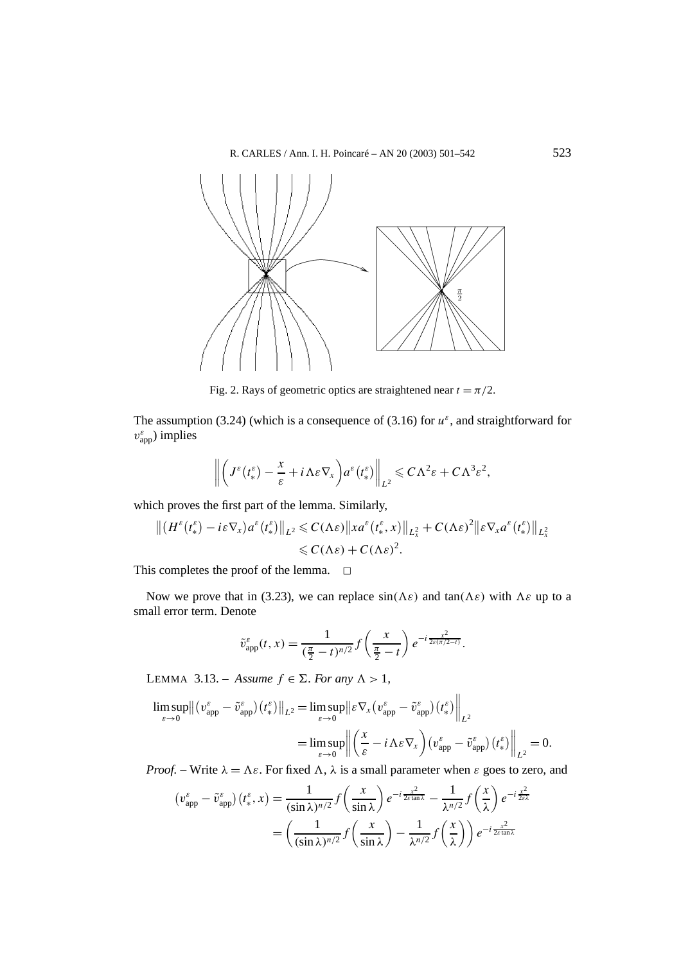

Fig. 2. Rays of geometric optics are straightened near  $t = \pi/2$ .

The assumption (3.24) (which is a consequence of (3.16) for  $u^{\varepsilon}$ , and straightforward for  $v_{app}^{\varepsilon}$ ) implies

$$
\left\|\bigg(J^{\varepsilon}\big(t_{*}^{\varepsilon}\big)-\frac{x}{\varepsilon}+i\Lambda\varepsilon\nabla_{x}\bigg)a^{\varepsilon}\big(t_{*}^{\varepsilon}\big)\right\|_{L^{2}}\leqslant C\Lambda^{2}\varepsilon+C\Lambda^{3}\varepsilon^{2},
$$

which proves the first part of the lemma. Similarly,

$$
\left\| \left( H^{\varepsilon}\big(t_{*}^{\varepsilon}\big) - i\varepsilon \nabla_{x}\right) a^{\varepsilon}\big(t_{*}^{\varepsilon}\big) \right\|_{L^{2}} \leqslant C(\Lambda \varepsilon) \left\| x a^{\varepsilon}\big(t_{*}^{\varepsilon}, x\big) \right\|_{L_{x}^{2}} + C(\Lambda \varepsilon)^{2} \left\| \varepsilon \nabla_{x} a^{\varepsilon}\big(t_{*}^{\varepsilon}\big) \right\|_{L_{x}^{2}} \leqslant C(\Lambda \varepsilon) + C(\Lambda \varepsilon)^{2}.
$$

This completes the proof of the lemma.  $\square$ 

Now we prove that in (3.23), we can replace  $sin(\Lambda \varepsilon)$  and  $tan(\Lambda \varepsilon)$  with  $\Lambda \varepsilon$  up to a small error term. Denote

$$
\tilde{v}_{\text{app}}^{\varepsilon}(t,x) = \frac{1}{(\frac{\pi}{2}-t)^{n/2}} f\left(\frac{x}{\frac{\pi}{2}-t}\right) e^{-i\frac{x^2}{2\varepsilon(\pi/2-t)}}.
$$

LEMMA 3.13. – *Assume*  $f \in \Sigma$ *. For any*  $\Lambda > 1$ *,* 

$$
\limsup_{\varepsilon \to 0} \left\| \left( v_{app}^{\varepsilon} - \tilde{v}_{app}^{\varepsilon} \right) (t_{*}^{\varepsilon}) \right\|_{L^{2}} = \limsup_{\varepsilon \to 0} \left\| \varepsilon \nabla_{x} \left( v_{app}^{\varepsilon} - \tilde{v}_{app}^{\varepsilon} \right) (t_{*}^{\varepsilon}) \right\|_{L^{2}}
$$
\n
$$
= \limsup_{\varepsilon \to 0} \left\| \left( \frac{x}{\varepsilon} - i \Lambda \varepsilon \nabla_{x} \right) \left( v_{app}^{\varepsilon} - \tilde{v}_{app}^{\varepsilon} \right) (t_{*}^{\varepsilon}) \right\|_{L^{2}} = 0.
$$

*Proof.* – Write  $\lambda = \Lambda \varepsilon$ . For fixed  $\Lambda$ ,  $\lambda$  is a small parameter when  $\varepsilon$  goes to zero, and

$$
\left(v_{\rm app}^{\varepsilon} - \tilde{v}_{\rm app}^{\varepsilon}\right)\left(t_*^{\varepsilon}, x\right) = \frac{1}{(\sin \lambda)^{n/2}} f\left(\frac{x}{\sin \lambda}\right) e^{-i\frac{x^2}{2\varepsilon \tan \lambda}} - \frac{1}{\lambda^{n/2}} f\left(\frac{x}{\lambda}\right) e^{-i\frac{x^2}{2\varepsilon \lambda}}
$$

$$
= \left(\frac{1}{(\sin \lambda)^{n/2}} f\left(\frac{x}{\sin \lambda}\right) - \frac{1}{\lambda^{n/2}} f\left(\frac{x}{\lambda}\right)\right) e^{-i\frac{x^2}{2\varepsilon \tan \lambda}}
$$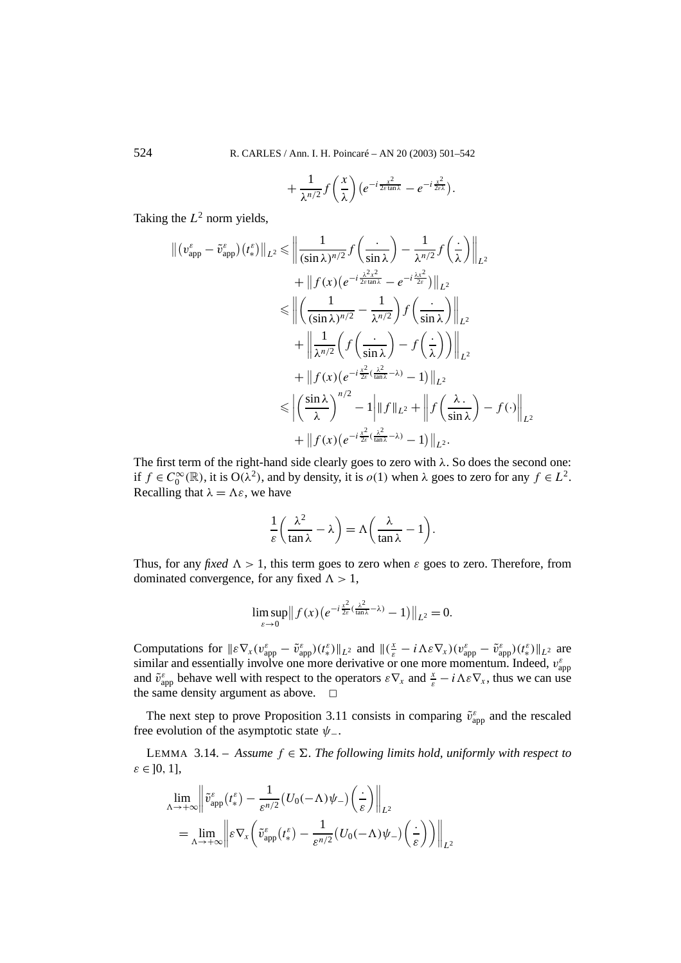524 R. CARLES / Ann. I. H. Poincaré – AN 20 (2003) 501–542

$$
+\frac{1}{\lambda^{n/2}}f\left(\frac{x}{\lambda}\right)(e^{-i\frac{x^2}{2\varepsilon\tan\lambda}}-e^{-i\frac{x^2}{2\varepsilon\lambda}}).
$$

Taking the  $L^2$  norm yields,

$$
\| (v_{app}^{\varepsilon} - \tilde{v}_{app}^{\varepsilon}) (t_{*}^{\varepsilon}) \|_{L^{2}} \leq \| \frac{1}{(\sin \lambda)^{n/2}} f\left(\frac{\cdot}{\sin \lambda}\right) - \frac{1}{\lambda^{n/2}} f\left(\frac{\cdot}{\lambda}\right) \|_{L^{2}} \n+ \| f(x) (e^{-i\frac{\lambda^{2}x^{2}}{2\varepsilon tan \lambda}} - e^{-i\frac{\lambda x^{2}}{2\varepsilon}}) \|_{L^{2}} \n\leq \| \left(\frac{1}{(\sin \lambda)^{n/2}} - \frac{1}{\lambda^{n/2}}\right) f\left(\frac{\cdot}{\sin \lambda}\right) \|_{L^{2}} \n+ \| \frac{1}{\lambda^{n/2}} \left(f\left(\frac{\cdot}{\sin \lambda}\right) - f\left(\frac{\cdot}{\lambda}\right)\right) \|_{L^{2}} \n+ \| f(x) (e^{-i\frac{x^{2}}{2\varepsilon}(\frac{\lambda^{2}}{tan \lambda} - \lambda)} - 1) \|_{L^{2}} \n\leq \| \left(\frac{\sin \lambda}{\lambda}\right)^{n/2} - 1 \| \| f \|_{L^{2}} + \| f\left(\frac{\lambda}{\sin \lambda}\right) - f(\cdot) \|_{L^{2}} \n+ \| f(x) (e^{-i\frac{x^{2}}{2\varepsilon}(\frac{\lambda^{2}}{tan \lambda} - \lambda)} - 1) \|_{L^{2}}.
$$

The first term of the right-hand side clearly goes to zero with *λ*. So does the second one: if  $f \in C_0^{\infty}(\mathbb{R})$ , it is  $O(\lambda^2)$ , and by density, it is  $o(1)$  when  $\lambda$  goes to zero for any  $f \in L^2$ . Recalling that  $\lambda = \Lambda \varepsilon$ , we have

$$
\frac{1}{\varepsilon}\left(\frac{\lambda^2}{\tan\lambda}-\lambda\right)=\Lambda\left(\frac{\lambda}{\tan\lambda}-1\right).
$$

Thus, for any *fixed*  $\Lambda > 1$ , this term goes to zero when *ε* goes to zero. Therefore, from dominated convergence, for any fixed  $\Lambda > 1$ ,

$$
\limsup_{\varepsilon\to 0}||f(x)(e^{-i\frac{x^2}{2\varepsilon}(\frac{\lambda^2}{\tan\lambda}-\lambda)}-1)||_{L^2}=0.
$$

Computations for  $\|\varepsilon \nabla_x (v_{app}^{\varepsilon} - \tilde{v}_{app}^{\varepsilon}) (t_*^{\varepsilon})\|_{L^2}$  and  $\|(\frac{x}{\varepsilon} - i \Lambda \varepsilon \nabla_x)(v_{app}^{\varepsilon} - \tilde{v}_{app}^{\varepsilon}) (t_*^{\varepsilon})\|_{L^2}$  are similar and essentially involve one more derivative or one more momentum. Indeed,  $v_{app}^{\varepsilon}$ and  $\tilde{v}_{app}^{\varepsilon}$  behave well with respect to the operators  $\varepsilon \nabla_x$  and  $\frac{x}{\varepsilon} - i \Lambda \varepsilon \nabla_x$ , thus we can use the same density argument as above.  $\Box$ 

The next step to prove Proposition 3.11 consists in comparing  $\tilde{v}_{app}^{\varepsilon}$  and the rescaled free evolution of the asymptotic state *ψ*−.

LEMMA 3.14. – *Assume*  $f \in \Sigma$ . The following limits hold, uniformly with respect to *ε* ∈ ]0*,* 1]*,*

$$
\lim_{\Lambda \to +\infty} \left\| \tilde{v}_{app}^{\varepsilon}(t_{*}^{\varepsilon}) - \frac{1}{\varepsilon^{n/2}} (U_{0}(-\Lambda)\psi_{-}) \left(\frac{\cdot}{\varepsilon}\right) \right\|_{L^{2}}
$$
\n
$$
= \lim_{\Lambda \to +\infty} \left\| \varepsilon \nabla_{x} \left( \tilde{v}_{app}^{\varepsilon}(t_{*}^{\varepsilon}) - \frac{1}{\varepsilon^{n/2}} (U_{0}(-\Lambda)\psi_{-}) \left(\frac{\cdot}{\varepsilon}\right) \right) \right\|_{L^{2}}
$$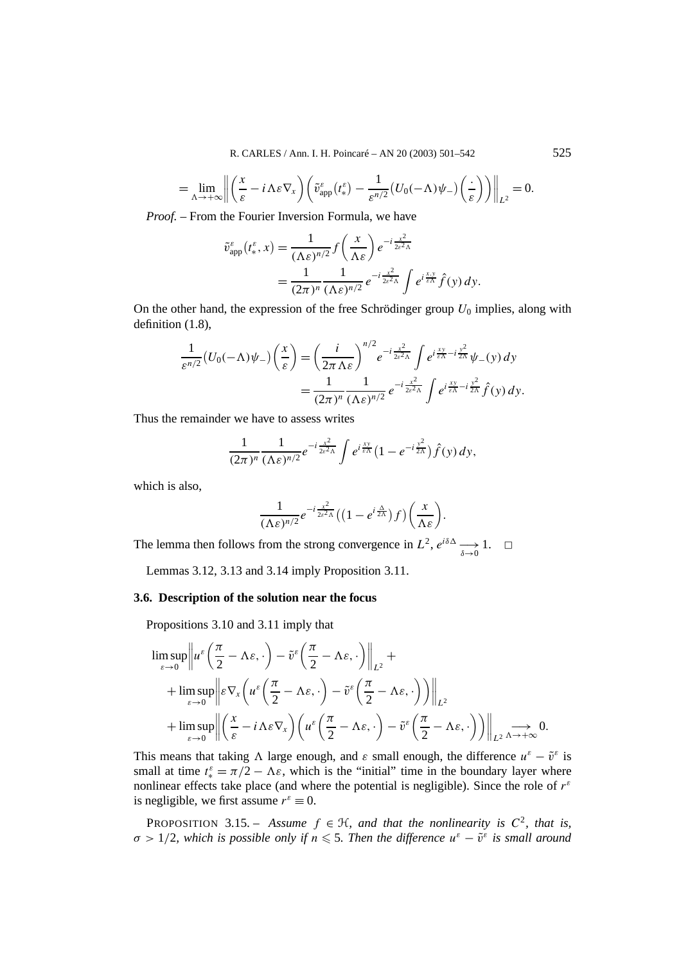R. CARLES / Ann. I. H. Poincaré – AN 20 (2003) 501–542 525

$$
= \lim_{\Lambda \to +\infty} \left\| \left( \frac{x}{\varepsilon} - i \Lambda \varepsilon \nabla_x \right) \left( \tilde{v}_{app}^{\varepsilon}(t_*^{\varepsilon}) - \frac{1}{\varepsilon^{n/2}} (U_0(-\Lambda) \psi_-) \left( \frac{1}{\varepsilon} \right) \right) \right\|_{L^2} = 0.
$$

*Proof. –* From the Fourier Inversion Formula, we have

$$
\tilde{v}_{app}^{\varepsilon}(t_{*}^{\varepsilon},x) = \frac{1}{(\Lambda \varepsilon)^{n/2}} f\left(\frac{x}{\Lambda \varepsilon}\right) e^{-i\frac{x^{2}}{2\varepsilon^{2}\Lambda}}
$$
  
= 
$$
\frac{1}{(2\pi)^{n}} \frac{1}{(\Lambda \varepsilon)^{n/2}} e^{-i\frac{x^{2}}{2\varepsilon^{2}\Lambda}} \int e^{i\frac{x \cdot y}{\varepsilon\Lambda}} \hat{f}(y) dy.
$$

On the other hand, the expression of the free Schrödinger group  $U_0$  implies, along with definition (1.8),

$$
\frac{1}{\varepsilon^{n/2}}(U_0(-\Lambda)\psi_{-})\left(\frac{x}{\varepsilon}\right) = \left(\frac{i}{2\pi\,\Lambda\varepsilon}\right)^{n/2} e^{-i\frac{x^2}{2\varepsilon^2\Lambda}} \int e^{i\frac{xy}{\varepsilon\Lambda} - i\frac{y^2}{2\Lambda}} \psi_{-}(y) \, dy
$$

$$
= \frac{1}{(2\pi)^n} \frac{1}{(\Lambda\varepsilon)^{n/2}} e^{-i\frac{x^2}{2\varepsilon^2\Lambda}} \int e^{i\frac{xy}{\varepsilon\Lambda} - i\frac{y^2}{2\Lambda}} \hat{f}(y) \, dy.
$$

Thus the remainder we have to assess writes

$$
\frac{1}{(2\pi)^n}\frac{1}{(\Lambda\varepsilon)^{n/2}}e^{-i\frac{x^2}{2\varepsilon^2\Lambda}}\int e^{i\frac{xy}{\varepsilon\Lambda}}\big(1-e^{-i\frac{y^2}{2\Lambda}}\big)\hat{f}(y)\,dy,
$$

which is also,

$$
\frac{1}{(\Lambda \varepsilon)^{n/2}} e^{-i \frac{x^2}{2\varepsilon^2 \Lambda}} \left( \left( 1 - e^{i \frac{\Lambda}{2\Lambda}} \right) f \right) \left( \frac{x}{\Lambda \varepsilon} \right).
$$

The lemma then follows from the strong convergence in  $L^2$ ,  $e^{i\delta\Delta} \longrightarrow 1$ .  $\Box$ 

Lemmas 3.12, 3.13 and 3.14 imply Proposition 3.11.

# **3.6. Description of the solution near the focus**

Propositions 3.10 and 3.11 imply that

$$
\limsup_{\varepsilon \to 0} \left\| u^{\varepsilon} \left( \frac{\pi}{2} - \Lambda \varepsilon, \cdot \right) - \tilde{v}^{\varepsilon} \left( \frac{\pi}{2} - \Lambda \varepsilon, \cdot \right) \right\|_{L^{2}} +
$$
\n
$$
+ \limsup_{\varepsilon \to 0} \left\| \varepsilon \nabla_{x} \left( u^{\varepsilon} \left( \frac{\pi}{2} - \Lambda \varepsilon, \cdot \right) - \tilde{v}^{\varepsilon} \left( \frac{\pi}{2} - \Lambda \varepsilon, \cdot \right) \right) \right\|_{L^{2}}
$$
\n
$$
+ \limsup_{\varepsilon \to 0} \left\| \left( \frac{x}{\varepsilon} - i \Lambda \varepsilon \nabla_{x} \right) \left( u^{\varepsilon} \left( \frac{\pi}{2} - \Lambda \varepsilon, \cdot \right) - \tilde{v}^{\varepsilon} \left( \frac{\pi}{2} - \Lambda \varepsilon, \cdot \right) \right) \right\|_{L^{2}} \underset{\varepsilon \to +\infty}{\longrightarrow} 0.
$$

This means that taking  $\Lambda$  large enough, and  $\varepsilon$  small enough, the difference  $u^{\varepsilon} - \tilde{v}^{\varepsilon}$  is small at time  $t_*^{\varepsilon} = \pi/2 - \Lambda \varepsilon$ , which is the "initial" time in the boundary layer where nonlinear effects take place (and where the potential is negligible). Since the role of *r<sup>ε</sup>* is negligible, we first assume  $r^{\varepsilon} \equiv 0$ .

PROPOSITION 3.15. – *Assume*  $f \in H$ *, and that the nonlinearity is*  $C^2$ *, that is,*  $\sigma > 1/2$ , which is possible only if  $n \leq 5$ . Then the difference  $u^{\varepsilon} - \tilde{v}^{\varepsilon}$  is small around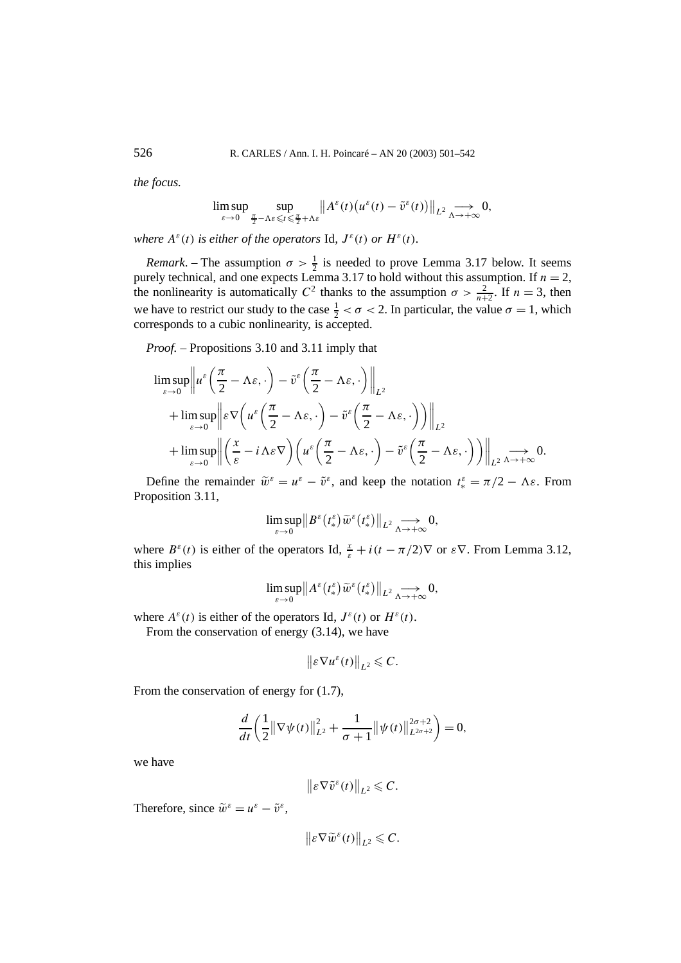*the focus.*

$$
\limsup_{\varepsilon \to 0} \sup_{\frac{\pi}{2} - \Lambda \varepsilon \leqslant t \leqslant \frac{\pi}{2} + \Lambda \varepsilon} \| A^{\varepsilon}(t) \big( u^{\varepsilon}(t) - \tilde{v}^{\varepsilon}(t) \big) \|_{L^{2}} \underset{\Lambda \to +\infty}{\longrightarrow} 0,
$$

*where*  $A^{\varepsilon}(t)$  *is either of the operators* Id,  $J^{\varepsilon}(t)$  *or*  $H^{\varepsilon}(t)$ *.* 

*Remark*. – The assumption  $\sigma > \frac{1}{2}$  is needed to prove Lemma 3.17 below. It seems purely technical, and one expects Lemma 3.17 to hold without this assumption. If  $n = 2$ , the nonlinearity is automatically  $C^2$  thanks to the assumption  $\sigma > \frac{2}{n+2}$ . If  $n = 3$ , then we have to restrict our study to the case  $\frac{1}{2} < \sigma < 2$ . In particular, the value  $\sigma = 1$ , which corresponds to a cubic nonlinearity, is accepted.

*Proof. –* Propositions 3.10 and 3.11 imply that

$$
\limsup_{\varepsilon \to 0} \left\| u^{\varepsilon} \left( \frac{\pi}{2} - \Lambda \varepsilon, \cdot \right) - \tilde{v}^{\varepsilon} \left( \frac{\pi}{2} - \Lambda \varepsilon, \cdot \right) \right\|_{L^{2}} \n+ \limsup_{\varepsilon \to 0} \left\| \varepsilon \nabla \left( u^{\varepsilon} \left( \frac{\pi}{2} - \Lambda \varepsilon, \cdot \right) - \tilde{v}^{\varepsilon} \left( \frac{\pi}{2} - \Lambda \varepsilon, \cdot \right) \right) \right\|_{L^{2}} \n+ \limsup_{\varepsilon \to 0} \left\| \left( \frac{x}{\varepsilon} - i \Lambda \varepsilon \nabla \right) \left( u^{\varepsilon} \left( \frac{\pi}{2} - \Lambda \varepsilon, \cdot \right) - \tilde{v}^{\varepsilon} \left( \frac{\pi}{2} - \Lambda \varepsilon, \cdot \right) \right) \right\|_{L^{2}} \underset{\varepsilon \to +\infty}{\longrightarrow} 0.
$$

Define the remainder  $\tilde{w}^{\varepsilon} = u^{\varepsilon} - \tilde{v}^{\varepsilon}$ , and keep the notation  $t_*^{\varepsilon} = \pi/2 - \Lambda \varepsilon$ . From Proposition 3.11,

$$
\limsup_{\varepsilon\to 0} \left\|B^{\varepsilon}\left(t_*^{\varepsilon}\right)\widetilde{w}^{\varepsilon}\left(t_*^{\varepsilon}\right)\right\|_{L^2}\underset{\Lambda\to +\infty}{\longrightarrow} 0,
$$

where  $B^{\varepsilon}(t)$  is either of the operators Id,  $\frac{x}{\varepsilon} + i(t - \pi/2)\nabla$  or  $\varepsilon \nabla$ . From Lemma 3.12, this implies

$$
\limsup_{\varepsilon\to 0}||A^\varepsilon(t_*^\varepsilon)\widetilde w^\varepsilon(t_*^\varepsilon)||_{L^2}\mathop{\longrightarrow}\limits_{\Lambda\to+\infty}0,
$$

where  $A^{\varepsilon}(t)$  is either of the operators Id,  $J^{\varepsilon}(t)$  or  $H^{\varepsilon}(t)$ .

From the conservation of energy (3.14), we have

$$
\big\|\varepsilon\nabla u^{\varepsilon}(t)\big\|_{L^2}\leqslant C.
$$

From the conservation of energy for  $(1.7)$ ,

$$
\frac{d}{dt}\left(\frac{1}{2}\|\nabla\psi(t)\|_{L^2}^2 + \frac{1}{\sigma+1}\|\psi(t)\|_{L^{2\sigma+2}}^{2\sigma+2}\right) = 0,
$$

we have

$$
\big\|\varepsilon\nabla\tilde{v}^{\varepsilon}(t)\big\|_{L^{2}}\leqslant C.
$$

Therefore, since  $\tilde{w}^{\varepsilon} = u^{\varepsilon} - \tilde{v}^{\varepsilon}$ ,

$$
\left\|\varepsilon\nabla\widetilde{w}^\varepsilon(t)\right\|_{L^2}\leqslant C.
$$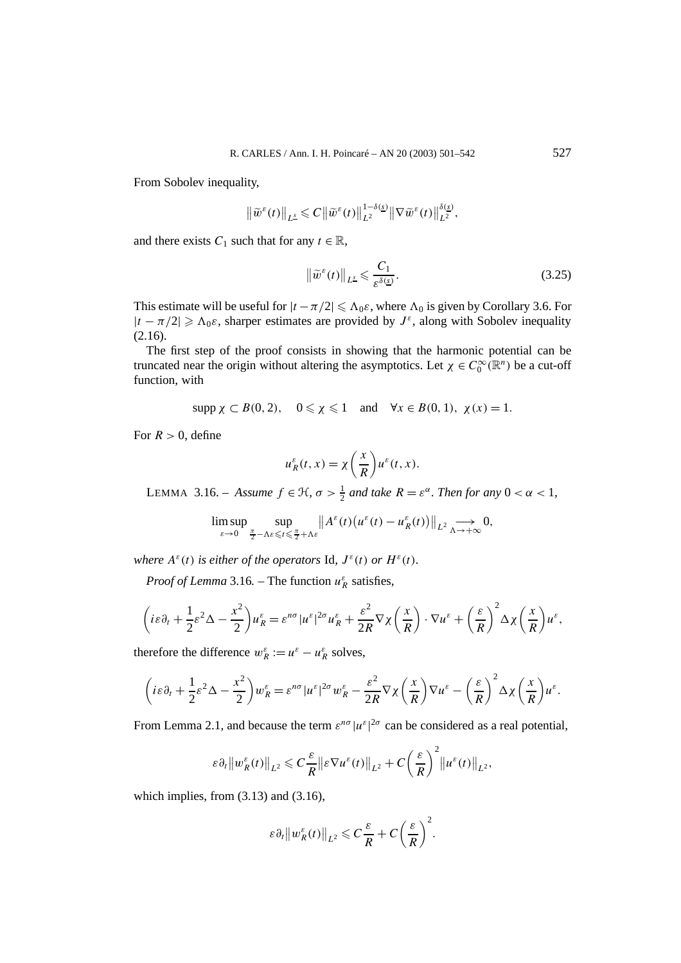From Sobolev inequality,

$$
\left\|\widetilde{w}^{\varepsilon}(t)\right\|_{L^{\underline{s}}}\leqslant C\left\|\widetilde{w}^{\varepsilon}(t)\right\|_{L^{2}}^{1-\delta(\underline{s})}\left\|\nabla\widetilde{w}^{\varepsilon}(t)\right\|_{L^{2}}^{\delta(\underline{s})},
$$

and there exists  $C_1$  such that for any  $t \in \mathbb{R}$ ,

$$
\left\|\tilde{w}^{\varepsilon}(t)\right\|_{L^{\underline{s}}}\leqslant\frac{C_{1}}{\varepsilon^{\delta(\underline{s})}}.\tag{3.25}
$$

This estimate will be useful for  $|t - \pi/2| \leq \Lambda_0 \varepsilon$ , where  $\Lambda_0$  is given by Corollary 3.6. For  $|t - \pi/2| \geq \Lambda_0 \varepsilon$ , sharper estimates are provided by  $J^{\varepsilon}$ , along with Sobolev inequality (2.16).

The first step of the proof consists in showing that the harmonic potential can be truncated near the origin without altering the asymptotics. Let  $\chi \in C_0^{\infty}(\mathbb{R}^n)$  be a cut-off function, with

 $\sup p \chi \subset B(0, 2), \quad 0 \le \chi \le 1 \quad \text{and} \quad \forall x \in B(0, 1), \chi(x) = 1.$ 

For  $R > 0$ , define

$$
u_R^{\varepsilon}(t,x) = \chi\left(\frac{x}{R}\right)u^{\varepsilon}(t,x).
$$

LEMMA 3.16. – *Assume*  $f \in \mathcal{H}$ ,  $\sigma > \frac{1}{2}$  and take  $R = \varepsilon^{\alpha}$ . Then for any  $0 < \alpha < 1$ ,

$$
\limsup_{\varepsilon \to 0} \sup_{\frac{\pi}{2} - \Lambda \varepsilon \leq t \leq \frac{\pi}{2} + \Lambda \varepsilon} \| A^{\varepsilon}(t) \big( u^{\varepsilon}(t) - u^{\varepsilon}_{R}(t) \big) \|_{L^{2}} \underset{\Lambda \to +\infty}{\longrightarrow} 0,
$$

*where*  $A^{\varepsilon}(t)$  *is either of the operators* Id,  $J^{\varepsilon}(t)$  *or*  $H^{\varepsilon}(t)$ *.* 

*Proof of Lemma* 3.16. – The function  $u_R^{\varepsilon}$  satisfies,

$$
\left(i\varepsilon\partial_t+\frac{1}{2}\varepsilon^2\Delta-\frac{x^2}{2}\right)u_R^{\varepsilon}=\varepsilon^{n\sigma}|u^{\varepsilon}|^{2\sigma}u_R^{\varepsilon}+\frac{\varepsilon^2}{2R}\nabla\chi\left(\frac{x}{R}\right)\cdot\nabla u^{\varepsilon}+\left(\frac{\varepsilon}{R}\right)^2\Delta\chi\left(\frac{x}{R}\right)u^{\varepsilon},
$$

therefore the difference  $w_R^{\varepsilon} := u^{\varepsilon} - u_R^{\varepsilon}$  solves,

$$
\left(i\varepsilon\partial_t+\frac{1}{2}\varepsilon^2\Delta-\frac{x^2}{2}\right)w_R^{\varepsilon}=\varepsilon^{n\sigma}|u^{\varepsilon}|^{2\sigma}w_R^{\varepsilon}-\frac{\varepsilon^2}{2R}\nabla\chi\left(\frac{x}{R}\right)\nabla u^{\varepsilon}-\left(\frac{\varepsilon}{R}\right)^2\Delta\chi\left(\frac{x}{R}\right)u^{\varepsilon}.
$$

From Lemma 2.1, and because the term  $\varepsilon^{n\sigma} |u^{\varepsilon}|^{2\sigma}$  can be considered as a real potential,

$$
\varepsilon \partial_t \|w_R^{\varepsilon}(t)\|_{L^2} \leqslant C \frac{\varepsilon}{R} \|\varepsilon \nabla u^{\varepsilon}(t)\|_{L^2} + C \left(\frac{\varepsilon}{R}\right)^2 \|u^{\varepsilon}(t)\|_{L^2},
$$

which implies, from  $(3.13)$  and  $(3.16)$ ,

$$
\varepsilon \partial_t \|w_R^{\varepsilon}(t)\|_{L^2} \leqslant C \frac{\varepsilon}{R} + C \bigg(\frac{\varepsilon}{R}\bigg)^2.
$$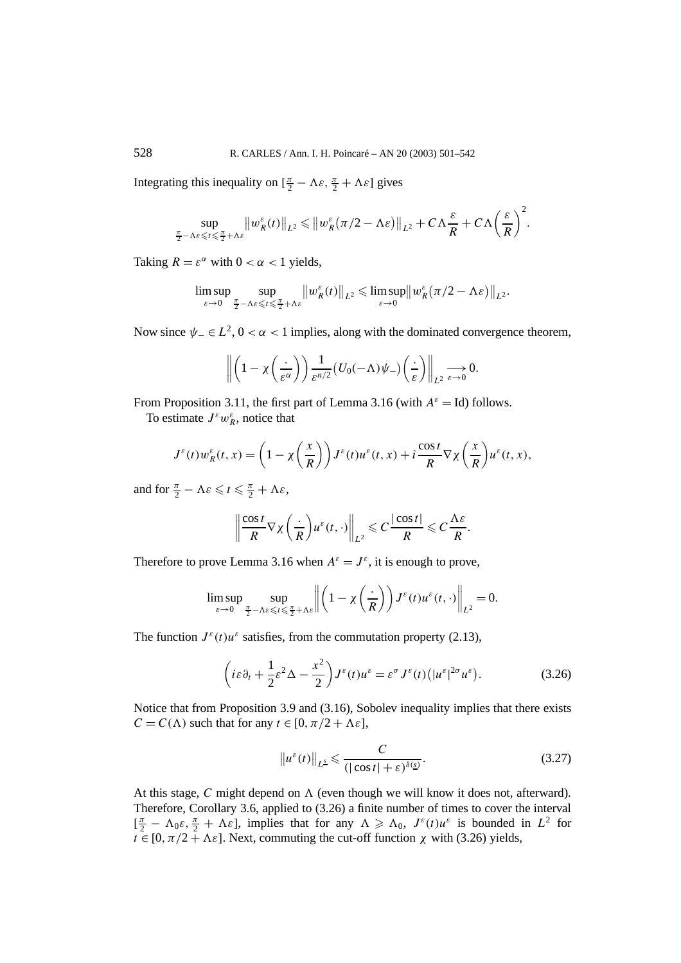Integrating this inequality on  $\left[\frac{\pi}{2} - \Lambda \varepsilon, \frac{\pi}{2} + \Lambda \varepsilon\right]$  gives

$$
\sup_{\frac{\pi}{2}-\Lambda\varepsilon\leqslant t\leqslant\frac{\pi}{2}+\Lambda\varepsilon}\left\|w_{R}^{\varepsilon}(t)\right\|_{L^{2}}\leqslant\left\|w_{R}^{\varepsilon}\left(\pi/2-\Lambda\varepsilon\right)\right\|_{L^{2}}+C\Lambda\frac{\varepsilon}{R}+C\Lambda\left(\frac{\varepsilon}{R}\right)^{2}.
$$

Taking  $R = \varepsilon^{\alpha}$  with  $0 < \alpha < 1$  yields,

$$
\limsup_{\varepsilon\to 0}\sup_{\frac{\pi}{2}-\Lambda\varepsilon\leqslant t\leqslant\frac{\pi}{2}+\Lambda\varepsilon}\big\|w^\varepsilon_R(t)\big\|_{L^2}\leqslant \limsup_{\varepsilon\to 0}\big\|w^\varepsilon_R\big(\pi/2-\Lambda\varepsilon\big)\big\|_{L^2}.
$$

Now since  $\psi_-\in L^2$ ,  $0<\alpha<1$  implies, along with the dominated convergence theorem,

$$
\left\|\left(1-\chi\left(\frac{\cdot}{\varepsilon^{\alpha}}\right)\right)\frac{1}{\varepsilon^{n/2}}\left(U_0(-\Lambda)\psi_-\right)\left(\frac{\cdot}{\varepsilon}\right)\right\|_{L^2}\xrightarrow[\varepsilon\to 0]{}0.
$$

From Proposition 3.11, the first part of Lemma 3.16 (with  $A^{\varepsilon} = Id$ ) follows.

To estimate  $J^{\varepsilon}w_{R}^{\varepsilon}$ , notice that

$$
J^{\varepsilon}(t)w_{R}^{\varepsilon}(t,x) = \left(1 - \chi\left(\frac{x}{R}\right)\right)J^{\varepsilon}(t)u^{\varepsilon}(t,x) + i\frac{\cos t}{R}\nabla\chi\left(\frac{x}{R}\right)u^{\varepsilon}(t,x),
$$

and for  $\frac{\pi}{2} - \Lambda \varepsilon \leqslant t \leqslant \frac{\pi}{2} + \Lambda \varepsilon$ ,

$$
\left\|\frac{\cos t}{R}\nabla \chi\left(\frac{\cdot}{R}\right)u^{\varepsilon}(t,\cdot)\right\|_{L^{2}} \leqslant C\frac{|\cos t|}{R} \leqslant C\frac{\Lambda\varepsilon}{R}.
$$

Therefore to prove Lemma 3.16 when  $A^{\varepsilon} = J^{\varepsilon}$ , it is enough to prove,

$$
\limsup_{\varepsilon \to 0} \sup_{\frac{\pi}{2} - \Lambda \varepsilon \leqslant t \leqslant \frac{\pi}{2} + \Lambda \varepsilon} \left\| \left( 1 - \chi\left(\frac{\cdot}{R}\right) \right) J^{\varepsilon}(t) u^{\varepsilon}(t, \cdot) \right\|_{L^{2}} = 0.
$$

The function  $J^{\varepsilon}(t)u^{\varepsilon}$  satisfies, from the commutation property (2.13),

$$
\left(i\varepsilon\partial_t + \frac{1}{2}\varepsilon^2\Delta - \frac{x^2}{2}\right)J^\varepsilon(t)u^\varepsilon = \varepsilon^\sigma J^\varepsilon(t)\left(|u^\varepsilon|^{2\sigma}u^\varepsilon\right).
$$
 (3.26)

Notice that from Proposition 3.9 and (3.16), Sobolev inequality implies that there exists  $C = C(\Lambda)$  such that for any  $t \in [0, \pi/2 + \Lambda \varepsilon]$ ,

$$
\|u^{\varepsilon}(t)\|_{L^{\underline{s}}} \leqslant \frac{C}{(|\cos t| + \varepsilon)^{\delta(\underline{s})}}.
$$
\n(3.27)

At this stage, C might depend on  $\Lambda$  (even though we will know it does not, afterward). Therefore, Corollary 3.6, applied to (3.26) a finite number of times to cover the interval  $\left[ \frac{\pi}{2} - \Lambda_0 \varepsilon, \frac{\pi}{2} + \Lambda \varepsilon \right]$ , implies that for any  $\Lambda \geq \Lambda_0$ ,  $J^{\varepsilon}(t)u^{\varepsilon}$  is bounded in  $L^2$  for  $t \in [0, \pi/2 + \Lambda \varepsilon]$ . Next, commuting the cut-off function *χ* with (3.26) yields,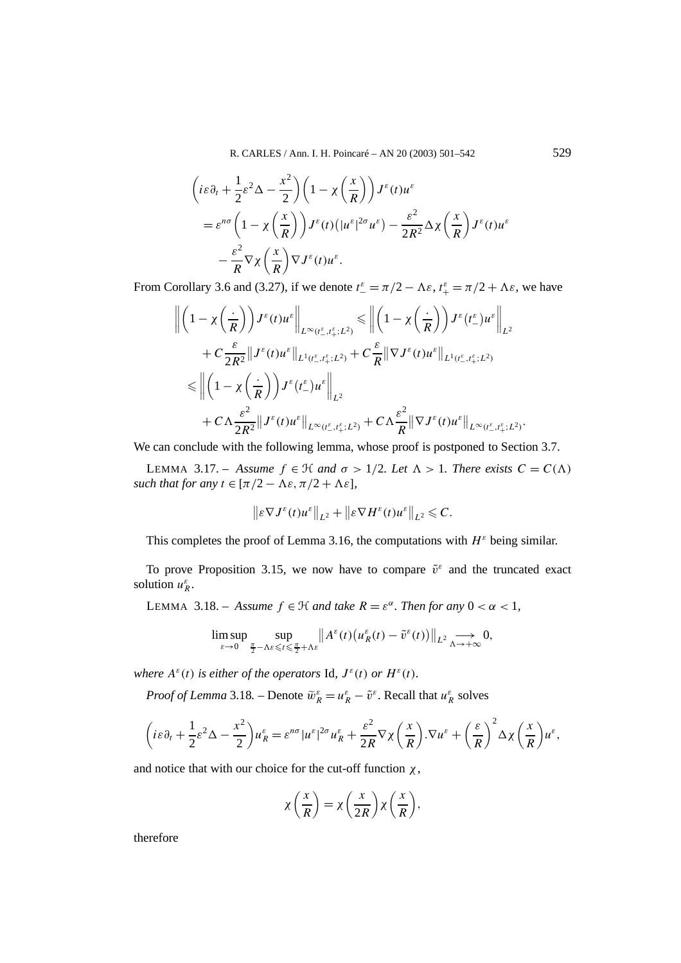R. CARLES / Ann. I. H. Poincaré – AN 20 (2003) 501–542 529

$$
\begin{split} \left(i\varepsilon\partial_{t} + \frac{1}{2}\varepsilon^{2}\Delta - \frac{x^{2}}{2}\right)\left(1 - \chi\left(\frac{x}{R}\right)\right)J^{\varepsilon}(t)u^{\varepsilon} \\ &= \varepsilon^{n\sigma}\left(1 - \chi\left(\frac{x}{R}\right)\right)J^{\varepsilon}(t)\left(|u^{\varepsilon}|^{2\sigma}u^{\varepsilon}\right) - \frac{\varepsilon^{2}}{2R^{2}}\Delta\chi\left(\frac{x}{R}\right)J^{\varepsilon}(t)u^{\varepsilon} \\ &- \frac{\varepsilon^{2}}{R}\nabla\chi\left(\frac{x}{R}\right)\nabla J^{\varepsilon}(t)u^{\varepsilon}. \end{split}
$$

From Corollary 3.6 and (3.27), if we denote  $t_{-}^{\varepsilon} = \pi/2 - \Lambda \varepsilon$ ,  $t_{+}^{\varepsilon} = \pi/2 + \Lambda \varepsilon$ , we have

$$
\begin{split}\n\left\|\left(1-\chi\left(\frac{\cdot}{R}\right)\right)J^{\varepsilon}(t)u^{\varepsilon}\right\|_{L^{\infty}(t^{\varepsilon}_{-},t^{\varepsilon}_{+};L^{2})} \leq \left\|\left(1-\chi\left(\frac{\cdot}{R}\right)\right)J^{\varepsilon}(t^{\varepsilon}_{-})u^{\varepsilon}\right\|_{L^{2}} \\
&+C\frac{\varepsilon}{2R^{2}}\|J^{\varepsilon}(t)u^{\varepsilon}\|_{L^{1}(t^{\varepsilon}_{-},t^{\varepsilon}_{+};L^{2})}+C\frac{\varepsilon}{R}\|\nabla J^{\varepsilon}(t)u^{\varepsilon}\|_{L^{1}(t^{\varepsilon}_{-},t^{\varepsilon}_{+};L^{2})} \\
&\leq \left\|\left(1-\chi\left(\frac{\cdot}{R}\right)\right)J^{\varepsilon}(t^{\varepsilon}_{-})u^{\varepsilon}\right\|_{L^{2}} \\
&+C\Lambda\frac{\varepsilon^{2}}{2R^{2}}\|J^{\varepsilon}(t)u^{\varepsilon}\|_{L^{\infty}(t^{\varepsilon}_{-},t^{\varepsilon}_{+};L^{2})}+C\Lambda\frac{\varepsilon^{2}}{R}\|\nabla J^{\varepsilon}(t)u^{\varepsilon}\|_{L^{\infty}(t^{\varepsilon}_{-},t^{\varepsilon}_{+};L^{2})}.\n\end{split}
$$

We can conclude with the following lemma, whose proof is postponed to Section 3.7.

LEMMA 3.17. – *Assume*  $f \in \mathcal{H}$  *and*  $\sigma > 1/2$ *. Let*  $\Lambda > 1$ *. There exists*  $C = C(\Lambda)$ *such that for any*  $t \in [\pi/2 - \Lambda \varepsilon, \pi/2 + \Lambda \varepsilon]$ ,

$$
\|\varepsilon \nabla J^{\varepsilon}(t)u^{\varepsilon}\|_{L^{2}} + \|\varepsilon \nabla H^{\varepsilon}(t)u^{\varepsilon}\|_{L^{2}} \leq C.
$$

This completes the proof of Lemma 3.16, the computations with  $H^{\varepsilon}$  being similar.

To prove Proposition 3.15, we now have to compare  $\tilde{v}^{\varepsilon}$  and the truncated exact solution  $u_R^{\varepsilon}$ .

LEMMA 3.18. – *Assume*  $f \in \mathcal{H}$  *and take*  $R = \varepsilon^{\alpha}$ *. Then for any*  $0 < \alpha < 1$ *,* 

$$
\limsup_{\varepsilon \to 0} \sup_{\frac{\pi}{2} - \Lambda \varepsilon \leq t \leq \frac{\pi}{2} + \Lambda \varepsilon} \| A^{\varepsilon}(t) \big( u_R^{\varepsilon}(t) - \tilde{v}^{\varepsilon}(t) \big) \|_{L^2} \underset{\Lambda \to +\infty}{\longrightarrow} 0,
$$

*where*  $A^{\varepsilon}(t)$  *is either of the operators* Id,  $J^{\varepsilon}(t)$  *or*  $H^{\varepsilon}(t)$ *.* 

*Proof of Lemma* 3.18*.* – Denote  $\tilde{w}_R^{\varepsilon} = u_R^{\varepsilon} - \tilde{v}^{\varepsilon}$ . Recall that  $u_R^{\varepsilon}$  solves

$$
\left(i\varepsilon\partial_t+\frac{1}{2}\varepsilon^2\Delta-\frac{x^2}{2}\right)u_R^{\varepsilon}=\varepsilon^{n\sigma}|u^{\varepsilon}|^{2\sigma}u_R^{\varepsilon}+\frac{\varepsilon^2}{2R}\nabla\chi\left(\frac{x}{R}\right).\nabla u^{\varepsilon}+\left(\frac{\varepsilon}{R}\right)^2\Delta\chi\left(\frac{x}{R}\right)u^{\varepsilon},
$$

and notice that with our choice for the cut-off function  $\chi$ ,

$$
\chi\left(\frac{x}{R}\right) = \chi\left(\frac{x}{2R}\right)\chi\left(\frac{x}{R}\right),\,
$$

therefore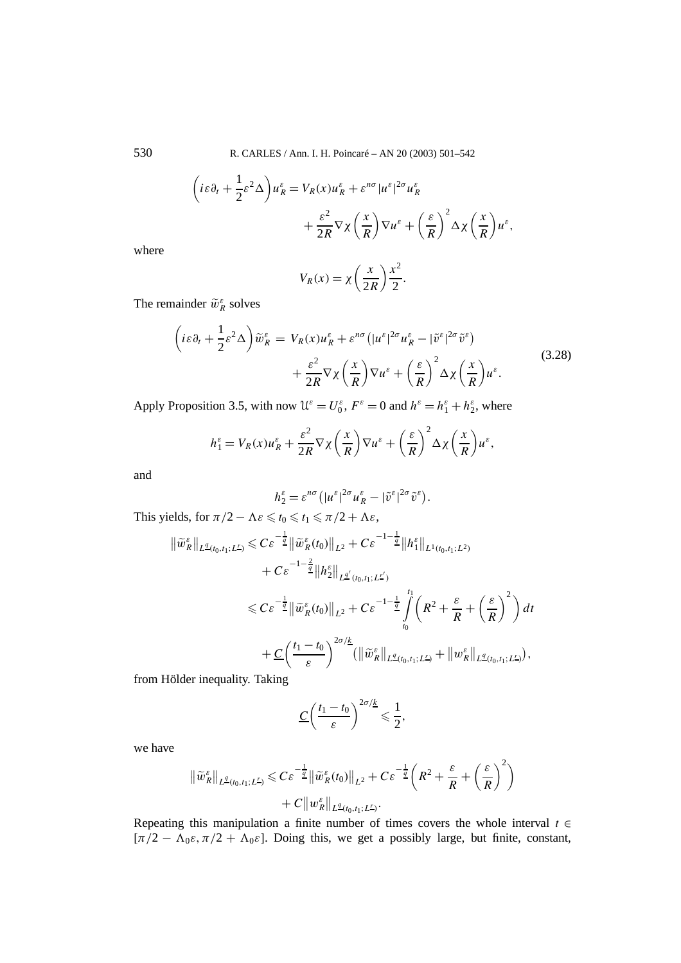530 R. CARLES / Ann. I. H. Poincaré – AN 20 (2003) 501–542

$$
\begin{aligned} \left(i\varepsilon\partial_t + \frac{1}{2}\varepsilon^2\Delta\right)u_R^\varepsilon &= V_R(x)u_R^\varepsilon + \varepsilon^{n\sigma}|u^\varepsilon|^{2\sigma}u_R^\varepsilon\\ &+ \frac{\varepsilon^2}{2R}\nabla\chi\left(\frac{x}{R}\right)\nabla u^\varepsilon + \left(\frac{\varepsilon}{R}\right)^2\Delta\chi\left(\frac{x}{R}\right)u^\varepsilon, \end{aligned}
$$

where

$$
V_R(x) = \chi \left(\frac{x}{2R}\right) \frac{x^2}{2}.
$$

The remainder  $\tilde{w}_R^{\varepsilon}$  solves

$$
\left(i\varepsilon\partial_t + \frac{1}{2}\varepsilon^2\Delta\right)\widetilde{w}_R^\varepsilon = V_R(x)u_R^\varepsilon + \varepsilon^{n\sigma}\left(|u^\varepsilon|^{2\sigma}u_R^\varepsilon - |\widetilde{v}^\varepsilon|^{2\sigma}\widetilde{v}^\varepsilon\right) + \frac{\varepsilon^2}{2R}\nabla\chi\left(\frac{x}{R}\right)\nabla u^\varepsilon + \left(\frac{\varepsilon}{R}\right)^2\Delta\chi\left(\frac{x}{R}\right)u^\varepsilon.
$$
\n(3.28)

Apply Proposition 3.5, with now  $\mathcal{U}^{\varepsilon} = U_0^{\varepsilon}$ ,  $F^{\varepsilon} = 0$  and  $h^{\varepsilon} = h_1^{\varepsilon} + h_2^{\varepsilon}$ , where

$$
h_1^{\varepsilon} = V_R(x)u_R^{\varepsilon} + \frac{\varepsilon^2}{2R}\nabla\chi\left(\frac{x}{R}\right)\nabla u^{\varepsilon} + \left(\frac{\varepsilon}{R}\right)^2\Delta\chi\left(\frac{x}{R}\right)u^{\varepsilon},
$$

and

$$
h_2^{\varepsilon} = \varepsilon^{n\sigma} \left( |u^{\varepsilon}|^{2\sigma} u_R^{\varepsilon} - |\tilde{v}^{\varepsilon}|^{2\sigma} \tilde{v}^{\varepsilon} \right).
$$

This yields, for  $\pi/2 - \Lambda \varepsilon \leq t_0 \leq t_1 \leq \pi/2 + \Lambda \varepsilon$ ,

$$
\begin{split} \|\widetilde{w}_{R}^{\varepsilon}\|_{L^{\underline{q}}(t_0,t_1;L^{\underline{r}})} &\leq C\varepsilon^{-\frac{1}{\underline{q}}}\|\widetilde{w}_{R}^{\varepsilon}(t_0)\|_{L^2} + C\varepsilon^{-1-\frac{1}{\underline{q}}}\|h_1^{\varepsilon}\|_{L^1(t_0,t_1;L^2)} \\ &+ C\varepsilon^{-1-\frac{2}{\underline{q}}}\|h_2^{\varepsilon}\|_{L^{\underline{q}'}(t_0,t_1;L^{\underline{r}'})} \\ &\leq C\varepsilon^{-\frac{1}{\underline{q}}}\|\widetilde{w}_{R}^{\varepsilon}(t_0)\|_{L^2} + C\varepsilon^{-1-\frac{1}{\underline{q}}}\int_{t_0}^{t_1} \left(R^2 + \frac{\varepsilon}{R} + \left(\frac{\varepsilon}{R}\right)^2\right)dt \\ &+ \underline{C}\left(\frac{t_1-t_0}{\varepsilon}\right)^{2\sigma/\underline{k}}(\|\widetilde{w}_{R}^{\varepsilon}\|_{L^{\underline{q}}(t_0,t_1;L^{\underline{r}})} + \|w_{R}^{\varepsilon}\|_{L^{\underline{q}}(t_0,t_1;L^{\underline{r}})}), \end{split}
$$

from Hölder inequality. Taking

$$
\underline{C}\left(\frac{t_1-t_0}{\varepsilon}\right)^{2\sigma/\underline{k}}\leqslant \frac{1}{2},
$$

we have

$$
\begin{aligned} \|\widetilde{w}_{R}^{\varepsilon}\|_{L^{\underline{q}}(t_0,t_1;L^{\underline{r}})} &\leqslant C\varepsilon^{-\frac{1}{2}}\|\widetilde{w}_{R}^{\varepsilon}(t_0)\|_{L^2} + C\varepsilon^{-\frac{1}{2}}\bigg(R^2 + \frac{\varepsilon}{R} + \bigg(\frac{\varepsilon}{R}\bigg)^2\bigg) \\ &+ C\|w_{R}^{\varepsilon}\|_{L^{\underline{q}}(t_0,t_1;L^{\underline{r}})}. \end{aligned}
$$

Repeating this manipulation a finite number of times covers the whole interval *t* ∈ [ $\pi/2 - \Lambda_0 \varepsilon$ ,  $\pi/2 + \Lambda_0 \varepsilon$ ]. Doing this, we get a possibly large, but finite, constant,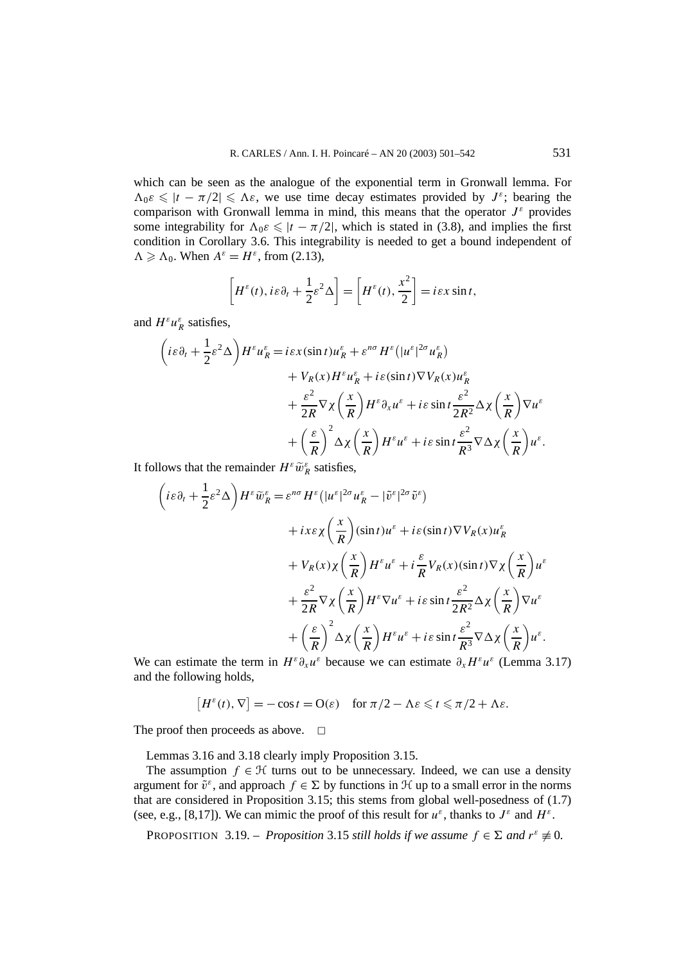which can be seen as the analogue of the exponential term in Gronwall lemma. For  $\Lambda_0 \varepsilon \le |t - \pi/2| \le \Lambda \varepsilon$ , we use time decay estimates provided by  $J^{\varepsilon}$ ; bearing the comparison with Gronwall lemma in mind, this means that the operator  $J^{\varepsilon}$  provides some integrability for  $\Lambda_0 \varepsilon \le |t - \pi/2|$ , which is stated in (3.8), and implies the first condition in Corollary 3.6. This integrability is needed to get a bound independent of  $\Lambda \geq \Lambda_0$ . When  $A^{\varepsilon} = H^{\varepsilon}$ , from (2.13),

$$
\[H^{\varepsilon}(t), i\varepsilon\partial_{t} + \frac{1}{2}\varepsilon^{2}\Delta\] = \left[H^{\varepsilon}(t), \frac{x^{2}}{2}\right] = i\varepsilon x \sin t,
$$

and  $H^{\varepsilon}u^{\varepsilon}_R$  satisfies,

$$
\begin{split}\n\left( i\varepsilon \partial_t + \frac{1}{2} \varepsilon^2 \Delta \right) H^\varepsilon u_R^\varepsilon &= i\varepsilon x (\sin t) u_R^\varepsilon + \varepsilon^{n\sigma} H^\varepsilon \left( |u^\varepsilon|^{2\sigma} u_R^\varepsilon \right) \\
&+ V_R(x) H^\varepsilon u_R^\varepsilon + i\varepsilon (\sin t) \nabla V_R(x) u_R^\varepsilon \\
&+ \frac{\varepsilon^2}{2R} \nabla \chi \left( \frac{x}{R} \right) H^\varepsilon \partial_x u^\varepsilon + i\varepsilon \sin t \frac{\varepsilon^2}{2R^2} \Delta \chi \left( \frac{x}{R} \right) \nabla u^\varepsilon \\
&+ \left( \frac{\varepsilon}{R} \right)^2 \Delta \chi \left( \frac{x}{R} \right) H^\varepsilon u^\varepsilon + i\varepsilon \sin t \frac{\varepsilon^2}{R^3} \nabla \Delta \chi \left( \frac{x}{R} \right) u^\varepsilon.\n\end{split}
$$

It follows that the remainder  $H^{\varepsilon} \tilde{w}_R^{\varepsilon}$  satisfies,

$$
\begin{split}\n\left( i\varepsilon \partial_t + \frac{1}{2} \varepsilon^2 \Delta \right) H^\varepsilon \widetilde{w}_R^\varepsilon &= \varepsilon^{n\sigma} H^\varepsilon \left( |u^\varepsilon|^{2\sigma} u_R^\varepsilon - |\widetilde{v}^\varepsilon|^{2\sigma} \widetilde{v}^\varepsilon \right) \\
&+ i x\varepsilon \chi \left( \frac{x}{R} \right) (\sin t) u^\varepsilon + i\varepsilon (\sin t) \nabla V_R(x) u_R^\varepsilon \\
&+ V_R(x) \chi \left( \frac{x}{R} \right) H^\varepsilon u^\varepsilon + i \frac{\varepsilon}{R} V_R(x) (\sin t) \nabla \chi \left( \frac{x}{R} \right) u^\varepsilon \\
&+ \frac{\varepsilon^2}{2R} \nabla \chi \left( \frac{x}{R} \right) H^\varepsilon \nabla u^\varepsilon + i\varepsilon \sin t \frac{\varepsilon^2}{2R^2} \Delta \chi \left( \frac{x}{R} \right) \nabla u^\varepsilon \\
&+ \left( \frac{\varepsilon}{R} \right)^2 \Delta \chi \left( \frac{x}{R} \right) H^\varepsilon u^\varepsilon + i\varepsilon \sin t \frac{\varepsilon^2}{R^3} \nabla \Delta \chi \left( \frac{x}{R} \right) u^\varepsilon.\n\end{split}
$$

We can estimate the term in  $H^{\varepsilon}\partial_x u^{\varepsilon}$  because we can estimate  $\partial_x H^{\varepsilon}u^{\varepsilon}$  (Lemma 3.17) and the following holds,

$$
[H^{\varepsilon}(t), \nabla] = -\cos t = O(\varepsilon) \quad \text{for } \pi/2 - \Lambda \varepsilon \leqslant t \leqslant \pi/2 + \Lambda \varepsilon.
$$

The proof then proceeds as above.  $\Box$ 

Lemmas 3.16 and 3.18 clearly imply Proposition 3.15.

The assumption  $f \in \mathcal{H}$  turns out to be unnecessary. Indeed, we can use a density argument for  $\tilde{v}^{\varepsilon}$ , and approach  $f \in \Sigma$  by functions in H up to a small error in the norms that are considered in Proposition 3.15; this stems from global well-posedness of (1.7) (see, e.g., [8,17]). We can mimic the proof of this result for  $u^{\varepsilon}$ , thanks to  $J^{\varepsilon}$  and  $H^{\varepsilon}$ .

**PROPOSITION** 3.19. – *Proposition* 3.15 *still holds if we assume*  $f \in \Sigma$  *and*  $r^{\varepsilon} \neq 0$ *.*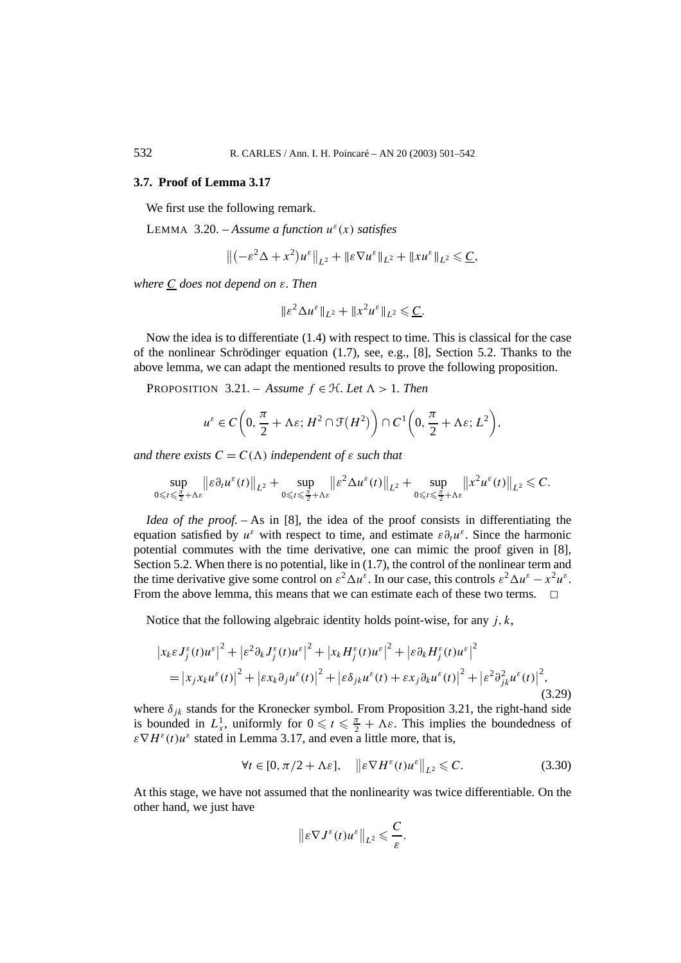#### **3.7. Proof of Lemma 3.17**

We first use the following remark.

LEMMA 3.20. – *Assume a function*  $u^{\varepsilon}(x)$  *satisfies* 

$$
\left\| \left( -\varepsilon^2 \Delta + x^2 \right) u^{\varepsilon} \right\|_{L^2} + \|\varepsilon \nabla u^{\varepsilon}\|_{L^2} + \|x u^{\varepsilon}\|_{L^2} \leqslant \underline{C},
$$

*where C does not depend on ε. Then*

$$
\|\varepsilon^2 \Delta u^\varepsilon\|_{L^2} + \|x^2 u^\varepsilon\|_{L^2} \leqslant \underline{C}.
$$

Now the idea is to differentiate (1.4) with respect to time. This is classical for the case of the nonlinear Schrödinger equation (1.7), see, e.g., [8], Section 5.2. Thanks to the above lemma, we can adapt the mentioned results to prove the following proposition.

PROPOSITION 3.21. – *Assume*  $f \in H$ *. Let*  $\Lambda > 1$ *. Then* 

$$
u^{\varepsilon} \in C\left(0, \frac{\pi}{2} + \Lambda \varepsilon; H^{2} \cap \mathcal{F}(H^{2})\right) \cap C^{1}\left(0, \frac{\pi}{2} + \Lambda \varepsilon; L^{2}\right),\,
$$

*and there exists*  $C = C(\Lambda)$  *independent of*  $\varepsilon$  *such that* 

$$
\sup_{0\leqslant t\leqslant\frac{\pi}{2}+\Lambda\varepsilon}\big\|\varepsilon\partial_t u^{\varepsilon}(t)\big\|_{L^2}+\sup_{0\leqslant t\leqslant\frac{\pi}{2}+\Lambda\varepsilon}\big\|\varepsilon^2\Delta u^{\varepsilon}(t)\big\|_{L^2}+\sup_{0\leqslant t\leqslant\frac{\pi}{2}+\Lambda\varepsilon}\big\|x^2u^{\varepsilon}(t)\big\|_{L^2}\leqslant C.
$$

*Idea of the proof.* – As in [8], the idea of the proof consists in differentiating the equation satisfied by  $u^{\varepsilon}$  with respect to time, and estimate  $\varepsilon \partial_t u^{\varepsilon}$ . Since the harmonic potential commutes with the time derivative, one can mimic the proof given in [8], Section 5.2. When there is no potential, like in  $(1.7)$ , the control of the nonlinear term and the time derivative give some control on  $\varepsilon^2 \Delta u^\varepsilon$ . In our case, this controls  $\varepsilon^2 \Delta u^\varepsilon - x^2 u^\varepsilon$ . From the above lemma, this means that we can estimate each of these two terms.

Notice that the following algebraic identity holds point-wise, for any *j,k*,

$$
\begin{split} \left| x_k \varepsilon J_j^{\varepsilon}(t) u^{\varepsilon} \right|^2 + \left| \varepsilon^2 \partial_k J_j^{\varepsilon}(t) u^{\varepsilon} \right|^2 + \left| x_k H_j^{\varepsilon}(t) u^{\varepsilon} \right|^2 + \left| \varepsilon \partial_k H_j^{\varepsilon}(t) u^{\varepsilon} \right|^2 \\ &= \left| x_j x_k u^{\varepsilon}(t) \right|^2 + \left| \varepsilon x_k \partial_j u^{\varepsilon}(t) \right|^2 + \left| \varepsilon \delta_{jk} u^{\varepsilon}(t) + \varepsilon x_j \partial_k u^{\varepsilon}(t) \right|^2 + \left| \varepsilon^2 \partial_{jk}^2 u^{\varepsilon}(t) \right|^2, \end{split} \tag{3.29}
$$

where  $\delta_{jk}$  stands for the Kronecker symbol. From Proposition 3.21, the right-hand side is bounded in  $L_x^1$ , uniformly for  $0 \le t \le \frac{\pi}{2} + \Lambda \varepsilon$ . This implies the boundedness of  $\epsilon \nabla H^{\epsilon}(t)u^{\epsilon}$  stated in Lemma 3.17, and even a little more, that is,

$$
\forall t \in [0, \pi/2 + \Lambda \varepsilon], \quad \left\| \varepsilon \nabla H^{\varepsilon}(t) u^{\varepsilon} \right\|_{L^{2}} \leqslant C. \tag{3.30}
$$

At this stage, we have not assumed that the nonlinearity was twice differentiable. On the other hand, we just have

$$
\|\varepsilon \nabla J^{\varepsilon}(t)u^{\varepsilon}\|_{L^{2}} \leqslant \frac{C}{\varepsilon}.
$$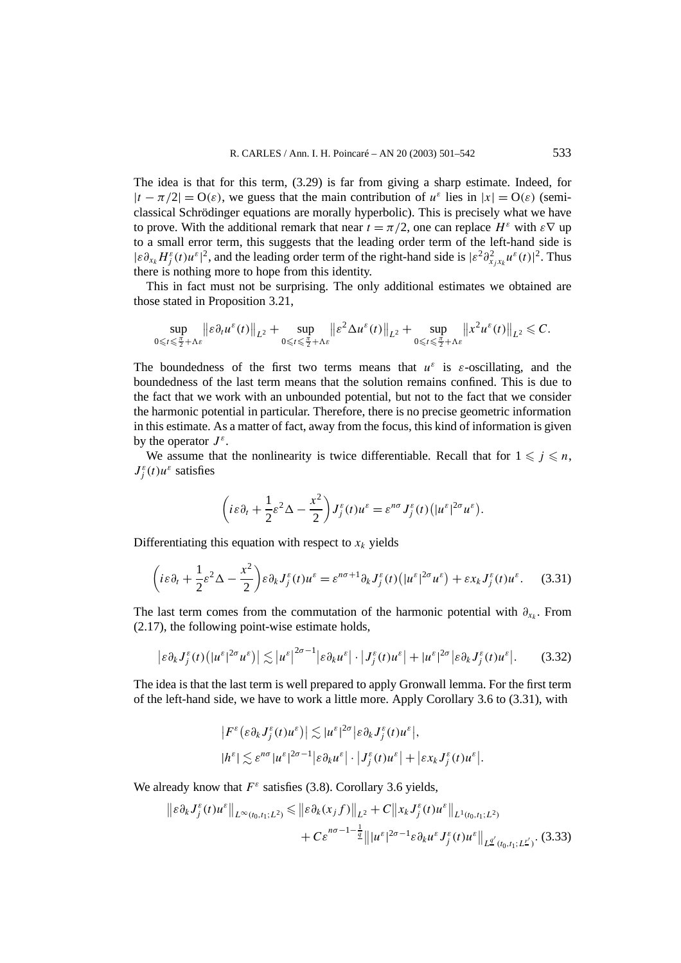The idea is that for this term, (3.29) is far from giving a sharp estimate. Indeed, for  $|t - \pi/2| = O(\varepsilon)$ , we guess that the main contribution of  $u^{\varepsilon}$  lies in  $|x| = O(\varepsilon)$  (semiclassical Schrödinger equations are morally hyperbolic). This is precisely what we have to prove. With the additional remark that near  $t = \pi/2$ , one can replace  $H^{\varepsilon}$  with  $\varepsilon \nabla$  up to a small error term, this suggests that the leading order term of the left-hand side is  $|\epsilon \partial_{x_k} H_j^{\epsilon}(t) u^{\epsilon}|^2$ , and the leading order term of the right-hand side is  $|\epsilon^2 \partial_{x_j x_k}^2 u^{\epsilon}(t)|^2$ . Thus there is nothing more to hope from this identity.

This in fact must not be surprising. The only additional estimates we obtained are those stated in Proposition 3.21,

$$
\sup_{0\leqslant t\leqslant\frac{\pi}{2}+\Lambda\varepsilon}\big\|\varepsilon\partial_t u^{\varepsilon}(t)\big\|_{L^2}+\sup_{0\leqslant t\leqslant\frac{\pi}{2}+\Lambda\varepsilon}\big\|\varepsilon^2\Delta u^{\varepsilon}(t)\big\|_{L^2}+\sup_{0\leqslant t\leqslant\frac{\pi}{2}+\Lambda\varepsilon}\big\|x^2u^{\varepsilon}(t)\big\|_{L^2}\leqslant C.
$$

The boundedness of the first two terms means that  $u^{\varepsilon}$  is  $\varepsilon$ -oscillating, and the boundedness of the last term means that the solution remains confined. This is due to the fact that we work with an unbounded potential, but not to the fact that we consider the harmonic potential in particular. Therefore, there is no precise geometric information in this estimate. As a matter of fact, away from the focus, this kind of information is given by the operator  $J^{\varepsilon}$ .

We assume that the nonlinearity is twice differentiable. Recall that for  $1 \leq j \leq n$ ,  $J_j^{\varepsilon}(t)u^{\varepsilon}$  satisfies

$$
\left(i\varepsilon\partial_t+\frac{1}{2}\varepsilon^2\Delta-\frac{x^2}{2}\right)J_j^{\varepsilon}(t)u^{\varepsilon}=\varepsilon^{n\sigma}J_j^{\varepsilon}(t)\big(|u^{\varepsilon}|^{2\sigma}u^{\varepsilon}\big).
$$

Differentiating this equation with respect to  $x_k$  yields

$$
\left(i\varepsilon\partial_t + \frac{1}{2}\varepsilon^2\Delta - \frac{x^2}{2}\right)\varepsilon\partial_k J_j^{\varepsilon}(t)u^{\varepsilon} = \varepsilon^{n\sigma+1}\partial_k J_j^{\varepsilon}(t)\left(|u^{\varepsilon}|^{2\sigma}u^{\varepsilon}\right) + \varepsilon x_k J_j^{\varepsilon}(t)u^{\varepsilon}.\tag{3.31}
$$

The last term comes from the commutation of the harmonic potential with  $\partial_{x_k}$ . From (2.17), the following point-wise estimate holds,

$$
\left|\varepsilon \partial_k J_j^{\varepsilon}(t) \left(|u^{\varepsilon}|^{2\sigma} u^{\varepsilon}\right)\right| \lesssim |u^{\varepsilon}|^{2\sigma-1} \left|\varepsilon \partial_k u^{\varepsilon}\right| \cdot \left|J_j^{\varepsilon}(t) u^{\varepsilon}\right| + |u^{\varepsilon}|^{2\sigma} \left|\varepsilon \partial_k J_j^{\varepsilon}(t) u^{\varepsilon}\right|.
$$
 (3.32)

The idea is that the last term is well prepared to apply Gronwall lemma. For the first term of the left-hand side, we have to work a little more. Apply Corollary 3.6 to (3.31), with

$$
\begin{aligned} \left| F^{\varepsilon} \left( \varepsilon \partial_{k} J_{j}^{\varepsilon}(t) u^{\varepsilon} \right) \right| &\lesssim |u^{\varepsilon}|^{2\sigma} \left| \varepsilon \partial_{k} J_{j}^{\varepsilon}(t) u^{\varepsilon} \right|, \\ |h^{\varepsilon}| &\lesssim \varepsilon^{n\sigma} |u^{\varepsilon}|^{2\sigma-1} \left| \varepsilon \partial_{k} u^{\varepsilon} \right| \cdot \left| J_{j}^{\varepsilon}(t) u^{\varepsilon} \right| + \left| \varepsilon x_{k} J_{j}^{\varepsilon}(t) u^{\varepsilon} \right|. \end{aligned}
$$

We already know that  $F^{\varepsilon}$  satisfies (3.8). Corollary 3.6 yields,

$$
\|\varepsilon \partial_k J_j^{\varepsilon}(t) u^{\varepsilon}\|_{L^{\infty}(t_0,t_1;L^2)} \leq \|\varepsilon \partial_k (x_j f)\|_{L^2} + C \|x_k J_j^{\varepsilon}(t) u^{\varepsilon}\|_{L^1(t_0,t_1;L^2)} + C \varepsilon^{n\sigma-1-\frac{1}{2}} \|u^{\varepsilon}|^{2\sigma-1} \varepsilon \partial_k u^{\varepsilon} J_j^{\varepsilon}(t) u^{\varepsilon}\|_{L^{\underline{q}}'(t_0,t_1;L^{\underline{r}'})}. \tag{3.33}
$$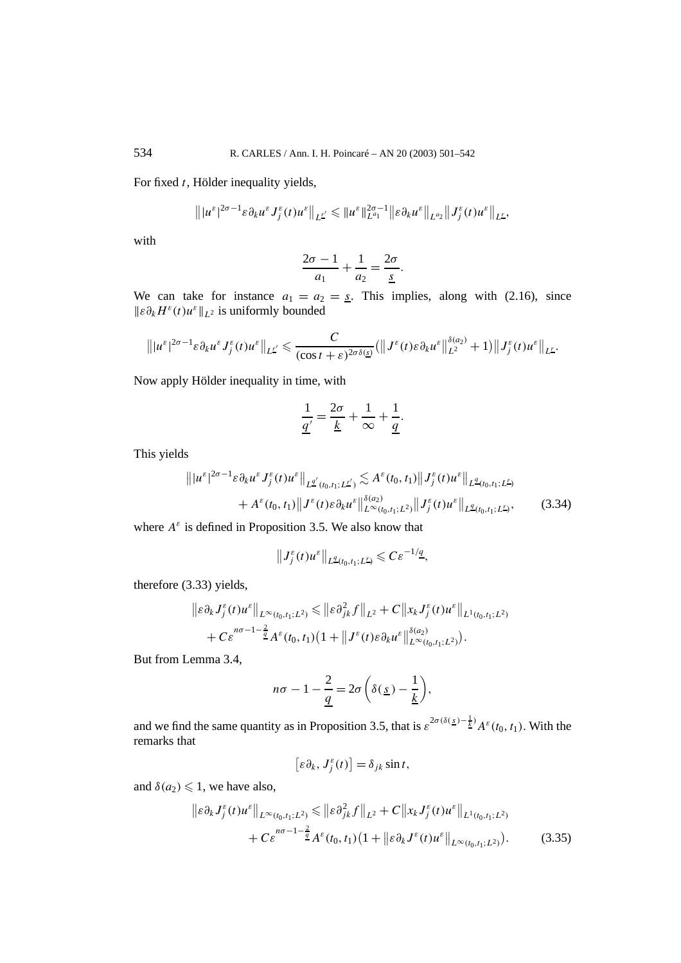For fixed *t*, Hölder inequality yields,

$$
\left\||u^{\varepsilon}|^{2\sigma-1}\varepsilon\partial_{k}u^{\varepsilon}J_{j}^{\varepsilon}(t)u^{\varepsilon}\right\|_{L^{\underline{r}'}}\leqslant\|u^{\varepsilon}\|_{L^{a_{1}}}^{2\sigma-1}\|\varepsilon\partial_{k}u^{\varepsilon}\|_{L^{a_{2}}}\|J_{j}^{\varepsilon}(t)u^{\varepsilon}\|_{L^{\underline{r}}},
$$

with

$$
\frac{2\sigma - 1}{a_1} + \frac{1}{a_2} = \frac{2\sigma}{\underline{s}}.
$$

We can take for instance  $a_1 = a_2 = s$ . This implies, along with (2.16), since *ε∂kHε(t)uεL*<sup>2</sup> is uniformly bounded

$$
\left\||u^{\varepsilon}|^{2\sigma-1}\varepsilon\partial_{k}u^{\varepsilon}J_{j}^{\varepsilon}(t)u^{\varepsilon}\right\|_{L^{L'}}\leqslant\frac{C}{(\cos t+\varepsilon)^{2\sigma\delta(\underline{s})}}\left(\left\|J^{\varepsilon}(t)\varepsilon\partial_{k}u^{\varepsilon}\right\|_{L^{2}}^{2\delta(\underline{s})}+1\right)\left\|J_{j}^{\varepsilon}(t)u^{\varepsilon}\right\|_{L^{L}}.
$$

Now apply Hölder inequality in time, with

$$
\frac{1}{\underline{q'}} = \frac{2\sigma}{\underline{k}} + \frac{1}{\infty} + \frac{1}{\underline{q}}.
$$

This yields

$$
\| |u^{\varepsilon}|^{2\sigma-1} \varepsilon \partial_k u^{\varepsilon} J_j^{\varepsilon}(t) u^{\varepsilon} \|_{L^{q'}(t_0,t_1;L^{r'})} \lesssim A^{\varepsilon}(t_0,t_1) \| J_j^{\varepsilon}(t) u^{\varepsilon} \|_{L^{q}(t_0,t_1;L^{r})}
$$
  
+  $A^{\varepsilon}(t_0,t_1) \| J^{\varepsilon}(t) \varepsilon \partial_k u^{\varepsilon} \|_{L^{\infty}(t_0,t_1;L^{2})}^{3(a_2)} \| J_j^{\varepsilon}(t) u^{\varepsilon} \|_{L^{q}(t_0,t_1;L^{r})},$  (3.34)

where  $A^{\varepsilon}$  is defined in Proposition 3.5. We also know that

 $||J_j^{\varepsilon}(t)u^{\varepsilon}||_{L^{\underline{q}}(t_0,t_1;L^r)} \leqslant C\varepsilon^{-1/\underline{q}},$ 

therefore (3.33) yields,

$$
\|\varepsilon \partial_k J_j^{\varepsilon}(t) u^{\varepsilon}\|_{L^{\infty}(t_0,t_1;L^2)} \leq \|\varepsilon \partial_{jk}^2 f\|_{L^2} + C \|x_k J_j^{\varepsilon}(t) u^{\varepsilon}\|_{L^1(t_0,t_1;L^2)}
$$
  
+  $C \varepsilon^{n\sigma-1-\frac{2}{2}} A^{\varepsilon}(t_0,t_1) (1 + \|J^{\varepsilon}(t) \varepsilon \partial_k u^{\varepsilon}\|_{L^{\infty}(t_0,t_1;L^2)}^{\delta(a_2)}).$ 

But from Lemma 3.4,

$$
n\sigma - 1 - \frac{2}{q} = 2\sigma \left( \delta(\underline{s}) - \frac{1}{\underline{k}} \right),
$$

and we find the same quantity as in Proposition 3.5, that is  $\varepsilon^{2\sigma(\delta(\underline{s})-\frac{1}{k})}A^{\varepsilon}(t_0,t_1)$ . With the remarks that

$$
\left[\varepsilon\partial_k,\,J_j^{\varepsilon}(t)\right]=\delta_{jk}\sin t,
$$

and  $\delta(a_2) \leq 1$ , we have also,

$$
\| \varepsilon \partial_k J_j^{\varepsilon}(t) u^{\varepsilon} \|_{L^{\infty}(t_0, t_1; L^2)} \leq \| \varepsilon \partial_{jk}^2 f \|_{L^2} + C \| x_k J_j^{\varepsilon}(t) u^{\varepsilon} \|_{L^1(t_0, t_1; L^2)} + C \varepsilon^{n\sigma - 1 - \frac{2}{q}} A^{\varepsilon}(t_0, t_1) (1 + \| \varepsilon \partial_k J^{\varepsilon}(t) u^{\varepsilon} \|_{L^{\infty}(t_0, t_1; L^2)}).
$$
 (3.35)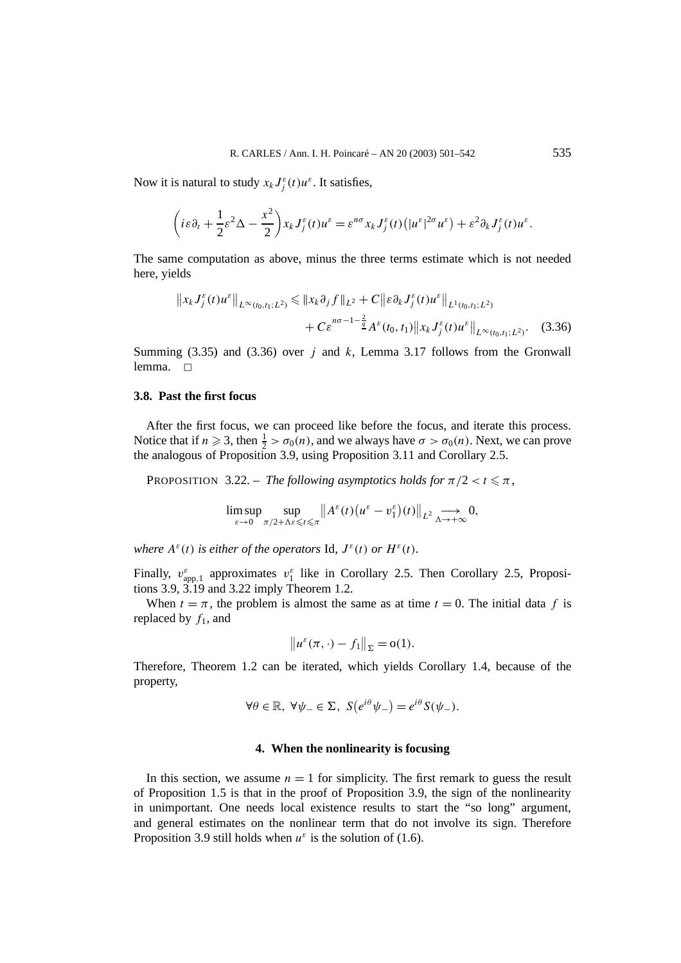Now it is natural to study  $x_k J_j^{\varepsilon}(t) u^{\varepsilon}$ . It satisfies,

$$
\left(i\varepsilon\partial_t+\frac{1}{2}\varepsilon^2\Delta-\frac{x^2}{2}\right)x_kJ_j^\varepsilon(t)u^\varepsilon=\varepsilon^{n\sigma}x_kJ_j^\varepsilon(t)\big(|u^\varepsilon|^{2\sigma}u^\varepsilon\big)+\varepsilon^2\partial_kJ_j^\varepsilon(t)u^\varepsilon.
$$

The same computation as above, minus the three terms estimate which is not needed here, yields

$$
||x_k J_j^{\varepsilon}(t)u^{\varepsilon}||_{L^{\infty}(t_0,t_1;L^2)} \le ||x_k \partial_j f||_{L^2} + C||\varepsilon \partial_k J_j^{\varepsilon}(t)u^{\varepsilon}||_{L^1(t_0,t_1;L^2)} + C\varepsilon^{n\sigma-1-\frac{2}{2}} A^{\varepsilon}(t_0,t_1)||x_k J_j^{\varepsilon}(t)u^{\varepsilon}||_{L^{\infty}(t_0,t_1;L^2)}.
$$
 (3.36)

Summing (3.35) and (3.36) over *j* and *k*, Lemma 3.17 follows from the Gronwall lemma.  $\Box$ 

# **3.8. Past the first focus**

After the first focus, we can proceed like before the focus, and iterate this process. Notice that if  $n \ge 3$ , then  $\frac{1}{2} > \sigma_0(n)$ , and we always have  $\sigma > \sigma_0(n)$ . Next, we can prove the analogous of Proposition 3.9, using Proposition 3.11 and Corollary 2.5.

**PROPOSITION** 3.22. – *The following asymptotics holds for*  $\pi/2 < t \leq \pi$ ,

$$
\limsup_{\varepsilon \to 0} \sup_{\pi/2 + \Lambda \varepsilon \leqslant t \leqslant \pi} \| A^{\varepsilon}(t) (u^{\varepsilon} - v_1^{\varepsilon}) (t) \|_{L^2} \underset{\Lambda \to +\infty}{\longrightarrow} 0,
$$

*where*  $A^{\varepsilon}(t)$  *is either of the operators* Id,  $J^{\varepsilon}(t)$  *or*  $H^{\varepsilon}(t)$ *.* 

Finally,  $v_{app,1}^{\varepsilon}$  approximates  $v_1^{\varepsilon}$  like in Corollary 2.5. Then Corollary 2.5, Propositions 3.9, 3.19 and 3.22 imply Theorem 1.2.

When  $t = \pi$ , the problem is almost the same as at time  $t = 0$ . The initial data f is replaced by  $f_1$ , and

$$
\|u^{\varepsilon}(\pi,\cdot)-f_1\|_{\Sigma}=o(1).
$$

Therefore, Theorem 1.2 can be iterated, which yields Corollary 1.4, because of the property,

$$
\forall \theta \in \mathbb{R}, \ \forall \psi_- \in \Sigma, \ S(e^{i\theta}\psi_-) = e^{i\theta}S(\psi_-).
$$

#### **4. When the nonlinearity is focusing**

In this section, we assume  $n = 1$  for simplicity. The first remark to guess the result of Proposition 1.5 is that in the proof of Proposition 3.9, the sign of the nonlinearity in unimportant. One needs local existence results to start the "so long" argument, and general estimates on the nonlinear term that do not involve its sign. Therefore Proposition 3.9 still holds when  $u^{\varepsilon}$  is the solution of (1.6).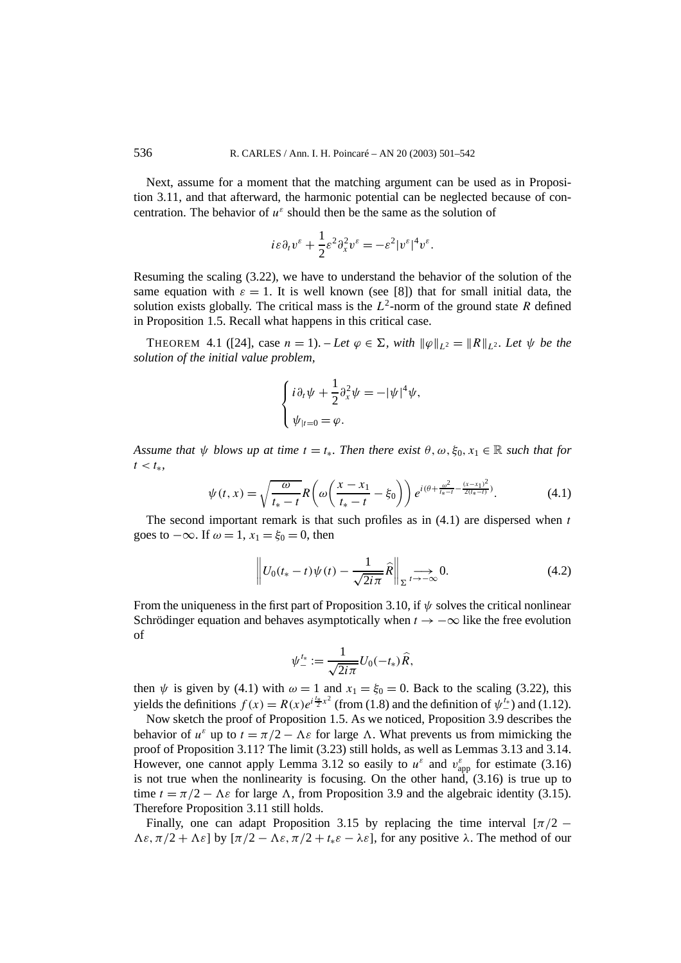Next, assume for a moment that the matching argument can be used as in Proposition 3.11, and that afterward, the harmonic potential can be neglected because of concentration. The behavior of  $u^{\varepsilon}$  should then be the same as the solution of

$$
i\varepsilon \partial_t v^\varepsilon + \frac{1}{2} \varepsilon^2 \partial_x^2 v^\varepsilon = -\varepsilon^2 |v^\varepsilon|^4 v^\varepsilon.
$$

Resuming the scaling (3.22), we have to understand the behavior of the solution of the same equation with  $\varepsilon = 1$ . It is well known (see [8]) that for small initial data, the solution exists globally. The critical mass is the  $L^2$ -norm of the ground state *R* defined in Proposition 1.5. Recall what happens in this critical case.

THEOREM 4.1 ([24], case  $n = 1$ ). – Let  $\varphi \in \Sigma$ , with  $\|\varphi\|_{L^2} = \|R\|_{L^2}$ . Let  $\psi$  be the *solution of the initial value problem,*

$$
\begin{cases} i \partial_t \psi + \frac{1}{2} \partial_x^2 \psi = -|\psi|^4 \psi, \\ \psi_{|t=0} = \varphi. \end{cases}
$$

*Assume that*  $\psi$  *blows up at time*  $t = t_*$ *. Then there exist*  $\theta$ *,*  $\omega$ *,*  $\xi_0$ *,*  $x_1 \in \mathbb{R}$  *such that for*  $t < t$ <sup>\*</sup>

$$
\psi(t,x) = \sqrt{\frac{\omega}{t_* - t}} R\left(\omega \left(\frac{x - x_1}{t_* - t} - \xi_0\right)\right) e^{i(\theta + \frac{\omega^2}{t_* - t} - \frac{(x - x_1)^2}{2(t_* - t)})}.\tag{4.1}
$$

The second important remark is that such profiles as in (4.1) are dispersed when *t* goes to  $-\infty$ . If  $\omega = 1$ ,  $x_1 = \xi_0 = 0$ , then

$$
\left\| U_0(t_* - t) \psi(t) - \frac{1}{\sqrt{2i\pi}} \widehat{R} \right\|_{\Sigma^{l \to -\infty}} 0. \tag{4.2}
$$

From the uniqueness in the first part of Proposition 3.10, if *ψ* solves the critical nonlinear Schrödinger equation and behaves asymptotically when  $t \rightarrow -\infty$  like the free evolution of

$$
\psi_{-}^{t_*} := \frac{1}{\sqrt{2i\pi}} U_0(-t_*)\widehat{R},
$$

then  $\psi$  is given by (4.1) with  $\omega = 1$  and  $x_1 = \xi_0 = 0$ . Back to the scaling (3.22), this yields the definitions  $f(x) = R(x)e^{i\frac{k}{2}x^2}$  (from (1.8) and the definition of  $\psi^{t*}_{-}$ ) and (1.12).

Now sketch the proof of Proposition 1.5. As we noticed, Proposition 3.9 describes the behavior of  $u^{\varepsilon}$  up to  $t = \pi/2 - \Lambda \varepsilon$  for large  $\Lambda$ . What prevents us from mimicking the proof of Proposition 3.11? The limit (3.23) still holds, as well as Lemmas 3.13 and 3.14. However, one cannot apply Lemma 3.12 so easily to  $u^{\varepsilon}$  and  $v^{\varepsilon}_{app}$  for estimate (3.16) is not true when the nonlinearity is focusing. On the other hand,  $(3.16)$  is true up to time  $t = \pi/2 - \Lambda \varepsilon$  for large  $\Lambda$ , from Proposition 3.9 and the algebraic identity (3.15). Therefore Proposition 3.11 still holds.

Finally, one can adapt Proposition 3.15 by replacing the time interval  $[\pi/2 \Lambda \varepsilon$ ,  $\pi/2 + \Lambda \varepsilon$ ] by  $[\pi/2 - \Lambda \varepsilon, \pi/2 + t_* \varepsilon - \lambda \varepsilon]$ , for any positive  $\lambda$ . The method of our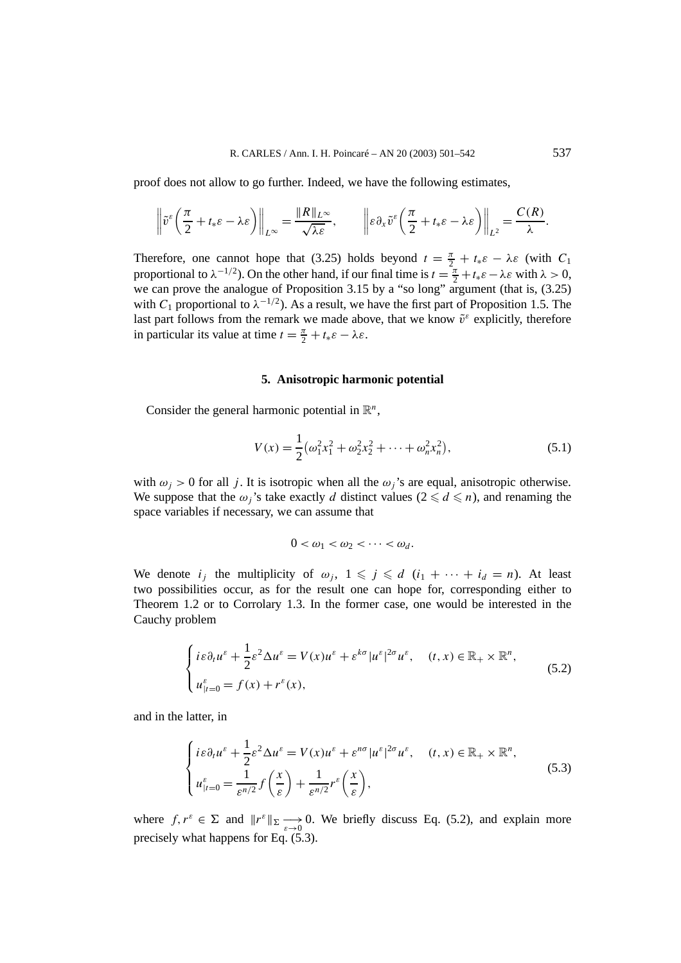proof does not allow to go further. Indeed, we have the following estimates,

$$
\left\|\tilde{v}^{\varepsilon}\left(\frac{\pi}{2}+t_{*}\varepsilon-\lambda\varepsilon\right)\right\|_{L^{\infty}}=\frac{\|R\|_{L^{\infty}}}{\sqrt{\lambda\varepsilon}},\qquad\left\|\varepsilon\partial_{x}\tilde{v}^{\varepsilon}\left(\frac{\pi}{2}+t_{*}\varepsilon-\lambda\varepsilon\right)\right\|_{L^{2}}=\frac{C(R)}{\lambda}.
$$

Therefore, one cannot hope that (3.25) holds beyond  $t = \frac{\pi}{2} + t_* \varepsilon - \lambda \varepsilon$  (with  $C_1$ proportional to  $\lambda^{-1/2}$ ). On the other hand, if our final time is  $t = \frac{\pi}{2} + t_* \varepsilon - \lambda \varepsilon$  with  $\lambda > 0$ , we can prove the analogue of Proposition 3.15 by a "so long" argument (that is, (3.25) with  $C_1$  proportional to  $\lambda^{-1/2}$ ). As a result, we have the first part of Proposition 1.5. The last part follows from the remark we made above, that we know  $\tilde{v}^{\varepsilon}$  explicitly, therefore in particular its value at time  $t = \frac{\pi}{2} + t_* \varepsilon - \lambda \varepsilon$ .

#### **5. Anisotropic harmonic potential**

Consider the general harmonic potential in  $\mathbb{R}^n$ ,

$$
V(x) = \frac{1}{2} \left( \omega_1^2 x_1^2 + \omega_2^2 x_2^2 + \dots + \omega_n^2 x_n^2 \right),\tag{5.1}
$$

with  $\omega_i > 0$  for all *j*. It is isotropic when all the  $\omega_i$ 's are equal, anisotropic otherwise. We suppose that the  $\omega_j$ 's take exactly *d* distinct values ( $2 \le d \le n$ ), and renaming the space variables if necessary, we can assume that

$$
0<\omega_1<\omega_2<\cdots<\omega_d.
$$

We denote  $i_j$  the multiplicity of  $\omega_j$ ,  $1 \leq j \leq d$   $(i_1 + \cdots + i_d = n)$ . At least two possibilities occur, as for the result one can hope for, corresponding either to Theorem 1.2 or to Corrolary 1.3. In the former case, one would be interested in the Cauchy problem

$$
\begin{cases} i\varepsilon \partial_t u^\varepsilon + \frac{1}{2}\varepsilon^2 \Delta u^\varepsilon = V(x)u^\varepsilon + \varepsilon^{k\sigma} |u^\varepsilon|^{2\sigma} u^\varepsilon, \quad (t, x) \in \mathbb{R}_+ \times \mathbb{R}^n, \\ u_{|t=0}^\varepsilon = f(x) + r^\varepsilon(x), \end{cases}
$$
(5.2)

and in the latter, in

$$
\begin{cases}\ni\varepsilon\partial_t u^\varepsilon + \frac{1}{2}\varepsilon^2 \Delta u^\varepsilon = V(x)u^\varepsilon + \varepsilon^{n\sigma} |u^\varepsilon|^{2\sigma} u^\varepsilon, & (t, x) \in \mathbb{R}_+ \times \mathbb{R}^n, \\
u_{|t=0}^\varepsilon = \frac{1}{\varepsilon^{n/2}} f\left(\frac{x}{\varepsilon}\right) + \frac{1}{\varepsilon^{n/2}} r^\varepsilon \left(\frac{x}{\varepsilon}\right),\n\end{cases} \tag{5.3}
$$

where  $f, r^{\varepsilon} \in \Sigma$  and  $||r^{\varepsilon}||_{\Sigma} \longrightarrow 0$ . We briefly discuss Eq. (5.2), and explain more precisely what happens for Eq. (5.3).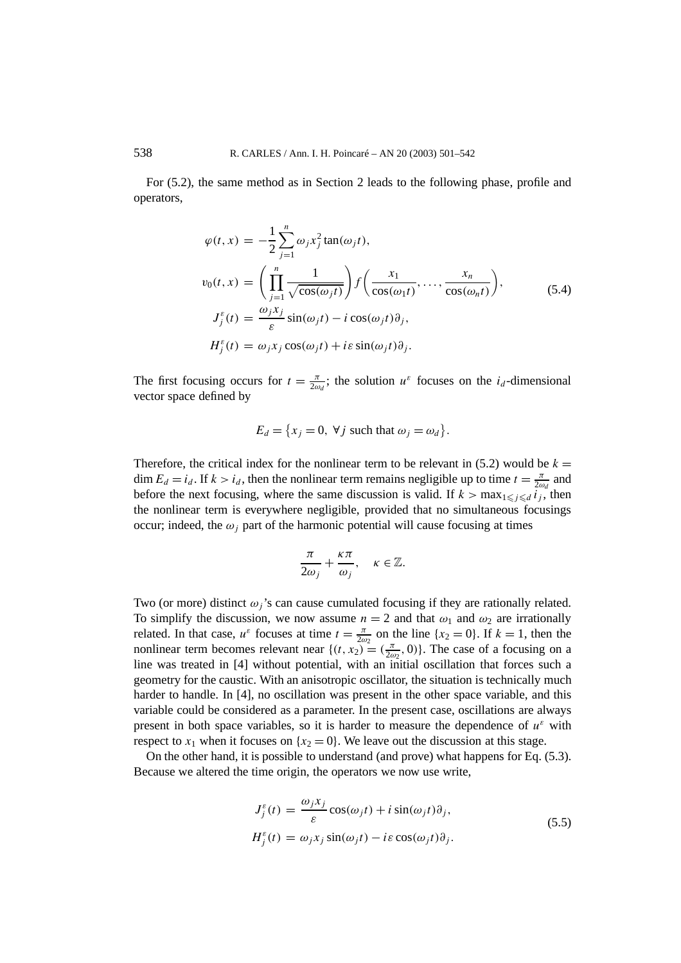For (5.2), the same method as in Section 2 leads to the following phase, profile and operators,

$$
\varphi(t, x) = -\frac{1}{2} \sum_{j=1}^{n} \omega_j x_j^2 \tan(\omega_j t),
$$
  
\n
$$
v_0(t, x) = \left(\prod_{j=1}^{n} \frac{1}{\sqrt{\cos(\omega_j t)}}\right) f\left(\frac{x_1}{\cos(\omega_1 t)}, \dots, \frac{x_n}{\cos(\omega_n t)}\right),
$$
  
\n
$$
J_j^{\varepsilon}(t) = \frac{\omega_j x_j}{\varepsilon} \sin(\omega_j t) - i \cos(\omega_j t) \partial_j,
$$
  
\n
$$
H_j^{\varepsilon}(t) = \omega_j x_j \cos(\omega_j t) + i \varepsilon \sin(\omega_j t) \partial_j.
$$
 (5.4)

The first focusing occurs for  $t = \frac{\pi}{2\omega_d}$ ; the solution  $u^{\varepsilon}$  focuses on the *i<sub>d</sub>*-dimensional vector space defined by

$$
E_d = \{x_j = 0, \forall j \text{ such that } \omega_j = \omega_d\}.
$$

Therefore, the critical index for the nonlinear term to be relevant in  $(5.2)$  would be  $k =$ dim  $E_d = i_d$ . If  $k > i_d$ , then the nonlinear term remains negligible up to time  $t = \frac{\pi}{2\omega_d}$  and before the next focusing, where the same discussion is valid. If  $k > \max_{1 \leq j \leq d} i_j$ , then the nonlinear term is everywhere negligible, provided that no simultaneous focusings occur; indeed, the  $\omega_i$  part of the harmonic potential will cause focusing at times

$$
\frac{\pi}{2\omega_j} + \frac{\kappa \pi}{\omega_j}, \quad \kappa \in \mathbb{Z}.
$$

Two (or more) distinct  $\omega_i$ 's can cause cumulated focusing if they are rationally related. To simplify the discussion, we now assume  $n = 2$  and that  $\omega_1$  and  $\omega_2$  are irrationally related. In that case,  $u^{\varepsilon}$  focuses at time  $t = \frac{\pi}{2\omega_2}$  on the line  $\{x_2 = 0\}$ . If  $k = 1$ , then the nonlinear term becomes relevant near  $\{(t, x_2) = (\frac{\pi}{2\omega_2}, 0)\}$ . The case of a focusing on a line was treated in [4] without potential, with an initial oscillation that forces such a geometry for the caustic. With an anisotropic oscillator, the situation is technically much harder to handle. In [4], no oscillation was present in the other space variable, and this variable could be considered as a parameter. In the present case, oscillations are always present in both space variables, so it is harder to measure the dependence of  $u^{\varepsilon}$  with respect to  $x_1$  when it focuses on  $\{x_2 = 0\}$ . We leave out the discussion at this stage.

On the other hand, it is possible to understand (and prove) what happens for Eq. (5.3). Because we altered the time origin, the operators we now use write,

$$
J_j^{\varepsilon}(t) = \frac{\omega_j x_j}{\varepsilon} \cos(\omega_j t) + i \sin(\omega_j t) \partial_j,
$$
  
\n
$$
H_j^{\varepsilon}(t) = \omega_j x_j \sin(\omega_j t) - i \varepsilon \cos(\omega_j t) \partial_j.
$$
\n(5.5)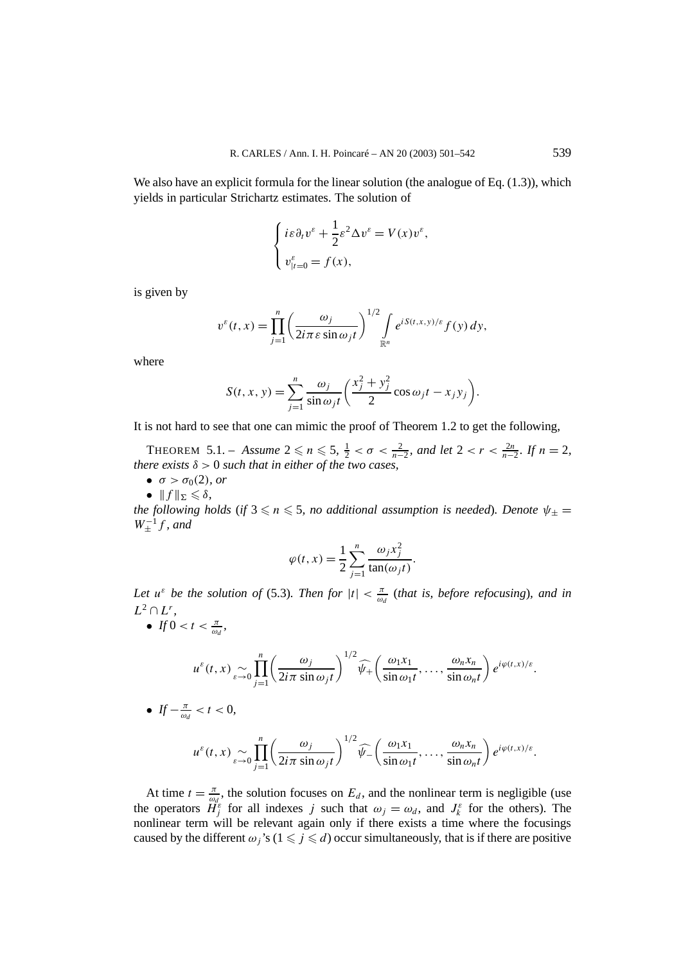We also have an explicit formula for the linear solution (the analogue of Eq.  $(1.3)$ ), which yields in particular Strichartz estimates. The solution of

$$
\begin{cases} i\varepsilon \partial_t v^\varepsilon + \frac{1}{2}\varepsilon^2 \Delta v^\varepsilon = V(x)v^\varepsilon, \\ v_{|t=0}^\varepsilon = f(x), \end{cases}
$$

is given by

$$
v^{\varepsilon}(t,x)=\prod_{j=1}^n\bigg(\frac{\omega_j}{2i\pi\varepsilon\sin\omega_jt}\bigg)^{1/2}\int\limits_{\mathbb{R}^n}e^{iS(t,x,y)/\varepsilon}f(y)\,dy,
$$

where

$$
S(t, x, y) = \sum_{j=1}^{n} \frac{\omega_j}{\sin \omega_j t} \left( \frac{x_j^2 + y_j^2}{2} \cos \omega_j t - x_j y_j \right).
$$

It is not hard to see that one can mimic the proof of Theorem 1.2 to get the following,

THEOREM 5.1. – *Assume*  $2 \le n \le 5$ ,  $\frac{1}{2} < \sigma < \frac{2}{n-2}$ , and let  $2 < r < \frac{2n}{n-2}$ . If  $n = 2$ , *there exists*  $\delta > 0$  *such that in either of the two cases,* 

- $\bullet \ \sigma > \sigma_0(2)$ *, or*
- $\bullet$   $|| f ||_{\Sigma} \leqslant \delta$ ,

*the following holds* (*if*  $3 \leq n \leq 5$ , no additional assumption is needed). Denote  $\psi_{\pm} =$  $W_{\pm}^{-1}f$ *, and* 

$$
\varphi(t,x) = \frac{1}{2} \sum_{j=1}^{n} \frac{\omega_j x_j^2}{\tan(\omega_j t)}.
$$

*Let*  $u^{\varepsilon}$  *be the solution of* (5.3)*. Then for*  $|t| < \frac{\pi}{\omega_d}$  (*that is, before refocusing*)*, and in*  $L^2 \cap L^r$ .

• *If*  $0 < t < \frac{\pi}{\omega_d}$ ,

$$
u^{\varepsilon}(t,x) \sum_{\varepsilon \to 0} \prod_{j=1}^{n} \left( \frac{\omega_j}{2i\pi \sin \omega_j t} \right)^{1/2} \widehat{\psi}_+\left( \frac{\omega_1 x_1}{\sin \omega_1 t}, \ldots, \frac{\omega_n x_n}{\sin \omega_n t} \right) e^{i\varphi(t,x)/\varepsilon}.
$$

• 
$$
If -\frac{\pi}{\omega_d} < t < 0,
$$

$$
u^{\varepsilon}(t,x) \sim \prod_{\varepsilon \to 0}^{n} \left( \frac{\omega_j}{2i\pi \sin \omega_j t} \right)^{1/2} \widehat{\psi}_- \left( \frac{\omega_1 x_1}{\sin \omega_1 t}, \ldots, \frac{\omega_n x_n}{\sin \omega_n t} \right) e^{i\varphi(t,x)/\varepsilon}.
$$

At time  $t = \frac{\pi}{\omega_d}$ , the solution focuses on  $E_d$ , and the nonlinear term is negligible (use the operators  $\tilde{H}^{\varepsilon}_{j}$  for all indexes *j* such that  $\omega_{j} = \omega_{d}$ , and  $J^{\varepsilon}_{k}$  for the others). The nonlinear term will be relevant again only if there exists a time where the focusings caused by the different  $\omega_j$ 's ( $1 \leq j \leq d$ ) occur simultaneously, that is if there are positive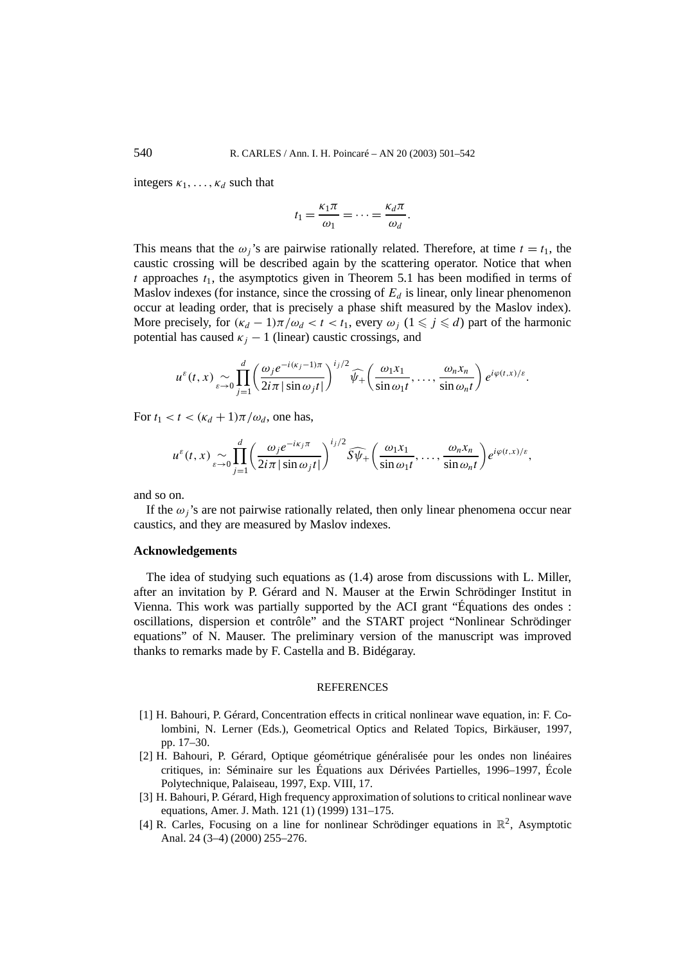integers  $\kappa_1, \ldots, \kappa_d$  such that

$$
t_1 = \frac{\kappa_1 \pi}{\omega_1} = \cdots = \frac{\kappa_d \pi}{\omega_d}.
$$

This means that the  $\omega_i$ 's are pairwise rationally related. Therefore, at time  $t = t_1$ , the caustic crossing will be described again by the scattering operator. Notice that when  $t$  approaches  $t_1$ , the asymptotics given in Theorem 5.1 has been modified in terms of Maslov indexes (for instance, since the crossing of  $E_d$  is linear, only linear phenomenon occur at leading order, that is precisely a phase shift measured by the Maslov index). More precisely, for  $(\kappa_d - 1)\pi/\omega_d < t < t_1$ , every  $\omega_j$   $(1 \leq j \leq d)$  part of the harmonic potential has caused  $\kappa_j - 1$  (linear) caustic crossings, and

$$
u^{\varepsilon}(t,x) \sim \prod_{\varepsilon \to 0}^{d} \left( \frac{\omega_{j} e^{-i(\kappa_{j}-1)\pi}}{2i\pi |\sin \omega_{j}t|} \right)^{i_{j}/2} \widehat{\psi}_{+} \left( \frac{\omega_{1} x_{1}}{\sin \omega_{1}t}, \ldots, \frac{\omega_{n} x_{n}}{\sin \omega_{n}t} \right) e^{i\varphi(t,x)/\varepsilon}.
$$

For  $t_1 < t < (\kappa_d + 1)\pi/\omega_d$ , one has,

$$
u^{\varepsilon}(t,x) \sim \prod_{\varepsilon \to 0}^{d} \left( \frac{\omega_{j} e^{-i\kappa_{j}\pi}}{2i\pi |\sin \omega_{j}t|} \right)^{i_{j}/2} \widehat{S}\widehat{\psi}_{+}\left( \frac{\omega_{1}x_{1}}{\sin \omega_{1}t}, \ldots, \frac{\omega_{n}x_{n}}{\sin \omega_{n}t} \right) e^{i\varphi(t,x)/\varepsilon},
$$

and so on.

If the  $\omega_i$ 's are not pairwise rationally related, then only linear phenomena occur near caustics, and they are measured by Maslov indexes.

## **Acknowledgements**

The idea of studying such equations as (1.4) arose from discussions with L. Miller, after an invitation by P. Gérard and N. Mauser at the Erwin Schrödinger Institut in Vienna. This work was partially supported by the ACI grant "Équations des ondes : oscillations, dispersion et contrôle" and the START project "Nonlinear Schrödinger equations" of N. Mauser. The preliminary version of the manuscript was improved thanks to remarks made by F. Castella and B. Bidégaray.

#### **REFERENCES**

- [1] H. Bahouri, P. Gérard, Concentration effects in critical nonlinear wave equation, in: F. Colombini, N. Lerner (Eds.), Geometrical Optics and Related Topics, Birkäuser, 1997, pp. 17–30.
- [2] H. Bahouri, P. Gérard, Optique géométrique généralisée pour les ondes non linéaires critiques, in: Séminaire sur les Équations aux Dérivées Partielles, 1996–1997, École Polytechnique, Palaiseau, 1997, Exp. VIII, 17.
- [3] H. Bahouri, P. Gérard, High frequency approximation of solutions to critical nonlinear wave equations, Amer. J. Math. 121 (1) (1999) 131–175.
- [4] R. Carles, Focusing on a line for nonlinear Schrödinger equations in  $\mathbb{R}^2$ , Asymptotic Anal. 24 (3–4) (2000) 255–276.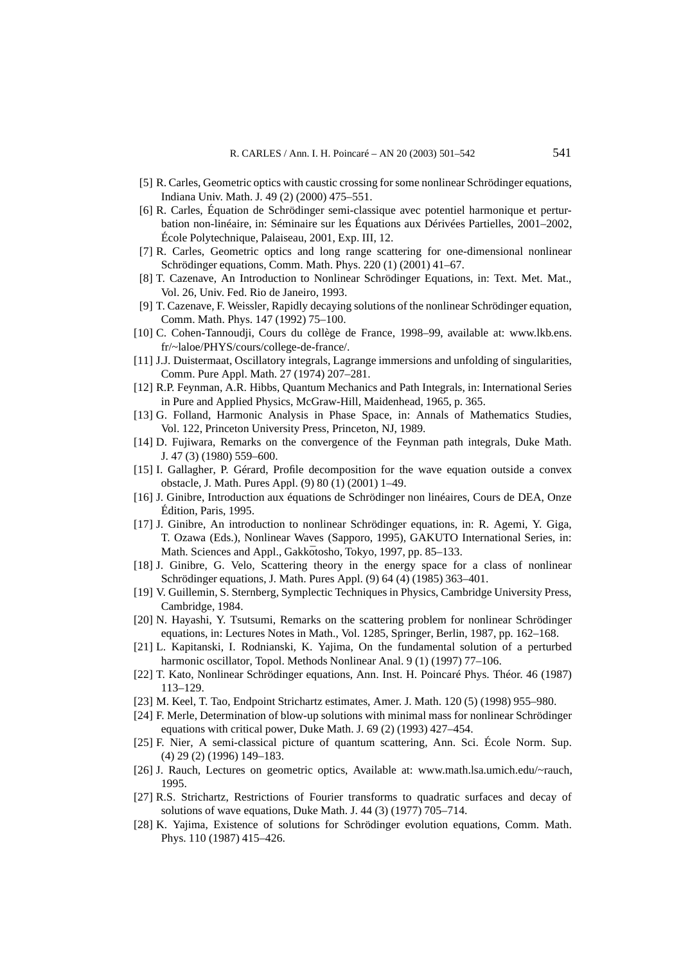- [5] R. Carles, Geometric optics with caustic crossing for some nonlinear Schrödinger equations, Indiana Univ. Math. J. 49 (2) (2000) 475–551.
- [6] R. Carles, Équation de Schrödinger semi-classique avec potentiel harmonique et perturbation non-linéaire, in: Séminaire sur les Équations aux Dérivées Partielles, 2001–2002, École Polytechnique, Palaiseau, 2001, Exp. III, 12.
- [7] R. Carles, Geometric optics and long range scattering for one-dimensional nonlinear Schrödinger equations, Comm. Math. Phys. 220 (1) (2001) 41–67.
- [8] T. Cazenave, An Introduction to Nonlinear Schrödinger Equations, in: Text. Met. Mat., Vol. 26, Univ. Fed. Rio de Janeiro, 1993.
- [9] T. Cazenave, F. Weissler, Rapidly decaying solutions of the nonlinear Schrödinger equation, Comm. Math. Phys. 147 (1992) 75–100.
- [10] C. Cohen-Tannoudji, Cours du collège de France, 1998–99, available at: www.lkb.ens. fr/~laloe/PHYS/cours/college-de-france/.
- [11] J.J. Duistermaat, Oscillatory integrals, Lagrange immersions and unfolding of singularities, Comm. Pure Appl. Math. 27 (1974) 207–281.
- [12] R.P. Feynman, A.R. Hibbs, Quantum Mechanics and Path Integrals, in: International Series in Pure and Applied Physics, McGraw-Hill, Maidenhead, 1965, p. 365.
- [13] G. Folland, Harmonic Analysis in Phase Space, in: Annals of Mathematics Studies, Vol. 122, Princeton University Press, Princeton, NJ, 1989.
- [14] D. Fujiwara, Remarks on the convergence of the Feynman path integrals, Duke Math. J. 47 (3) (1980) 559–600.
- [15] I. Gallagher, P. Gérard, Profile decomposition for the wave equation outside a convex obstacle, J. Math. Pures Appl. (9) 80 (1) (2001) 1–49.
- [16] J. Ginibre, Introduction aux équations de Schrödinger non linéaires, Cours de DEA, Onze Édition, Paris, 1995.
- [17] J. Ginibre, An introduction to nonlinear Schrödinger equations, in: R. Agemi, Y. Giga, T. Ozawa (Eds.), Nonlinear Waves (Sapporo, 1995), GAKUTO International Series, in: Math. Sciences and Appl., Gakkōtosho, Tokyo, 1997, pp. 85–133.
- [18] J. Ginibre, G. Velo, Scattering theory in the energy space for a class of nonlinear Schrödinger equations, J. Math. Pures Appl. (9) 64 (4) (1985) 363–401.
- [19] V. Guillemin, S. Sternberg, Symplectic Techniques in Physics, Cambridge University Press, Cambridge, 1984.
- [20] N. Hayashi, Y. Tsutsumi, Remarks on the scattering problem for nonlinear Schrödinger equations, in: Lectures Notes in Math., Vol. 1285, Springer, Berlin, 1987, pp. 162–168.
- [21] L. Kapitanski, I. Rodnianski, K. Yajima, On the fundamental solution of a perturbed harmonic oscillator, Topol. Methods Nonlinear Anal. 9 (1) (1997) 77–106.
- [22] T. Kato, Nonlinear Schrödinger equations, Ann. Inst. H. Poincaré Phys. Théor. 46 (1987) 113–129.
- [23] M. Keel, T. Tao, Endpoint Strichartz estimates, Amer. J. Math. 120 (5) (1998) 955–980.
- [24] F. Merle, Determination of blow-up solutions with minimal mass for nonlinear Schrödinger equations with critical power, Duke Math. J. 69 (2) (1993) 427–454.
- [25] F. Nier, A semi-classical picture of quantum scattering, Ann. Sci. École Norm. Sup. (4) 29 (2) (1996) 149–183.
- [26] J. Rauch, Lectures on geometric optics, Available at: www.math.lsa.umich.edu/~rauch, 1995.
- [27] R.S. Strichartz, Restrictions of Fourier transforms to quadratic surfaces and decay of solutions of wave equations, Duke Math. J. 44 (3) (1977) 705–714.
- [28] K. Yajima, Existence of solutions for Schrödinger evolution equations, Comm. Math. Phys. 110 (1987) 415–426.